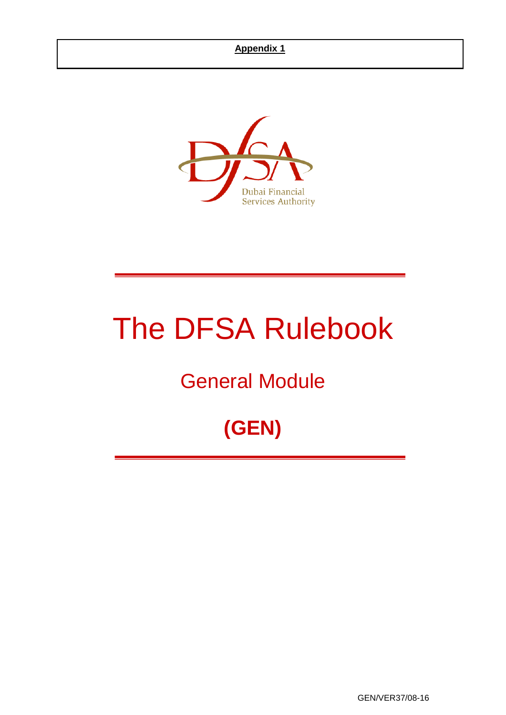

# The DFSA Rulebook

## General Module

## **(GEN)**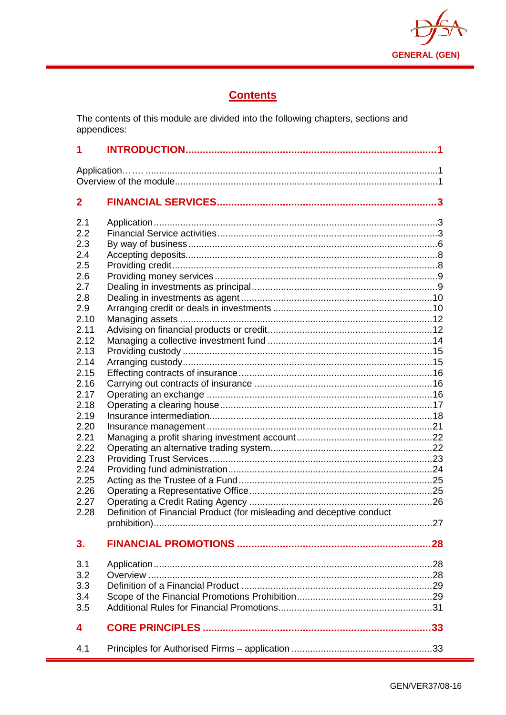

## **Contents**

The contents of this module are divided into the following chapters, sections and appendices:

| 1                                                                                                                                                                                                                   |                                                                       |     |  |  |
|---------------------------------------------------------------------------------------------------------------------------------------------------------------------------------------------------------------------|-----------------------------------------------------------------------|-----|--|--|
|                                                                                                                                                                                                                     |                                                                       |     |  |  |
| $\mathbf{2}$                                                                                                                                                                                                        |                                                                       |     |  |  |
| 2.1<br>2.2<br>2.3<br>2.4<br>2.5<br>2.6<br>2.7<br>2.8<br>2.9<br>2.10<br>2.11<br>2.12<br>2.13<br>2.14<br>2.15<br>2.16<br>2.17<br>2.18<br>2.19<br>2.20<br>2.21<br>2.22<br>2.23<br>2.24<br>2.25<br>2.26<br>2.27<br>2.28 | Definition of Financial Product (for misleading and deceptive conduct |     |  |  |
| 3.                                                                                                                                                                                                                  |                                                                       | .27 |  |  |
| 3.1<br>3.2<br>3.3<br>3.4<br>3.5                                                                                                                                                                                     |                                                                       |     |  |  |
| 4                                                                                                                                                                                                                   |                                                                       |     |  |  |
| 4.1                                                                                                                                                                                                                 |                                                                       |     |  |  |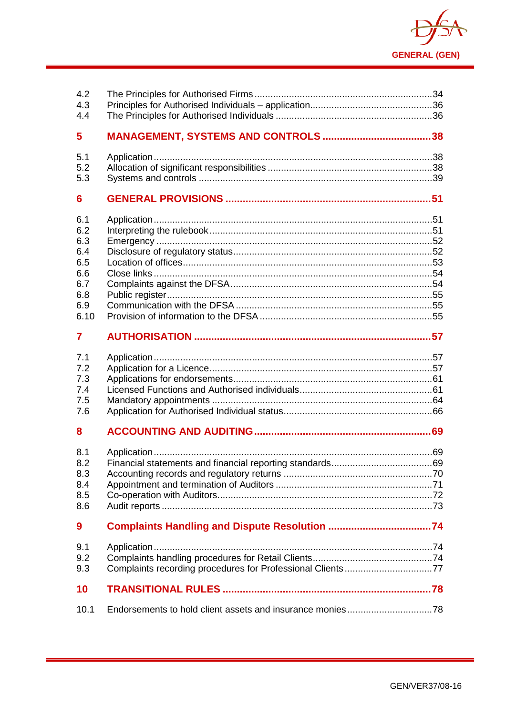

| 4.2<br>4.3<br>4.4                                                                                           |  |
|-------------------------------------------------------------------------------------------------------------|--|
| 5                                                                                                           |  |
| 5.1<br>5.2<br>5.3                                                                                           |  |
| 6                                                                                                           |  |
| 6.1<br>6.2<br>6.3<br>6.4<br>6.5<br>6.6<br>6.7<br>6.8<br>6.9<br>6.10<br>7<br>7.1<br>7.2<br>7.3<br>7.4<br>7.5 |  |
| 7.6<br>8                                                                                                    |  |
| 8.1<br>8.2<br>8.3<br>8.4<br>8.5<br>8.6                                                                      |  |
| 9                                                                                                           |  |
| 9.1<br>9.2<br>9.3                                                                                           |  |
| 10                                                                                                          |  |
| 10.1                                                                                                        |  |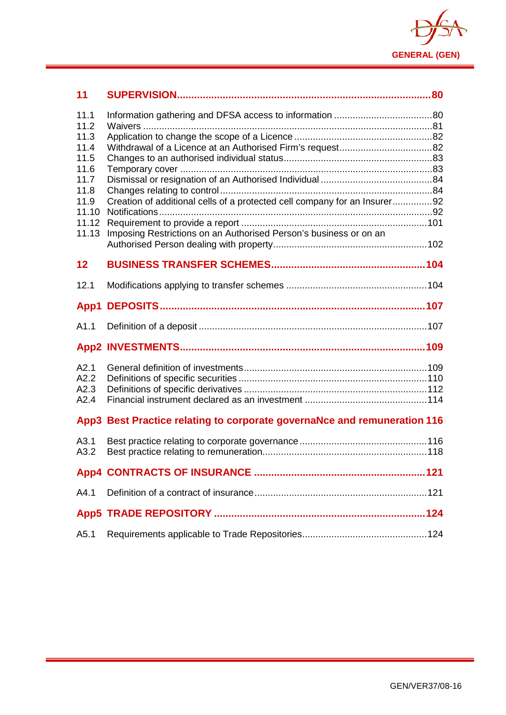

| 11                           |                                                                           |  |
|------------------------------|---------------------------------------------------------------------------|--|
| 11.1<br>11.2                 |                                                                           |  |
| 11.3<br>11.4<br>11.5<br>11.6 |                                                                           |  |
| 11.7<br>11.8                 |                                                                           |  |
| 11.9<br>11.10<br>11.12       | Creation of additional cells of a protected cell company for an Insurer92 |  |
| 11.13                        | Imposing Restrictions on an Authorised Person's business or on an         |  |
| 12                           |                                                                           |  |
| 12.1                         |                                                                           |  |
| App1                         |                                                                           |  |
| A1.1                         |                                                                           |  |
|                              |                                                                           |  |
| A2.1<br>A2.2<br>A2.3<br>A2.4 |                                                                           |  |
|                              | App3 Best Practice relating to corporate governaNce and remuneration 116  |  |
| A3.1<br>A3.2                 |                                                                           |  |
|                              |                                                                           |  |
| A4.1                         |                                                                           |  |
|                              |                                                                           |  |
| A5.1                         |                                                                           |  |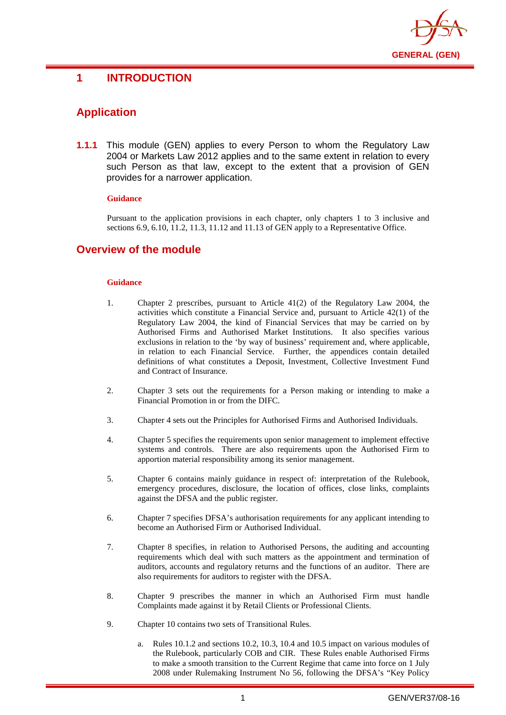

## <span id="page-4-0"></span>**1 INTRODUCTION**

## <span id="page-4-1"></span>**Application**

**1.1.1** This module (GEN) applies to every Person to whom the Regulatory Law 2004 or Markets Law 2012 applies and to the same extent in relation to every such Person as that law, except to the extent that a provision of GEN provides for a narrower application.

#### **Guidance**

Pursuant to the application provisions in each chapter, only chapters 1 to 3 inclusive and sections 6.9, 6.10, 11.2, 11.3, 11.12 and 11.13 of GEN apply to a Representative Office.

## <span id="page-4-2"></span>**Overview of the module**

- 1. Chapter 2 prescribes, pursuant to Article 41(2) of the Regulatory Law 2004, the activities which constitute a Financial Service and, pursuant to Article 42(1) of the Regulatory Law 2004, the kind of Financial Services that may be carried on by Authorised Firms and Authorised Market Institutions. It also specifies various exclusions in relation to the 'by way of business' requirement and, where applicable, in relation to each Financial Service. Further, the appendices contain detailed definitions of what constitutes a Deposit, Investment, Collective Investment Fund and Contract of Insurance.
- 2. Chapter 3 sets out the requirements for a Person making or intending to make a Financial Promotion in or from the DIFC.
- 3. Chapter 4 sets out the Principles for Authorised Firms and Authorised Individuals.
- 4. Chapter 5 specifies the requirements upon senior management to implement effective systems and controls. There are also requirements upon the Authorised Firm to apportion material responsibility among its senior management.
- 5. Chapter 6 contains mainly guidance in respect of: interpretation of the Rulebook, emergency procedures, disclosure, the location of offices, close links, complaints against the DFSA and the public register.
- 6. Chapter 7 specifies DFSA's authorisation requirements for any applicant intending to become an Authorised Firm or Authorised Individual.
- 7. Chapter 8 specifies, in relation to Authorised Persons, the auditing and accounting requirements which deal with such matters as the appointment and termination of auditors, accounts and regulatory returns and the functions of an auditor. There are also requirements for auditors to register with the DFSA.
- 8. Chapter 9 prescribes the manner in which an Authorised Firm must handle Complaints made against it by Retail Clients or Professional Clients.
- 9. Chapter 10 contains two sets of Transitional Rules.
	- a. Rules 10.1.2 and sections 10.2, 10.3, 10.4 and 10.5 impact on various modules of the Rulebook, particularly COB and CIR. These Rules enable Authorised Firms to make a smooth transition to the Current Regime that came into force on 1 July 2008 under Rulemaking Instrument No 56, following the DFSA's "Key Policy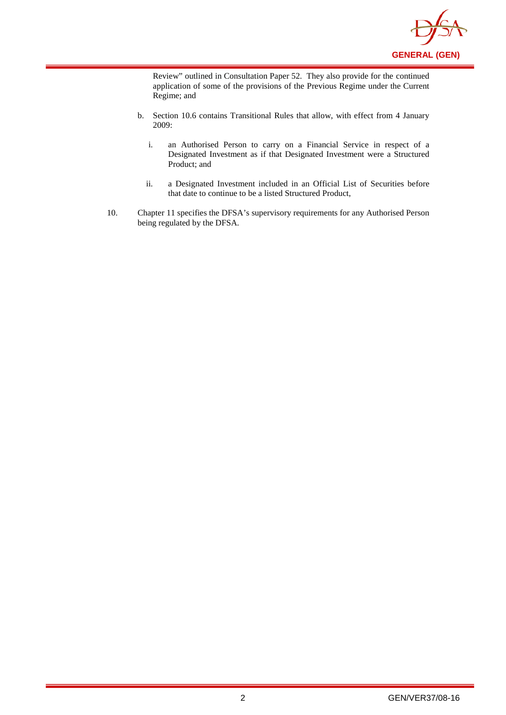

Review" outlined in Consultation Paper 52. They also provide for the continued application of some of the provisions of the Previous Regime under the Current Regime; and

- b. Section 10.6 contains Transitional Rules that allow, with effect from 4 January 2009:
	- i. an Authorised Person to carry on a Financial Service in respect of a Designated Investment as if that Designated Investment were a Structured Product; and
	- ii. a Designated Investment included in an Official List of Securities before that date to continue to be a listed Structured Product,
- 10. Chapter 11 specifies the DFSA's supervisory requirements for any Authorised Person being regulated by the DFSA.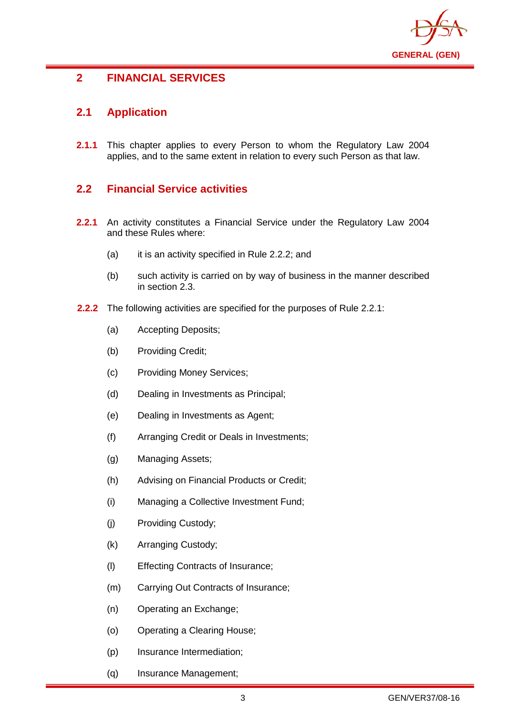

## <span id="page-6-0"></span>**2 FINANCIAL SERVICES**

## <span id="page-6-1"></span>**2.1 Application**

**2.1.1** This chapter applies to every Person to whom the Regulatory Law 2004 applies, and to the same extent in relation to every such Person as that law.

## <span id="page-6-2"></span>**2.2 Financial Service activities**

- **2.2.1** An activity constitutes a Financial Service under the Regulatory Law 2004 and these Rules where:
	- (a) it is an activity specified in Rule 2.2.2; and
	- (b) such activity is carried on by way of business in the manner described in section 2.3.
- **2.2.2** The following activities are specified for the purposes of Rule 2.2.1:
	- (a) Accepting Deposits;
	- (b) Providing Credit;
	- (c) Providing Money Services;
	- (d) Dealing in Investments as Principal;
	- (e) Dealing in Investments as Agent;
	- (f) Arranging Credit or Deals in Investments;
	- (g) Managing Assets;
	- (h) Advising on Financial Products or Credit;
	- (i) Managing a Collective Investment Fund;
	- (j) Providing Custody;
	- (k) Arranging Custody;
	- (l) Effecting Contracts of Insurance;
	- (m) Carrying Out Contracts of Insurance;
	- (n) Operating an Exchange;
	- (o) Operating a Clearing House;
	- (p) Insurance Intermediation;
	- (q) Insurance Management;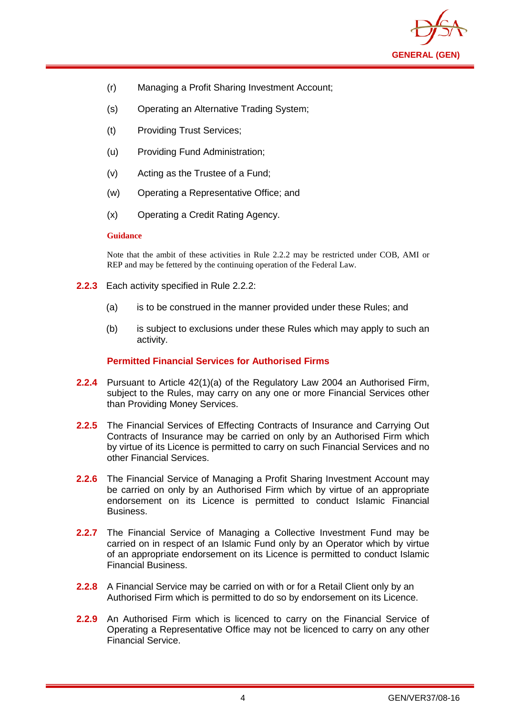

- (r) Managing a Profit Sharing Investment Account;
- (s) Operating an Alternative Trading System;
- (t) Providing Trust Services;
- (u) Providing Fund Administration;
- (v) Acting as the Trustee of a Fund;
- (w) Operating a Representative Office; and
- (x) Operating a Credit Rating Agency.

#### **Guidance**

Note that the ambit of these activities in Rule 2.2.2 may be restricted under COB, AMI or REP and may be fettered by the continuing operation of the Federal Law.

- **2.2.3** Each activity specified in Rule 2.2.2:
	- (a) is to be construed in the manner provided under these Rules; and
	- (b) is subject to exclusions under these Rules which may apply to such an activity.

#### **Permitted Financial Services for Authorised Firms**

- **2.2.4** Pursuant to Article 42(1)(a) of the Regulatory Law 2004 an Authorised Firm, subject to the Rules, may carry on any one or more Financial Services other than Providing Money Services.
- **2.2.5** The Financial Services of Effecting Contracts of Insurance and Carrying Out Contracts of Insurance may be carried on only by an Authorised Firm which by virtue of its Licence is permitted to carry on such Financial Services and no other Financial Services.
- **2.2.6** The Financial Service of Managing a Profit Sharing Investment Account may be carried on only by an Authorised Firm which by virtue of an appropriate endorsement on its Licence is permitted to conduct Islamic Financial Business.
- **2.2.7** The Financial Service of Managing a Collective Investment Fund may be carried on in respect of an Islamic Fund only by an Operator which by virtue of an appropriate endorsement on its Licence is permitted to conduct Islamic Financial Business.
- **2.2.8** A Financial Service may be carried on with or for a Retail Client only by an Authorised Firm which is permitted to do so by endorsement on its Licence.
- **2.2.9** An Authorised Firm which is licenced to carry on the Financial Service of Operating a Representative Office may not be licenced to carry on any other Financial Service.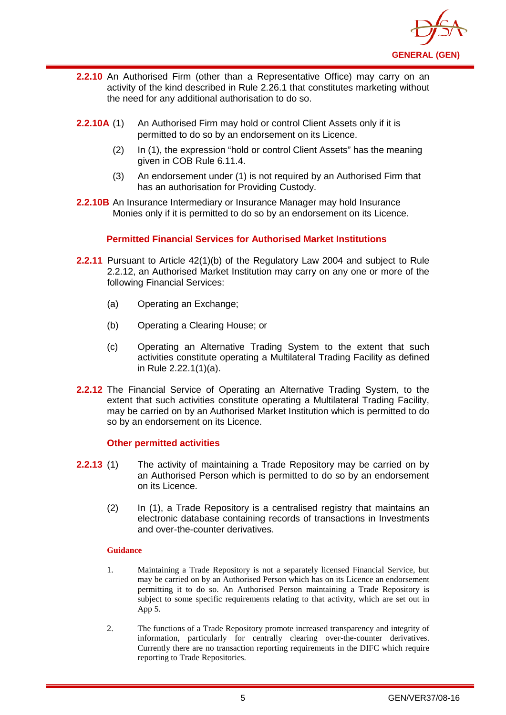

- **2.2.10** An Authorised Firm (other than a Representative Office) may carry on an activity of the kind described in Rule 2.26.1 that constitutes marketing without the need for any additional authorisation to do so.
- **2.2.10A** (1) An Authorised Firm may hold or control Client Assets only if it is permitted to do so by an endorsement on its Licence.
	- (2) In (1), the expression "hold or control Client Assets" has the meaning given in COB Rule 6.11.4.
	- (3) An endorsement under (1) is not required by an Authorised Firm that has an authorisation for Providing Custody.
- **2.2.10B** An Insurance Intermediary or Insurance Manager may hold Insurance Monies only if it is permitted to do so by an endorsement on its Licence.

#### **Permitted Financial Services for Authorised Market Institutions**

- **2.2.11** Pursuant to Article 42(1)(b) of the Regulatory Law 2004 and subject to Rule 2.2.12, an Authorised Market Institution may carry on any one or more of the following Financial Services:
	- (a) Operating an Exchange;
	- (b) Operating a Clearing House; or
	- (c) Operating an Alternative Trading System to the extent that such activities constitute operating a Multilateral Trading Facility as defined in Rule 2.22.1(1)(a).
- **2.2.12** The Financial Service of Operating an Alternative Trading System, to the extent that such activities constitute operating a Multilateral Trading Facility, may be carried on by an Authorised Market Institution which is permitted to do so by an endorsement on its Licence.

#### **Other permitted activities**

- **2.2.13** (1) The activity of maintaining a Trade Repository may be carried on by an Authorised Person which is permitted to do so by an endorsement on its Licence.
	- (2) In (1), a Trade Repository is a centralised registry that maintains an electronic database containing records of transactions in Investments and over-the-counter derivatives.

- 1. Maintaining a Trade Repository is not a separately licensed Financial Service, but may be carried on by an Authorised Person which has on its Licence an endorsement permitting it to do so. An Authorised Person maintaining a Trade Repository is subject to some specific requirements relating to that activity, which are set out in App 5.
- 2. The functions of a Trade Repository promote increased transparency and integrity of information, particularly for centrally clearing over-the-counter derivatives. Currently there are no transaction reporting requirements in the DIFC which require reporting to Trade Repositories.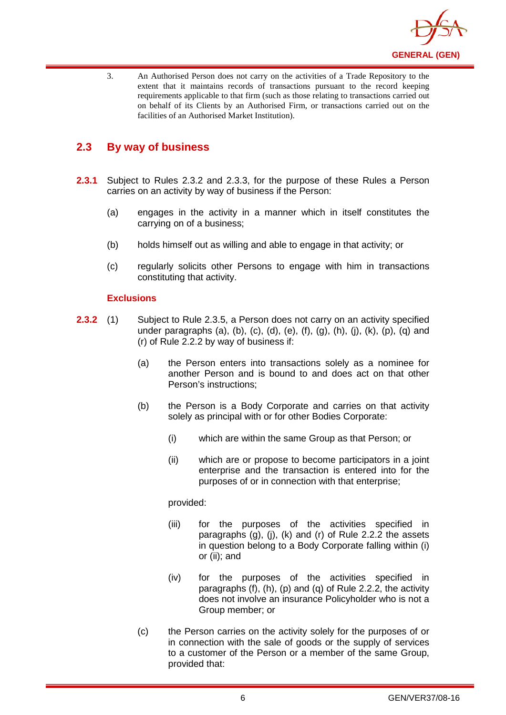

3. An Authorised Person does not carry on the activities of a Trade Repository to the extent that it maintains records of transactions pursuant to the record keeping requirements applicable to that firm (such as those relating to transactions carried out on behalf of its Clients by an Authorised Firm, or transactions carried out on the facilities of an Authorised Market Institution).

## <span id="page-9-0"></span>**2.3 By way of business**

- **2.3.1** Subject to Rules 2.3.2 and 2.3.3, for the purpose of these Rules a Person carries on an activity by way of business if the Person:
	- (a) engages in the activity in a manner which in itself constitutes the carrying on of a business;
	- (b) holds himself out as willing and able to engage in that activity; or
	- (c) regularly solicits other Persons to engage with him in transactions constituting that activity.

#### **Exclusions**

- **2.3.2** (1) Subject to Rule 2.3.5, a Person does not carry on an activity specified under paragraphs (a), (b), (c), (d), (e), (f), (g), (h), (j), (k), (p), (q) and (r) of Rule 2.2.2 by way of business if:
	- (a) the Person enters into transactions solely as a nominee for another Person and is bound to and does act on that other Person's instructions;
	- (b) the Person is a Body Corporate and carries on that activity solely as principal with or for other Bodies Corporate:
		- (i) which are within the same Group as that Person; or
		- (ii) which are or propose to become participators in a joint enterprise and the transaction is entered into for the purposes of or in connection with that enterprise;

#### provided:

- (iii) for the purposes of the activities specified in paragraphs (g), (j), (k) and (r) of Rule 2.2.2 the assets in question belong to a Body Corporate falling within (i) or (ii); and
- (iv) for the purposes of the activities specified in paragraphs (f), (h), (p) and (q) of Rule 2.2.2, the activity does not involve an insurance Policyholder who is not a Group member; or
- (c) the Person carries on the activity solely for the purposes of or in connection with the sale of goods or the supply of services to a customer of the Person or a member of the same Group, provided that: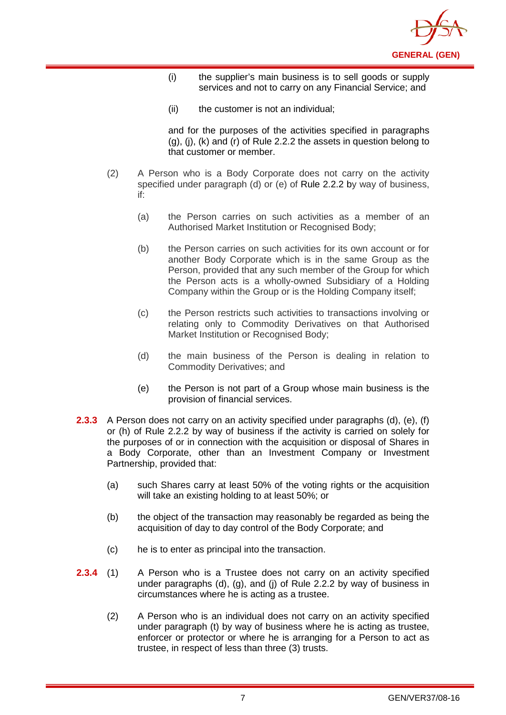

- (i) the supplier's main business is to sell goods or supply services and not to carry on any Financial Service; and
- (ii) the customer is not an individual;

and for the purposes of the activities specified in paragraphs  $(q)$ ,  $(i)$ ,  $(k)$  and  $(r)$  of Rule 2.2.2 the assets in question belong to that customer or member.

- (2) A Person who is a Body Corporate does not carry on the activity specified under paragraph (d) or (e) of [Rule 2.2.2](http://www.complinet.com/dfsa/display/display.html?rbid=1547&element_id=1854) by way of business, if:
	- (a) the Person carries on such activities as a member of an Authorised Market Institution or Recognised Body;
	- (b) the Person carries on such activities for its own account or for another Body Corporate which is in the same Group as the Person, provided that any such member of the Group for which the Person acts is a wholly-owned Subsidiary of a Holding Company within the Group or is the Holding Company itself;
	- (c) the Person restricts such activities to transactions involving or relating only to Commodity Derivatives on that Authorised Market Institution or Recognised Body;
	- (d) the main business of the Person is dealing in relation to Commodity Derivatives; and
	- (e) the Person is not part of a Group whose main business is the provision of financial services.
- **2.3.3** A Person does not carry on an activity specified under paragraphs (d), (e), (f) or (h) of Rule 2.2.2 by way of business if the activity is carried on solely for the purposes of or in connection with the acquisition or disposal of Shares in a Body Corporate, other than an Investment Company or Investment Partnership, provided that:
	- (a) such Shares carry at least 50% of the voting rights or the acquisition will take an existing holding to at least 50%; or
	- (b) the object of the transaction may reasonably be regarded as being the acquisition of day to day control of the Body Corporate; and
	- (c) he is to enter as principal into the transaction.
- **2.3.4** (1) A Person who is a Trustee does not carry on an activity specified under paragraphs (d), (g), and (j) of Rule 2.2.2 by way of business in circumstances where he is acting as a trustee.
	- (2) A Person who is an individual does not carry on an activity specified under paragraph (t) by way of business where he is acting as trustee, enforcer or protector or where he is arranging for a Person to act as trustee, in respect of less than three (3) trusts.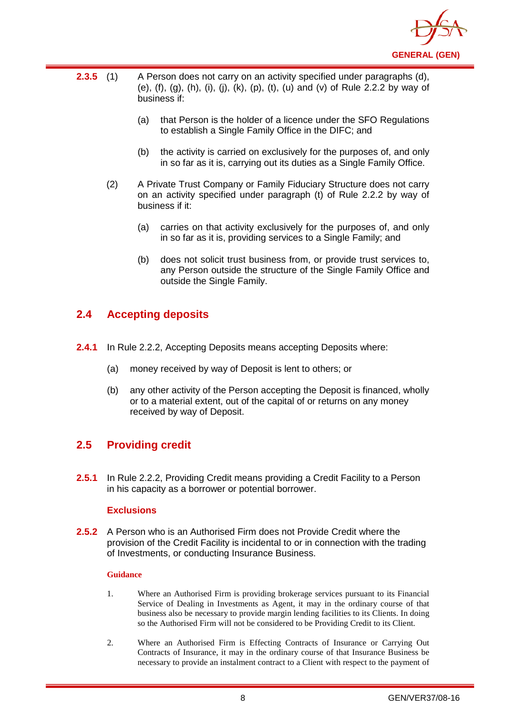

- **2.3.5** (1) A Person does not carry on an activity specified under paragraphs (d), (e),  $(f)$ ,  $(g)$ ,  $(h)$ ,  $(i)$ ,  $(j)$ ,  $(k)$ ,  $(p)$ ,  $(t)$ ,  $(u)$  and  $(v)$  of Rule 2.2.2 by way of business if:
	- (a) that Person is the holder of a licence under the SFO Regulations to establish a Single Family Office in the DIFC; and
	- (b) the activity is carried on exclusively for the purposes of, and only in so far as it is, carrying out its duties as a Single Family Office.
	- (2) A Private Trust Company or Family Fiduciary Structure does not carry on an activity specified under paragraph (t) of Rule 2.2.2 by way of business if it:
		- (a) carries on that activity exclusively for the purposes of, and only in so far as it is, providing services to a Single Family; and
		- (b) does not solicit trust business from, or provide trust services to, any Person outside the structure of the Single Family Office and outside the Single Family.

## <span id="page-11-0"></span>**2.4 Accepting deposits**

- **2.4.1** In Rule 2.2.2, Accepting Deposits means accepting Deposits where:
	- (a) money received by way of Deposit is lent to others; or
	- (b) any other activity of the Person accepting the Deposit is financed, wholly or to a material extent, out of the capital of or returns on any money received by way of Deposit.

## <span id="page-11-1"></span>**2.5 Providing credit**

**2.5.1** In Rule 2.2.2, Providing Credit means providing a Credit Facility to a Person in his capacity as a borrower or potential borrower.

#### **Exclusions**

**2.5.2** A Person who is an Authorised Firm does not Provide Credit where the provision of the Credit Facility is incidental to or in connection with the trading of Investments, or conducting Insurance Business.

- 1. Where an Authorised Firm is providing brokerage services pursuant to its Financial Service of Dealing in Investments as Agent, it may in the ordinary course of that business also be necessary to provide margin lending facilities to its Clients. In doing so the Authorised Firm will not be considered to be Providing Credit to its Client.
- 2. Where an Authorised Firm is Effecting Contracts of Insurance or Carrying Out Contracts of Insurance, it may in the ordinary course of that Insurance Business be necessary to provide an instalment contract to a Client with respect to the payment of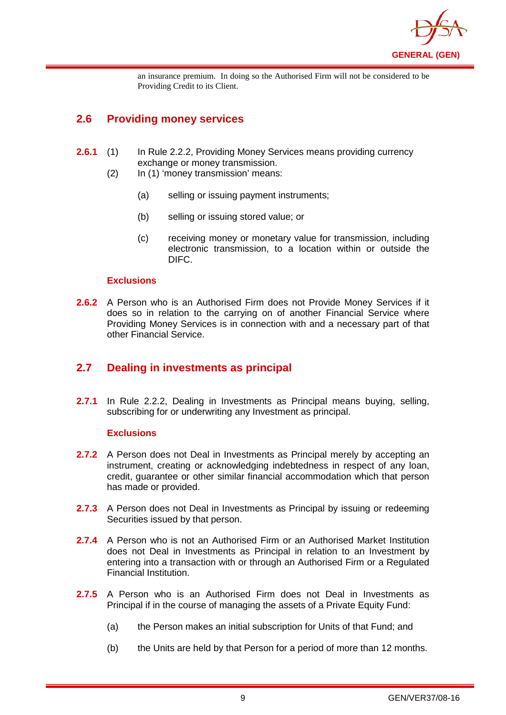

an insurance premium. In doing so the Authorised Firm will not be considered to be Providing Credit to its Client.

## <span id="page-12-0"></span>**2.6 Providing money services**

- **2.6.1** (1) In Rule 2.2.2, Providing Money Services means providing currency exchange or money transmission.
	- (2) In (1) 'money transmission' means:
		- (a) selling or issuing payment instruments;
		- (b) selling or issuing stored value; or
		- (c) receiving money or monetary value for transmission, including electronic transmission, to a location within or outside the DIFC.

#### **Exclusions**

**2.6.2** A Person who is an Authorised Firm does not Provide Money Services if it does so in relation to the carrying on of another Financial Service where Providing Money Services is in connection with and a necessary part of that other Financial Service.

## <span id="page-12-1"></span>**2.7 Dealing in investments as principal**

**2.7.1** In Rule 2.2.2, Dealing in Investments as Principal means buying, selling, subscribing for or underwriting any Investment as principal.

#### **Exclusions**

- **2.7.2** A Person does not Deal in Investments as Principal merely by accepting an instrument, creating or acknowledging indebtedness in respect of any loan, credit, guarantee or other similar financial accommodation which that person has made or provided.
- **2.7.3** A Person does not Deal in Investments as Principal by issuing or redeeming Securities issued by that person.
- **2.7.4** A Person who is not an Authorised Firm or an Authorised Market Institution does not Deal in Investments as Principal in relation to an Investment by entering into a transaction with or through an Authorised Firm or a Regulated Financial Institution.
- **2.7.5** A Person who is an Authorised Firm does not Deal in Investments as Principal if in the course of managing the assets of a Private Equity Fund:
	- (a) the Person makes an initial subscription for Units of that Fund; and
	- (b) the Units are held by that Person for a period of more than 12 months.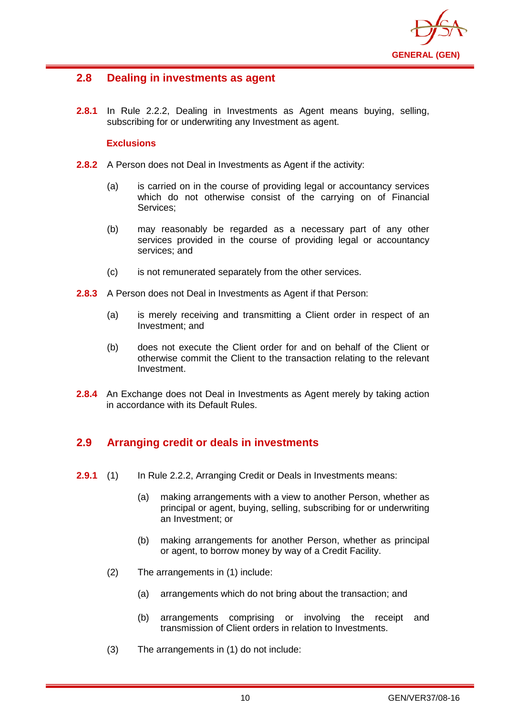

## <span id="page-13-0"></span>**2.8 Dealing in investments as agent**

**2.8.1** In Rule 2.2.2, Dealing in Investments as Agent means buying, selling, subscribing for or underwriting any Investment as agent.

#### **Exclusions**

- **2.8.2** A Person does not Deal in Investments as Agent if the activity:
	- (a) is carried on in the course of providing legal or accountancy services which do not otherwise consist of the carrying on of Financial Services;
	- (b) may reasonably be regarded as a necessary part of any other services provided in the course of providing legal or accountancy services; and
	- (c) is not remunerated separately from the other services.
- **2.8.3** A Person does not Deal in Investments as Agent if that Person:
	- (a) is merely receiving and transmitting a Client order in respect of an Investment; and
	- (b) does not execute the Client order for and on behalf of the Client or otherwise commit the Client to the transaction relating to the relevant Investment.
- **2.8.4** An Exchange does not Deal in Investments as Agent merely by taking action in accordance with its Default Rules.

## <span id="page-13-1"></span>**2.9 Arranging credit or deals in investments**

- **2.9.1** (1) In Rule 2.2.2, Arranging Credit or Deals in Investments means:
	- (a) making arrangements with a view to another Person, whether as principal or agent, buying, selling, subscribing for or underwriting an Investment; or
	- (b) making arrangements for another Person, whether as principal or agent, to borrow money by way of a Credit Facility.
	- (2) The arrangements in (1) include:
		- (a) arrangements which do not bring about the transaction; and
		- (b) arrangements comprising or involving the receipt and transmission of Client orders in relation to Investments.
	- (3) The arrangements in (1) do not include: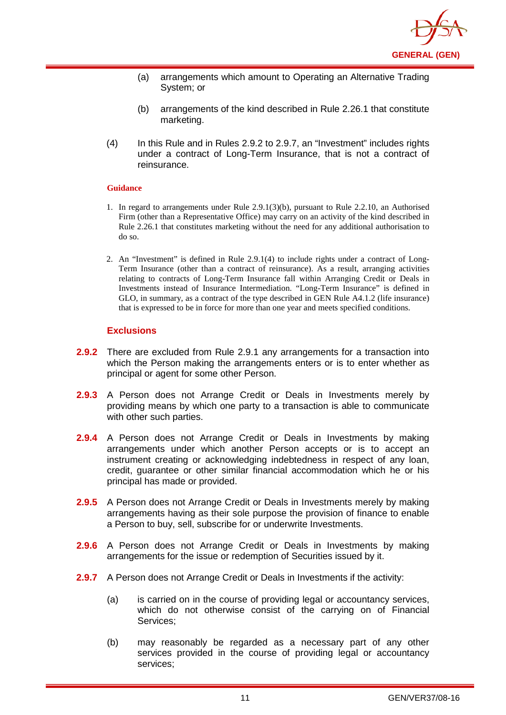

- (a) arrangements which amount to Operating an Alternative Trading System; or
- (b) arrangements of the kind described in Rule 2.26.1 that constitute marketing.
- (4) In this Rule and in Rules 2.9.2 to 2.9.7, an "Investment" includes rights under a contract of Long-Term Insurance, that is not a contract of reinsurance.

#### **Guidance**

- 1. In regard to arrangements under Rule 2.9.1(3)(b), pursuant to Rule 2.2.10, an Authorised Firm (other than a Representative Office) may carry on an activity of the kind described in Rule 2.26.1 that constitutes marketing without the need for any additional authorisation to do so.
- 2. An "Investment" is defined in Rule 2.9.1(4) to include rights under a contract of Long-Term Insurance (other than a contract of reinsurance). As a result, arranging activities relating to contracts of Long-Term Insurance fall within Arranging Credit or Deals in Investments instead of Insurance Intermediation. "Long-Term Insurance" is defined in GLO, in summary, as a contract of the type described in GEN Rule A4.1.2 (life insurance) that is expressed to be in force for more than one year and meets specified conditions.

#### **Exclusions**

- **2.9.2** There are excluded from Rule 2.9.1 any arrangements for a transaction into which the Person making the arrangements enters or is to enter whether as principal or agent for some other Person.
- **2.9.3** A Person does not Arrange Credit or Deals in Investments merely by providing means by which one party to a transaction is able to communicate with other such parties.
- **2.9.4** A Person does not Arrange Credit or Deals in Investments by making arrangements under which another Person accepts or is to accept an instrument creating or acknowledging indebtedness in respect of any loan, credit, guarantee or other similar financial accommodation which he or his principal has made or provided.
- **2.9.5** A Person does not Arrange Credit or Deals in Investments merely by making arrangements having as their sole purpose the provision of finance to enable a Person to buy, sell, subscribe for or underwrite Investments.
- **2.9.6** A Person does not Arrange Credit or Deals in Investments by making arrangements for the issue or redemption of Securities issued by it.
- **2.9.7** A Person does not Arrange Credit or Deals in Investments if the activity:
	- (a) is carried on in the course of providing legal or accountancy services, which do not otherwise consist of the carrying on of Financial Services;
	- (b) may reasonably be regarded as a necessary part of any other services provided in the course of providing legal or accountancy services;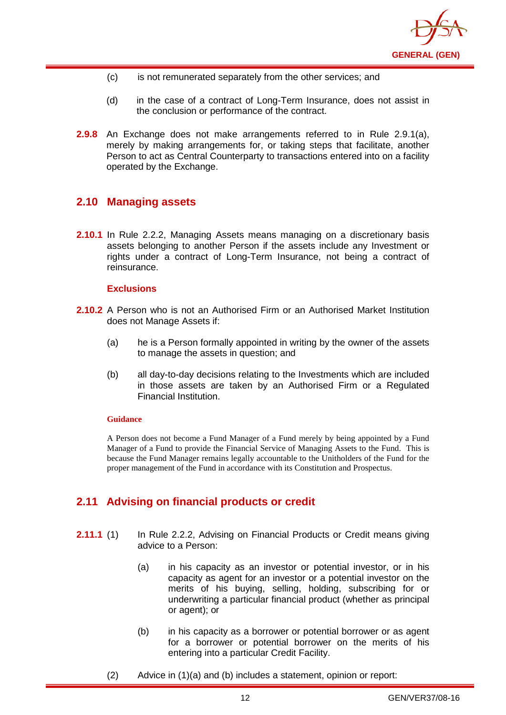

- (c) is not remunerated separately from the other services; and
- (d) in the case of a contract of Long-Term Insurance, does not assist in the conclusion or performance of the contract.
- **2.9.8** An Exchange does not make arrangements referred to in Rule 2.9.1(a), merely by making arrangements for, or taking steps that facilitate, another Person to act as Central Counterparty to transactions entered into on a facility operated by the Exchange.

## <span id="page-15-0"></span>**2.10 Managing assets**

**2.10.1** In Rule 2.2.2, Managing Assets means managing on a discretionary basis assets belonging to another Person if the assets include any Investment or rights under a contract of Long-Term Insurance, not being a contract of reinsurance.

#### **Exclusions**

- **2.10.2** A Person who is not an Authorised Firm or an Authorised Market Institution does not Manage Assets if:
	- (a) he is a Person formally appointed in writing by the owner of the assets to manage the assets in question; and
	- (b) all day-to-day decisions relating to the Investments which are included in those assets are taken by an Authorised Firm or a Regulated Financial Institution.

#### **Guidance**

A Person does not become a Fund Manager of a Fund merely by being appointed by a Fund Manager of a Fund to provide the Financial Service of Managing Assets to the Fund. This is because the Fund Manager remains legally accountable to the Unitholders of the Fund for the proper management of the Fund in accordance with its Constitution and Prospectus.

## <span id="page-15-1"></span>**2.11 Advising on financial products or credit**

- **2.11.1** (1) In Rule 2.2.2, Advising on Financial Products or Credit means giving advice to a Person:
	- (a) in his capacity as an investor or potential investor, or in his capacity as agent for an investor or a potential investor on the merits of his buying, selling, holding, subscribing for or underwriting a particular financial product (whether as principal or agent); or
	- (b) in his capacity as a borrower or potential borrower or as agent for a borrower or potential borrower on the merits of his entering into a particular Credit Facility.
	- (2) Advice in (1)(a) and (b) includes a statement, opinion or report: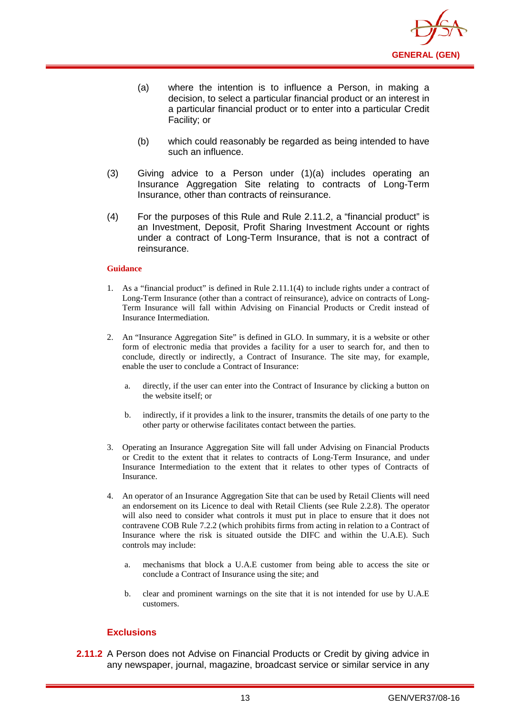

- (a) where the intention is to influence a Person, in making a decision, to select a particular financial product or an interest in a particular financial product or to enter into a particular Credit Facility; or
- (b) which could reasonably be regarded as being intended to have such an influence.
- (3) Giving advice to a Person under (1)(a) includes operating an Insurance Aggregation Site relating to contracts of Long-Term Insurance, other than contracts of reinsurance.
- (4) For the purposes of this Rule and Rule 2.11.2, a "financial product" is an Investment, Deposit, Profit Sharing Investment Account or rights under a contract of Long-Term Insurance, that is not a contract of reinsurance.

#### **Guidance**

- 1. As a "financial product" is defined in Rule 2.11.1(4) to include rights under a contract of Long-Term Insurance (other than a contract of reinsurance), advice on contracts of Long-Term Insurance will fall within Advising on Financial Products or Credit instead of Insurance Intermediation.
- 2. An "Insurance Aggregation Site" is defined in GLO. In summary, it is a website or other form of electronic media that provides a facility for a user to search for, and then to conclude, directly or indirectly, a Contract of Insurance. The site may, for example, enable the user to conclude a Contract of Insurance:
	- a. directly, if the user can enter into the Contract of Insurance by clicking a button on the website itself; or
	- b. indirectly, if it provides a link to the insurer, transmits the details of one party to the other party or otherwise facilitates contact between the parties.
- 3. Operating an Insurance Aggregation Site will fall under Advising on Financial Products or Credit to the extent that it relates to contracts of Long-Term Insurance, and under Insurance Intermediation to the extent that it relates to other types of Contracts of Insurance.
- 4. An operator of an Insurance Aggregation Site that can be used by Retail Clients will need an endorsement on its Licence to deal with Retail Clients (see Rule 2.2.8). The operator will also need to consider what controls it must put in place to ensure that it does not contravene COB Rule 7.2.2 (which prohibits firms from acting in relation to a Contract of Insurance where the risk is situated outside the DIFC and within the U.A.E). Such controls may include:
	- a. mechanisms that block a U.A.E customer from being able to access the site or conclude a Contract of Insurance using the site; and
	- b. clear and prominent warnings on the site that it is not intended for use by U.A.E customers.

#### **Exclusions**

**2.11.2** A Person does not Advise on Financial Products or Credit by giving advice in any newspaper, journal, magazine, broadcast service or similar service in any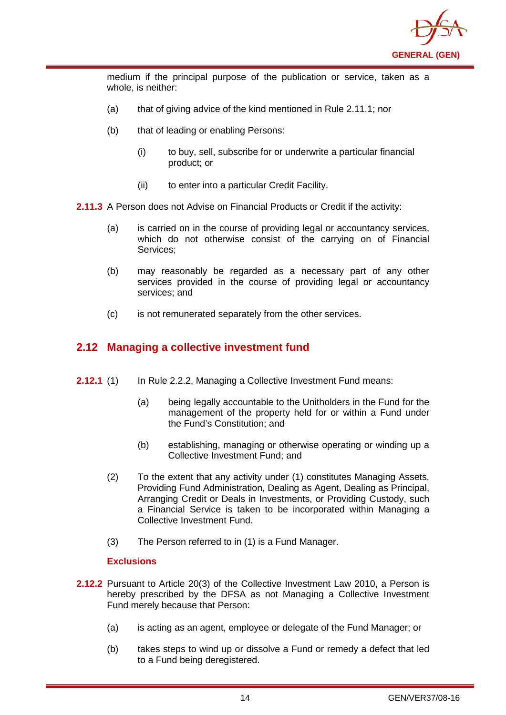

medium if the principal purpose of the publication or service, taken as a whole, is neither:

- (a) that of giving advice of the kind mentioned in Rule 2.11.1; nor
- (b) that of leading or enabling Persons:
	- (i) to buy, sell, subscribe for or underwrite a particular financial product; or
	- (ii) to enter into a particular Credit Facility.
- **2.11.3** A Person does not Advise on Financial Products or Credit if the activity:
	- (a) is carried on in the course of providing legal or accountancy services, which do not otherwise consist of the carrying on of Financial Services;
	- (b) may reasonably be regarded as a necessary part of any other services provided in the course of providing legal or accountancy services; and
	- (c) is not remunerated separately from the other services.

## <span id="page-17-0"></span>**2.12 Managing a collective investment fund**

- **2.12.1** (1) In Rule 2.2.2, Managing a Collective Investment Fund means:
	- (a) being legally accountable to the Unitholders in the Fund for the management of the property held for or within a Fund under the Fund's Constitution; and
	- (b) establishing, managing or otherwise operating or winding up a Collective Investment Fund; and
	- (2) To the extent that any activity under (1) constitutes Managing Assets, Providing Fund Administration, Dealing as Agent, Dealing as Principal, Arranging Credit or Deals in Investments, or Providing Custody, such a Financial Service is taken to be incorporated within Managing a Collective Investment Fund.
	- (3) The Person referred to in (1) is a Fund Manager.

#### **Exclusions**

- **2.12.2** Pursuant to Article 20(3) of the Collective Investment Law 2010, a Person is hereby prescribed by the DFSA as not Managing a Collective Investment Fund merely because that Person:
	- (a) is acting as an agent, employee or delegate of the Fund Manager; or
	- (b) takes steps to wind up or dissolve a Fund or remedy a defect that led to a Fund being deregistered.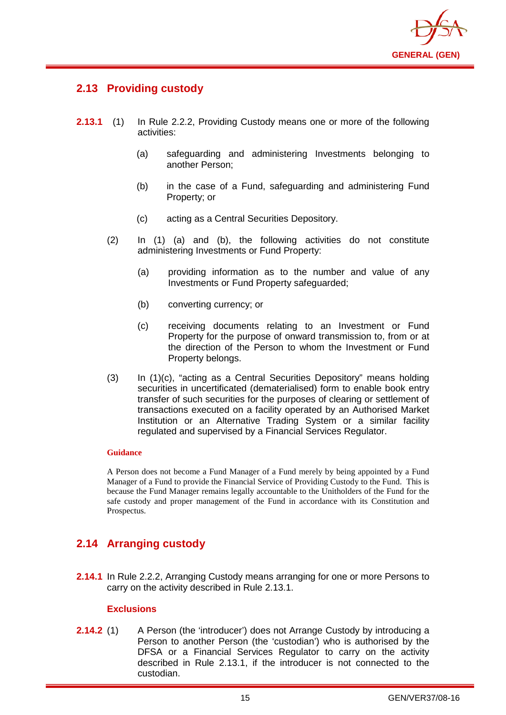

## <span id="page-18-0"></span>**2.13 Providing custody**

- **2.13.1** (1) In Rule 2.2.2, Providing Custody means one or more of the following activities:
	- (a) safeguarding and administering Investments belonging to another Person;
	- (b) in the case of a Fund, safeguarding and administering Fund Property; or
	- (c) acting as a Central Securities Depository.
	- (2) In (1) (a) and (b), the following activities do not constitute administering Investments or Fund Property:
		- (a) providing information as to the number and value of any Investments or Fund Property safeguarded;
		- (b) converting currency; or
		- (c) receiving documents relating to an Investment or Fund Property for the purpose of onward transmission to, from or at the direction of the Person to whom the Investment or Fund Property belongs.
	- (3) In (1)(c), "acting as a Central Securities Depository" means holding securities in uncertificated (dematerialised) form to enable [book entry](http://en.wikipedia.org/wiki/Book_entry) transfer of such securities for the purposes of clearing or settlement of transactions executed on a facility operated by an Authorised Market Institution or an Alternative Trading System or a similar facility regulated and supervised by a Financial Services Regulator.

#### **Guidance**

A Person does not become a Fund Manager of a Fund merely by being appointed by a Fund Manager of a Fund to provide the Financial Service of Providing Custody to the Fund. This is because the Fund Manager remains legally accountable to the Unitholders of the Fund for the safe custody and proper management of the Fund in accordance with its Constitution and Prospectus.

## <span id="page-18-1"></span>**2.14 Arranging custody**

**2.14.1** In Rule 2.2.2, Arranging Custody means arranging for one or more Persons to carry on the activity described in Rule 2.13.1.

#### **Exclusions**

**2.14.2** (1) A Person (the 'introducer') does not Arrange Custody by introducing a Person to another Person (the 'custodian') who is authorised by the DFSA or a Financial Services Regulator to carry on the activity described in Rule 2.13.1, if the introducer is not connected to the custodian.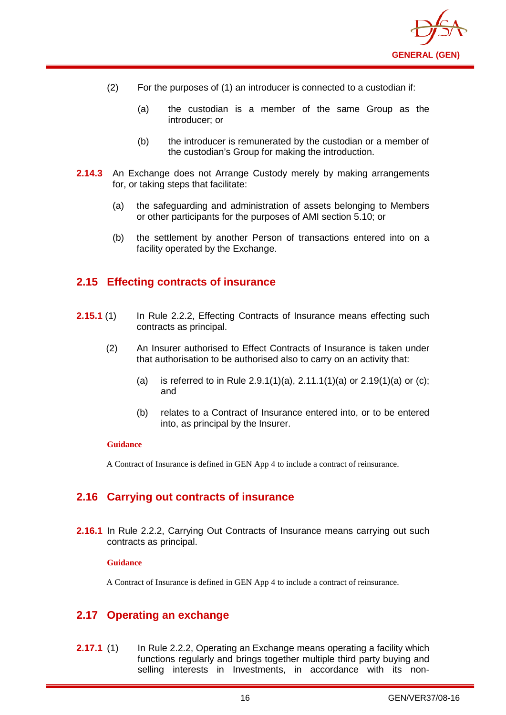

- (2) For the purposes of (1) an introducer is connected to a custodian if:
	- (a) the custodian is a member of the same Group as the introducer; or
	- (b) the introducer is remunerated by the custodian or a member of the custodian's Group for making the introduction.
- **2.14.3** An Exchange does not Arrange Custody merely by making arrangements for, or taking steps that facilitate:
	- (a) the safeguarding and administration of assets belonging to Members or other participants for the purposes of AMI section 5.10; or
	- (b) the settlement by another Person of transactions entered into on a facility operated by the Exchange.

## <span id="page-19-0"></span>**2.15 Effecting contracts of insurance**

- **2.15.1** (1) In Rule 2.2.2, Effecting Contracts of Insurance means effecting such contracts as principal.
	- (2) An Insurer authorised to Effect Contracts of Insurance is taken under that authorisation to be authorised also to carry on an activity that:
		- (a) is referred to in Rule 2.9.1(1)(a), 2.11.1(1)(a) or 2.19(1)(a) or (c); and
		- (b) relates to a Contract of Insurance entered into, or to be entered into, as principal by the Insurer.

#### **Guidance**

A Contract of Insurance is defined in GEN App 4 to include a contract of reinsurance.

## <span id="page-19-1"></span>**2.16 Carrying out contracts of insurance**

**2.16.1** In Rule 2.2.2, Carrying Out Contracts of Insurance means carrying out such contracts as principal.

#### **Guidance**

A Contract of Insurance is defined in GEN App 4 to include a contract of reinsurance.

## <span id="page-19-2"></span>**2.17 Operating an exchange**

**2.17.1** (1) In Rule 2.2.2, Operating an Exchange means operating a facility which functions regularly and brings together multiple third party buying and selling interests in Investments, in accordance with its non-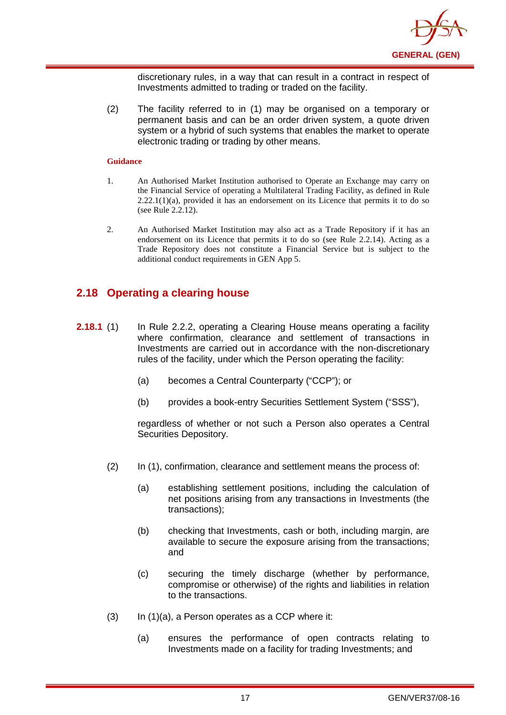

discretionary rules, in a way that can result in a contract in respect of Investments admitted to trading or traded on the facility.

(2) The facility referred to in (1) may be organised on a temporary or permanent basis and can be an order driven system, a quote driven system or a hybrid of such systems that enables the market to operate electronic trading or trading by other means.

#### **Guidance**

- 1. An Authorised Market Institution authorised to Operate an Exchange may carry on the Financial Service of operating a Multilateral Trading Facility, as defined in Rule  $2.22.1(1)(a)$ , provided it has an endorsement on its Licence that permits it to do so (see Rule 2.2.12).
- 2. An Authorised Market Institution may also act as a Trade Repository if it has an endorsement on its Licence that permits it to do so (see Rule 2.2.14). Acting as a Trade Repository does not constitute a Financial Service but is subject to the additional conduct requirements in GEN App 5.

## <span id="page-20-0"></span>**2.18 Operating a clearing house**

- **2.18.1** (1) In Rule 2.2.2, operating a Clearing House means operating a facility where confirmation, clearance and settlement of transactions in Investments are carried out in accordance with the non-discretionary rules of the facility, under which the Person operating the facility:
	- (a) becomes a Central Counterparty ("CCP"); or
	- (b) provides a book-entry Securities Settlement System ("SSS"),

regardless of whether or not such a Person also operates a Central Securities Depository.

- (2) In (1), confirmation, clearance and settlement means the process of:
	- (a) establishing settlement positions, including the calculation of net positions arising from any transactions in Investments (the transactions);
	- (b) checking that Investments, cash or both, including margin, are available to secure the exposure arising from the transactions; and
	- (c) securing the timely discharge (whether by performance, compromise or otherwise) of the rights and liabilities in relation to the transactions.
- $(3)$  In  $(1)(a)$ , a Person operates as a CCP where it:
	- (a) ensures the performance of open contracts relating to Investments made on a facility for trading Investments; and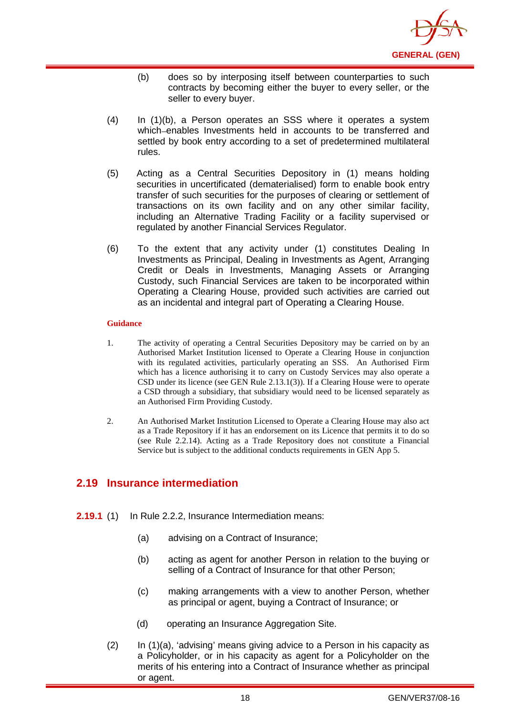

- (b) does so by interposing itself between counterparties to such contracts by becoming either the buyer to every seller, or the seller to every buyer.
- (4) In (1)(b), a Person operates an SSS where it operates a system which enables Investments held in accounts to be transferred and settled by book entry according to a set of predetermined multilateral rules.
- (5) Acting as a Central Securities Depository in (1) means holding securities in uncertificated (dematerialised) form to enable [book entry](http://en.wikipedia.org/wiki/Book_entry) transfer of such securities for the purposes of clearing or settlement of transactions on its own facility and on any other similar facility, including an Alternative Trading Facility or a facility supervised or regulated by another Financial Services Regulator.
- (6) To the extent that any activity under (1) constitutes Dealing In Investments as Principal, Dealing in Investments as Agent, Arranging Credit or Deals in Investments, Managing Assets or Arranging Custody, such Financial Services are taken to be incorporated within Operating a Clearing House, provided such activities are carried out as an incidental and integral part of Operating a Clearing House.

#### **Guidance**

- 1. The activity of operating a Central Securities Depository may be carried on by an Authorised Market Institution licensed to Operate a Clearing House in conjunction with its regulated activities, particularly operating an SSS. An Authorised Firm which has a licence authorising it to carry on Custody Services may also operate a CSD under its licence (see GEN Rule 2.13.1(3)). If a Clearing House were to operate a CSD through a subsidiary, that subsidiary would need to be licensed separately as an Authorised Firm Providing Custody.
- 2. An Authorised Market Institution Licensed to Operate a Clearing House may also act as a Trade Repository if it has an endorsement on its Licence that permits it to do so (see Rule 2.2.14). Acting as a Trade Repository does not constitute a Financial Service but is subject to the additional conducts requirements in GEN App 5.

## <span id="page-21-0"></span>**2.19 Insurance intermediation**

- **2.19.1** (1) In Rule 2.2.2, Insurance Intermediation means:
	- (a) advising on a Contract of Insurance;
	- (b) acting as agent for another Person in relation to the buying or selling of a Contract of Insurance for that other Person;
	- (c) making arrangements with a view to another Person, whether as principal or agent, buying a Contract of Insurance; or
	- (d) operating an Insurance Aggregation Site.
	- (2) In (1)(a), 'advising' means giving advice to a Person in his capacity as a Policyholder, or in his capacity as agent for a Policyholder on the merits of his entering into a Contract of Insurance whether as principal or agent.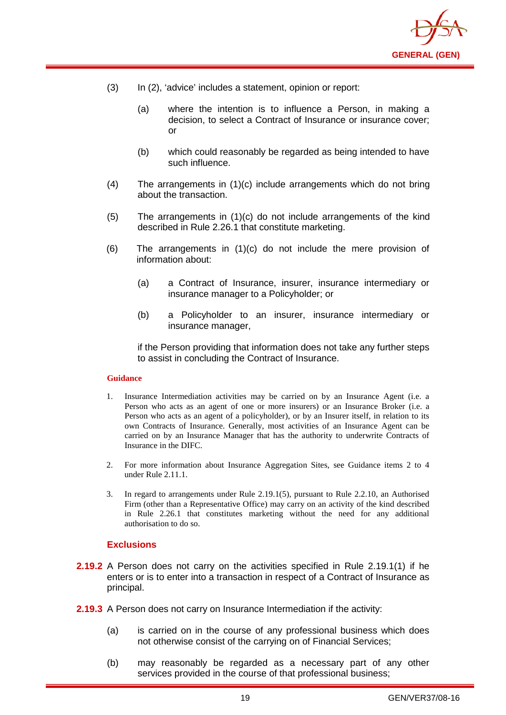

- (3) In (2), 'advice' includes a statement, opinion or report:
	- (a) where the intention is to influence a Person, in making a decision, to select a Contract of Insurance or insurance cover; or
	- (b) which could reasonably be regarded as being intended to have such influence.
- (4) The arrangements in (1)(c) include arrangements which do not bring about the transaction.
- (5) The arrangements in (1)(c) do not include arrangements of the kind described in Rule 2.26.1 that constitute marketing.
- (6) The arrangements in (1)(c) do not include the mere provision of information about:
	- (a) a Contract of Insurance, insurer, insurance intermediary or insurance manager to a Policyholder; or
	- (b) a Policyholder to an insurer, insurance intermediary or insurance manager,

if the Person providing that information does not take any further steps to assist in concluding the Contract of Insurance.

#### **Guidance**

- 1. Insurance Intermediation activities may be carried on by an Insurance Agent (i.e. a Person who acts as an agent of one or more insurers) or an Insurance Broker (i.e. a Person who acts as an agent of a policyholder), or by an Insurer itself, in relation to its own Contracts of Insurance. Generally, most activities of an Insurance Agent can be carried on by an Insurance Manager that has the authority to underwrite Contracts of Insurance in the DIFC.
- 2. For more information about Insurance Aggregation Sites, see Guidance items 2 to 4 under Rule 2.11.1.
- 3. In regard to arrangements under Rule 2.19.1(5), pursuant to Rule 2.2.10, an Authorised Firm (other than a Representative Office) may carry on an activity of the kind described in Rule 2.26.1 that constitutes marketing without the need for any additional authorisation to do so.

#### **Exclusions**

- **2.19.2** A Person does not carry on the activities specified in Rule 2.19.1(1) if he enters or is to enter into a transaction in respect of a Contract of Insurance as principal.
- **2.19.3** A Person does not carry on Insurance Intermediation if the activity:
	- (a) is carried on in the course of any professional business which does not otherwise consist of the carrying on of Financial Services;
	- (b) may reasonably be regarded as a necessary part of any other services provided in the course of that professional business;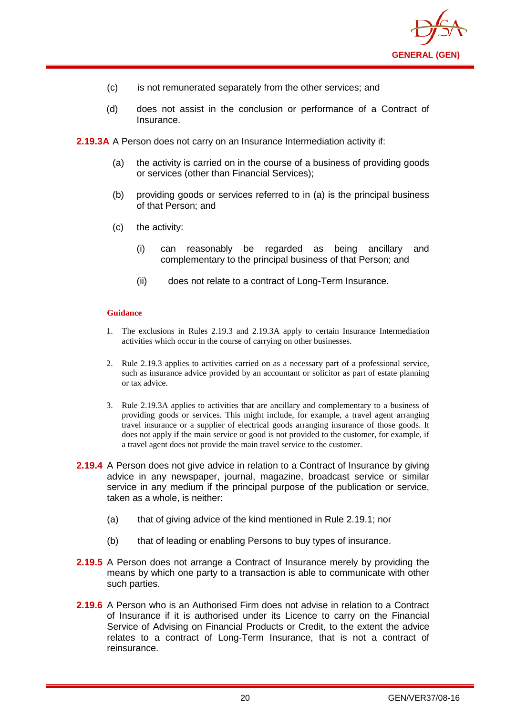

- (c) is not remunerated separately from the other services; and
- (d) does not assist in the conclusion or performance of a Contract of **Insurance**

**2.19.3A** A Person does not carry on an Insurance Intermediation activity if:

- (a) the activity is carried on in the course of a business of providing goods or services (other than Financial Services);
- (b) providing goods or services referred to in (a) is the principal business of that Person; and
- (c) the activity:
	- (i) can reasonably be regarded as being ancillary and complementary to the principal business of that Person; and
	- (ii) does not relate to a contract of Long-Term Insurance.

- 1. The exclusions in Rules 2.19.3 and 2.19.3A apply to certain Insurance Intermediation activities which occur in the course of carrying on other businesses.
- 2. Rule 2.19.3 applies to activities carried on as a necessary part of a professional service, such as insurance advice provided by an accountant or solicitor as part of estate planning or tax advice.
- 3. Rule 2.19.3A applies to activities that are ancillary and complementary to a business of providing goods or services. This might include, for example, a travel agent arranging travel insurance or a supplier of electrical goods arranging insurance of those goods. It does not apply if the main service or good is not provided to the customer, for example, if a travel agent does not provide the main travel service to the customer.
- **2.19.4** A Person does not give advice in relation to a Contract of Insurance by giving advice in any newspaper, journal, magazine, broadcast service or similar service in any medium if the principal purpose of the publication or service, taken as a whole, is neither:
	- (a) that of giving advice of the kind mentioned in Rule 2.19.1; nor
	- (b) that of leading or enabling Persons to buy types of insurance.
- **2.19.5** A Person does not arrange a Contract of Insurance merely by providing the means by which one party to a transaction is able to communicate with other such parties.
- **2.19.6** A Person who is an Authorised Firm does not advise in relation to a Contract of Insurance if it is authorised under its Licence to carry on the Financial Service of Advising on Financial Products or Credit, to the extent the advice relates to a contract of Long-Term Insurance, that is not a contract of reinsurance.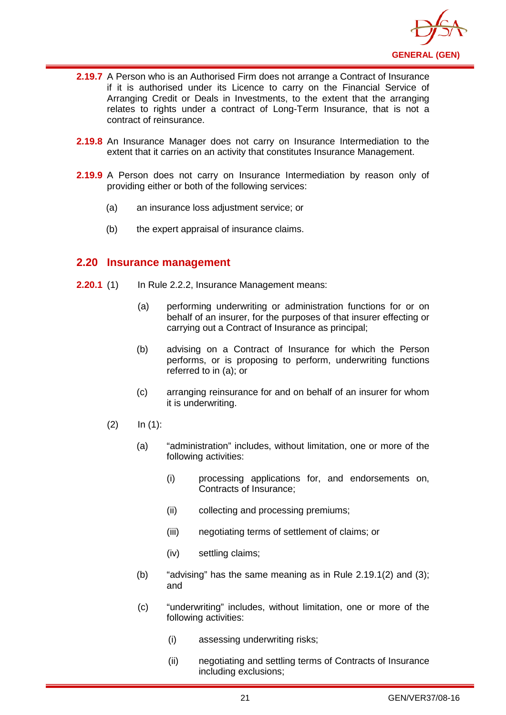

- **2.19.7** A Person who is an Authorised Firm does not arrange a Contract of Insurance if it is authorised under its Licence to carry on the Financial Service of Arranging Credit or Deals in Investments, to the extent that the arranging relates to rights under a contract of Long-Term Insurance, that is not a contract of reinsurance.
- **2.19.8** An Insurance Manager does not carry on Insurance Intermediation to the extent that it carries on an activity that constitutes Insurance Management.
- **2.19.9** A Person does not carry on Insurance Intermediation by reason only of providing either or both of the following services:
	- (a) an insurance loss adjustment service; or
	- (b) the expert appraisal of insurance claims.

## <span id="page-24-0"></span>**2.20 Insurance management**

- **2.20.1** (1) In Rule 2.2.2, Insurance Management means:
	- (a) performing underwriting or administration functions for or on behalf of an insurer, for the purposes of that insurer effecting or carrying out a Contract of Insurance as principal;
	- (b) advising on a Contract of Insurance for which the Person performs, or is proposing to perform, underwriting functions referred to in (a); or
	- (c) arranging reinsurance for and on behalf of an insurer for whom it is underwriting.
	- $(2)$  In  $(1)$ :
		- (a) "administration" includes, without limitation, one or more of the following activities:
			- (i) processing applications for, and endorsements on, Contracts of Insurance;
			- (ii) collecting and processing premiums;
			- (iii) negotiating terms of settlement of claims; or
			- (iv) settling claims;
		- (b) "advising" has the same meaning as in Rule  $2.19.1(2)$  and  $(3)$ ; and
		- (c) "underwriting" includes, without limitation, one or more of the following activities:
			- (i) assessing underwriting risks;
			- (ii) negotiating and settling terms of Contracts of Insurance including exclusions;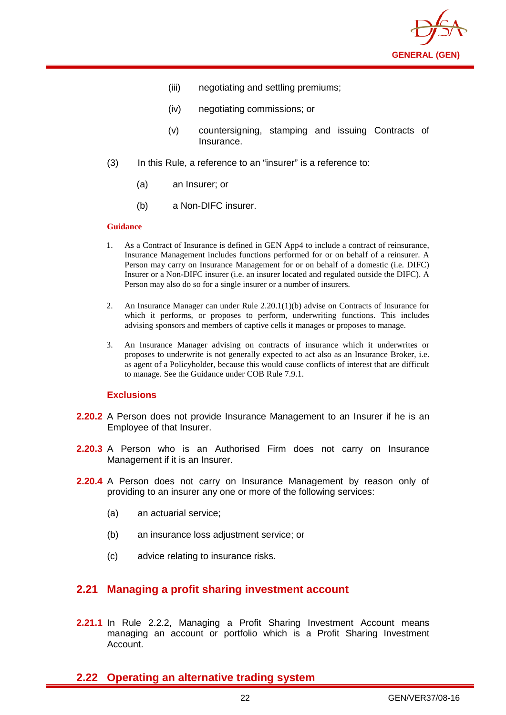

- (iii) negotiating and settling premiums;
- (iv) negotiating commissions; or
- (v) countersigning, stamping and issuing Contracts of Insurance.
- (3) In this Rule, a reference to an "insurer" is a reference to:
	- (a) an Insurer; or
	- (b) a Non-DIFC insurer.

#### **Guidance**

- 1. As a Contract of Insurance is defined in GEN App4 to include a contract of reinsurance, Insurance Management includes functions performed for or on behalf of a reinsurer. A Person may carry on Insurance Management for or on behalf of a domestic (i.e. DIFC) Insurer or a Non-DIFC insurer (i.e. an insurer located and regulated outside the DIFC). A Person may also do so for a single insurer or a number of insurers.
- 2. An Insurance Manager can under Rule 2.20.1(1)(b) advise on Contracts of Insurance for which it performs, or proposes to perform, underwriting functions. This includes advising sponsors and members of captive cells it manages or proposes to manage.
- 3. An Insurance Manager advising on contracts of insurance which it underwrites or proposes to underwrite is not generally expected to act also as an Insurance Broker, i.e. as agent of a Policyholder, because this would cause conflicts of interest that are difficult to manage. See the Guidance under COB Rule 7.9.1.

#### **Exclusions**

- **2.20.2** A Person does not provide Insurance Management to an Insurer if he is an Employee of that Insurer.
- **2.20.3** A Person who is an Authorised Firm does not carry on Insurance Management if it is an Insurer.
- **2.20.4** A Person does not carry on Insurance Management by reason only of providing to an insurer any one or more of the following services:
	- (a) an actuarial service;
	- (b) an insurance loss adjustment service; or
	- (c) advice relating to insurance risks.

#### <span id="page-25-0"></span>**2.21 Managing a profit sharing investment account**

**2.21.1** In Rule 2.2.2, Managing a Profit Sharing Investment Account means managing an account or portfolio which is a Profit Sharing Investment Account.

### <span id="page-25-1"></span>**2.22 Operating an alternative trading system**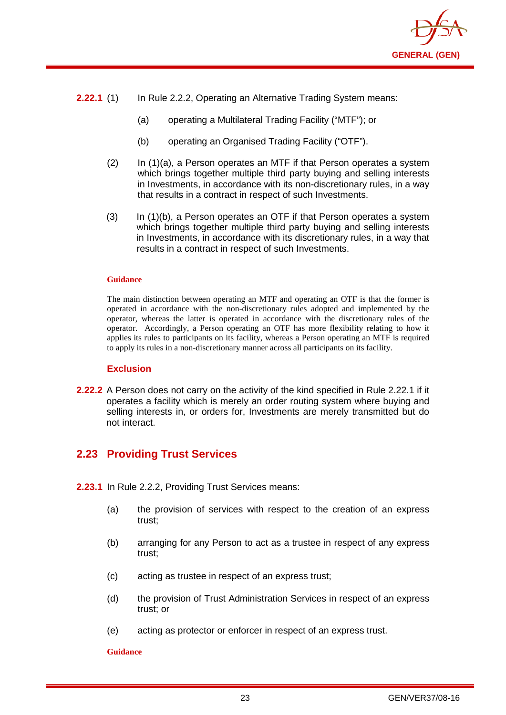

- **2.22.1** (1) In Rule 2.2.2, Operating an Alternative Trading System means:
	- (a) operating a Multilateral Trading Facility ("MTF"); or
	- (b) operating an Organised Trading Facility ("OTF").
	- (2) In (1)(a), a Person operates an MTF if that Person operates a system which brings together multiple third party buying and selling interests in Investments, in accordance with its non-discretionary rules, in a way that results in a contract in respect of such Investments.
	- (3) In (1)(b), a Person operates an OTF if that Person operates a system which brings together multiple third party buying and selling interests in Investments, in accordance with its discretionary rules, in a way that results in a contract in respect of such Investments.

#### **Guidance**

The main distinction between operating an MTF and operating an OTF is that the former is operated in accordance with the non-discretionary rules adopted and implemented by the operator, whereas the latter is operated in accordance with the discretionary rules of the operator. Accordingly, a Person operating an OTF has more flexibility relating to how it applies its rules to participants on its facility, whereas a Person operating an MTF is required to apply its rules in a non-discretionary manner across all participants on its facility.

#### **Exclusion**

**2.22.2** A Person does not carry on the activity of the kind specified in Rule 2.22.1 if it operates a facility which is merely an order routing system where buying and selling interests in, or orders for, Investments are merely transmitted but do not interact.

## <span id="page-26-0"></span>**2.23 Providing Trust Services**

- **2.23.1** In Rule 2.2.2, Providing Trust Services means:
	- (a) the provision of services with respect to the creation of an express trust;
	- (b) arranging for any Person to act as a trustee in respect of any express trust;
	- (c) acting as trustee in respect of an express trust;
	- (d) the provision of Trust Administration Services in respect of an express trust; or
	- (e) acting as protector or enforcer in respect of an express trust.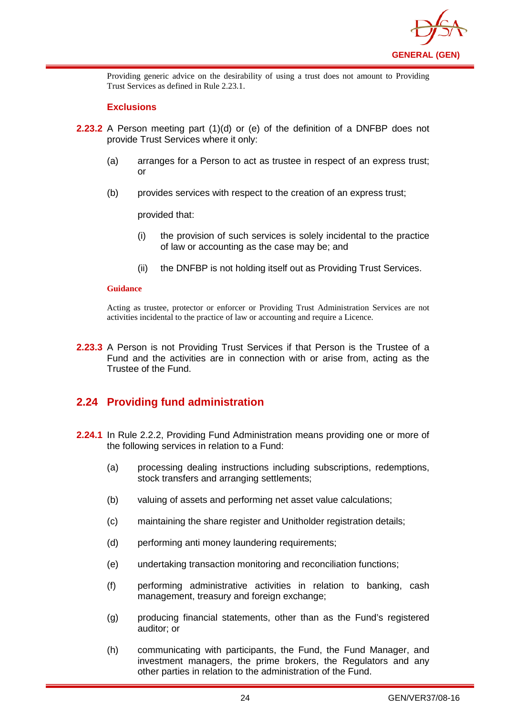

Providing generic advice on the desirability of using a trust does not amount to Providing Trust Services as defined in Rule 2.23.1.

#### **Exclusions**

- **2.23.2** A Person meeting part (1)(d) or (e) of the definition of a DNFBP does not provide Trust Services where it only:
	- (a) arranges for a Person to act as trustee in respect of an express trust; or
	- (b) provides services with respect to the creation of an express trust;

provided that:

- (i) the provision of such services is solely incidental to the practice of law or accounting as the case may be; and
- (ii) the DNFBP is not holding itself out as Providing Trust Services.

#### **Guidance**

Acting as trustee, protector or enforcer or Providing Trust Administration Services are not activities incidental to the practice of law or accounting and require a Licence.

**2.23.3** A Person is not Providing Trust Services if that Person is the Trustee of a Fund and the activities are in connection with or arise from, acting as the Trustee of the Fund.

## <span id="page-27-0"></span>**2.24 Providing fund administration**

- **2.24.1** In Rule 2.2.2, Providing Fund Administration means providing one or more of the following services in relation to a Fund:
	- (a) processing dealing instructions including subscriptions, redemptions, stock transfers and arranging settlements;
	- (b) valuing of assets and performing net asset value calculations;
	- (c) maintaining the share register and Unitholder registration details;
	- (d) performing anti money laundering requirements;
	- (e) undertaking transaction monitoring and reconciliation functions;
	- (f) performing administrative activities in relation to banking, cash management, treasury and foreign exchange;
	- (g) producing financial statements, other than as the Fund's registered auditor; or
	- (h) communicating with participants, the Fund, the Fund Manager, and investment managers, the prime brokers, the Regulators and any other parties in relation to the administration of the Fund.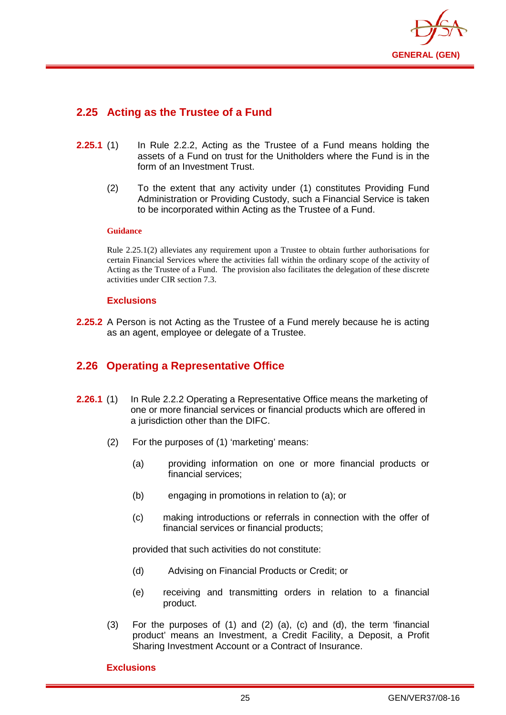

## <span id="page-28-0"></span>**2.25 Acting as the Trustee of a Fund**

- **2.25.1** (1) In Rule 2.2.2, Acting as the Trustee of a Fund means holding the assets of a Fund on trust for the Unitholders where the Fund is in the form of an Investment Trust.
	- (2) To the extent that any activity under (1) constitutes Providing Fund Administration or Providing Custody, such a Financial Service is taken to be incorporated within Acting as the Trustee of a Fund.

#### **Guidance**

Rule 2.25.1(2) alleviates any requirement upon a Trustee to obtain further authorisations for certain Financial Services where the activities fall within the ordinary scope of the activity of Acting as the Trustee of a Fund. The provision also facilitates the delegation of these discrete activities under CIR section 7.3.

#### **Exclusions**

**2.25.2** A Person is not Acting as the Trustee of a Fund merely because he is acting as an agent, employee or delegate of a Trustee.

## <span id="page-28-1"></span>**2.26 Operating a Representative Office**

- **2.26.1** (1) In Rule 2.2.2 Operating a Representative Office means the marketing of one or more financial services or financial products which are offered in a jurisdiction other than the DIFC.
	- (2) For the purposes of (1) 'marketing' means:
		- (a) providing information on one or more financial products or financial services;
		- (b) engaging in promotions in relation to (a); or
		- (c) making introductions or referrals in connection with the offer of financial services or financial products;

provided that such activities do not constitute:

- (d) Advising on Financial Products or Credit; or
- (e) receiving and transmitting orders in relation to a financial product.
- (3) For the purposes of (1) and (2) (a), (c) and (d), the term 'financial product' means an Investment, a Credit Facility, a Deposit, a Profit Sharing Investment Account or a Contract of Insurance.

#### **Exclusions**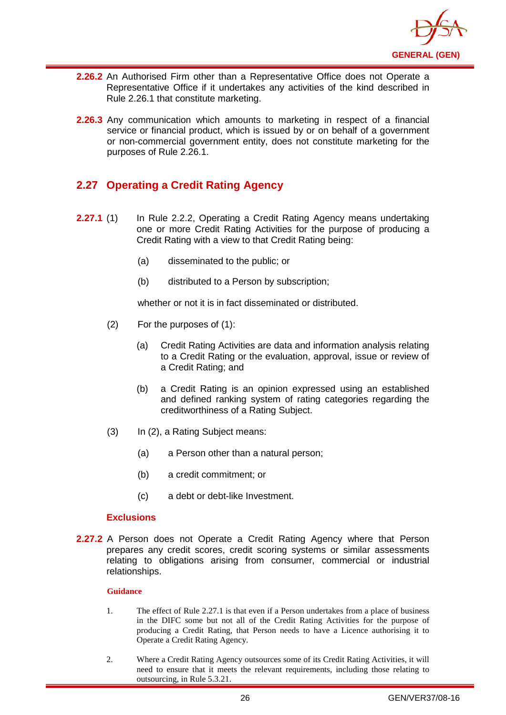

- **2.26.2** An Authorised Firm other than a Representative Office does not Operate a Representative Office if it undertakes any activities of the kind described in Rule 2.26.1 that constitute marketing.
- **2.26.3** Any communication which amounts to marketing in respect of a financial service or financial product, which is issued by or on behalf of a government or non-commercial government entity, does not constitute marketing for the purposes of Rule 2.26.1.

## <span id="page-29-0"></span>**2.27 Operating a Credit Rating Agency**

- **2.27.1** (1) In Rule 2.2.2, Operating a Credit Rating Agency means undertaking one or more Credit Rating Activities for the purpose of producing a Credit Rating with a view to that Credit Rating being:
	- (a) disseminated to the public; or
	- (b) distributed to a Person by subscription;

whether or not it is in fact disseminated or distributed.

- (2) For the purposes of (1):
	- (a) Credit Rating Activities are data and information analysis relating to a Credit Rating or the evaluation, approval, issue or review of a Credit Rating; and
	- (b) a Credit Rating is an opinion expressed using an established and defined ranking system of rating categories regarding the creditworthiness of a Rating Subject.
- (3) In (2), a Rating Subject means:
	- (a) a Person other than a natural person;
	- (b) a credit commitment; or
	- (c) a debt or debt-like Investment.

#### **Exclusions**

**2.27.2** A Person does not Operate a Credit Rating Agency where that Person prepares any credit scores, credit scoring systems or similar assessments relating to obligations arising from consumer, commercial or industrial relationships.

- 1. The effect of Rule 2.27.1 is that even if a Person undertakes from a place of business in the DIFC some but not all of the Credit Rating Activities for the purpose of producing a Credit Rating, that Person needs to have a Licence authorising it to Operate a Credit Rating Agency.
- 2. Where a Credit Rating Agency outsources some of its Credit Rating Activities, it will need to ensure that it meets the relevant requirements, including those relating to outsourcing, in Rule 5.3.21.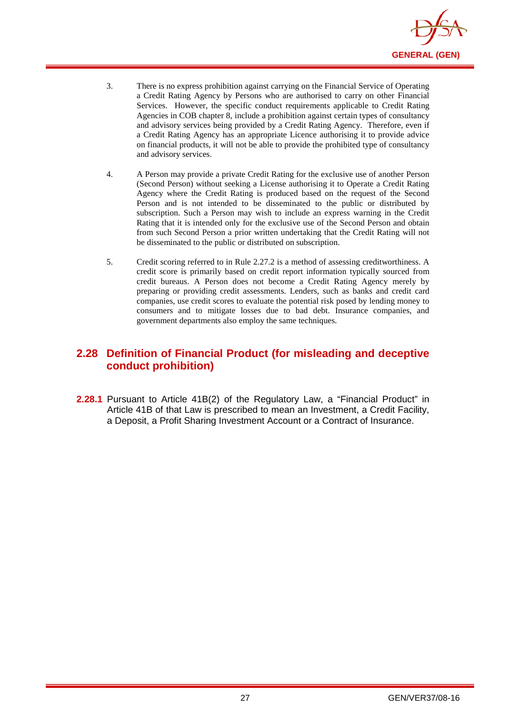

- 3. There is no express prohibition against carrying on the Financial Service of Operating a Credit Rating Agency by Persons who are authorised to carry on other Financial Services. However, the specific conduct requirements applicable to Credit Rating Agencies in COB chapter 8, include a prohibition against certain types of consultancy and advisory services being provided by a Credit Rating Agency. Therefore, even if a Credit Rating Agency has an appropriate Licence authorising it to provide advice on financial products, it will not be able to provide the prohibited type of consultancy and advisory services.
- 4. A Person may provide a private Credit Rating for the exclusive use of another Person (Second Person) without seeking a License authorising it to Operate a Credit Rating Agency where the Credit Rating is produced based on the request of the Second Person and is not intended to be disseminated to the public or distributed by subscription. Such a Person may wish to include an express warning in the Credit Rating that it is intended only for the exclusive use of the Second Person and obtain from such Second Person a prior written undertaking that the Credit Rating will not be disseminated to the public or distributed on subscription.
- 5. Credit scoring referred to in Rule 2.27.2 is a method of assessing creditworthiness. A credit score is primarily based on credit report information typically sourced from credit bureaus. A Person does not become a Credit Rating Agency merely by preparing or providing credit assessments. Lenders, such as banks and credit card companies, use credit scores to evaluate the potential risk posed by lending money to consumers and to mitigate losses due to bad debt. Insurance companies, and government departments also employ the same techniques.

## <span id="page-30-0"></span>**2.28 Definition of Financial Product (for misleading and deceptive conduct prohibition)**

**2.28.1** Pursuant to Article 41B(2) of the Regulatory Law, a "Financial Product" in Article 41B of that Law is prescribed to mean an Investment, a Credit Facility, a Deposit, a Profit Sharing Investment Account or a Contract of Insurance.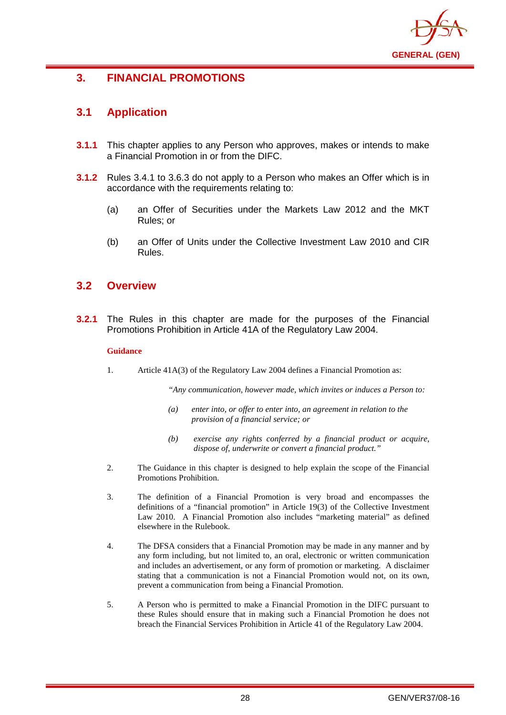

## <span id="page-31-0"></span>**3. FINANCIAL PROMOTIONS**

## <span id="page-31-1"></span>**3.1 Application**

- **3.1.1** This chapter applies to any Person who approves, makes or intends to make a Financial Promotion in or from the DIFC.
- **3.1.2** Rules 3.4.1 to 3.6.3 do not apply to a Person who makes an Offer which is in accordance with the requirements relating to:
	- (a) an Offer of Securities under the Markets Law 2012 and the MKT Rules; or
	- (b) an Offer of Units under the Collective Investment Law 2010 and CIR Rules.

## <span id="page-31-2"></span>**3.2 Overview**

**3.2.1** The Rules in this chapter are made for the purposes of the Financial Promotions Prohibition in Article 41A of the Regulatory Law 2004.

#### **Guidance**

1. Article 41A(3) of the Regulatory Law 2004 defines a Financial Promotion as:

*"Any communication, however made, which invites or induces a Person to:*

- *(a) enter into, or offer to enter into, an agreement in relation to the provision of a financial service; or*
- *(b) exercise any rights conferred by a financial product or acquire, dispose of, underwrite or convert a financial product."*
- 2. The Guidance in this chapter is designed to help explain the scope of the Financial Promotions Prohibition.
- 3. The definition of a Financial Promotion is very broad and encompasses the definitions of a "financial promotion" in Article 19(3) of the Collective Investment Law 2010. A Financial Promotion also includes "marketing material" as defined elsewhere in the Rulebook.
- 4. The DFSA considers that a Financial Promotion may be made in any manner and by any form including, but not limited to, an oral, electronic or written communication and includes an advertisement, or any form of promotion or marketing. A disclaimer stating that a communication is not a Financial Promotion would not, on its own, prevent a communication from being a Financial Promotion.
- 5. A Person who is permitted to make a Financial Promotion in the DIFC pursuant to these Rules should ensure that in making such a Financial Promotion he does not breach the Financial Services Prohibition in Article 41 of the Regulatory Law 2004.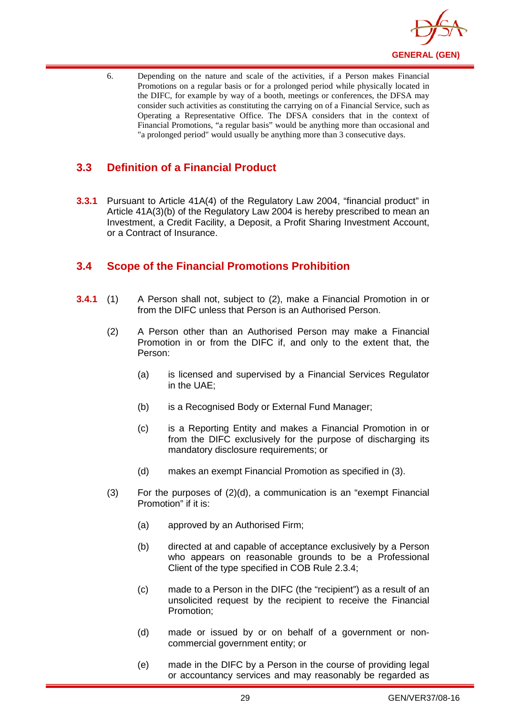

6. Depending on the nature and scale of the activities, if a Person makes Financial Promotions on a regular basis or for a prolonged period while physically located in the DIFC, for example by way of a booth, meetings or conferences, the DFSA may consider such activities as constituting the carrying on of a Financial Service, such as Operating a Representative Office. The DFSA considers that in the context of Financial Promotions, "a regular basis" would be anything more than occasional and "a prolonged period" would usually be anything more than 3 consecutive days.

## <span id="page-32-0"></span>**3.3 Definition of a Financial Product**

**3.3.1** Pursuant to Article 41A(4) of the Regulatory Law 2004, "financial product" in Article 41A(3)(b) of the Regulatory Law 2004 is hereby prescribed to mean an Investment, a Credit Facility, a Deposit, a Profit Sharing Investment Account, or a Contract of Insurance.

## <span id="page-32-1"></span>**3.4 Scope of the Financial Promotions Prohibition**

- **3.4.1** (1) A Person shall not, subject to (2), make a Financial Promotion in or from the DIFC unless that Person is an Authorised Person.
	- (2) A Person other than an Authorised Person may make a Financial Promotion in or from the DIFC if, and only to the extent that, the Person:
		- (a) is licensed and supervised by a Financial Services Regulator in the UAE;
		- (b) is a Recognised Body or External Fund Manager;
		- (c) is a Reporting Entity and makes a Financial Promotion in or from the DIFC exclusively for the purpose of discharging its mandatory disclosure requirements; or
		- (d) makes an exempt Financial Promotion as specified in (3).
	- $(3)$  For the purposes of  $(2)(d)$ , a communication is an "exempt Financial Promotion" if it is:
		- (a) approved by an Authorised Firm;
		- (b) directed at and capable of acceptance exclusively by a Person who appears on reasonable grounds to be a Professional Client of the type specified in COB Rule 2.3.4;
		- (c) made to a Person in the DIFC (the "recipient") as a result of an unsolicited request by the recipient to receive the Financial Promotion;
		- (d) made or issued by or on behalf of a government or noncommercial government entity; or
		- (e) made in the DIFC by a Person in the course of providing legal or accountancy services and may reasonably be regarded as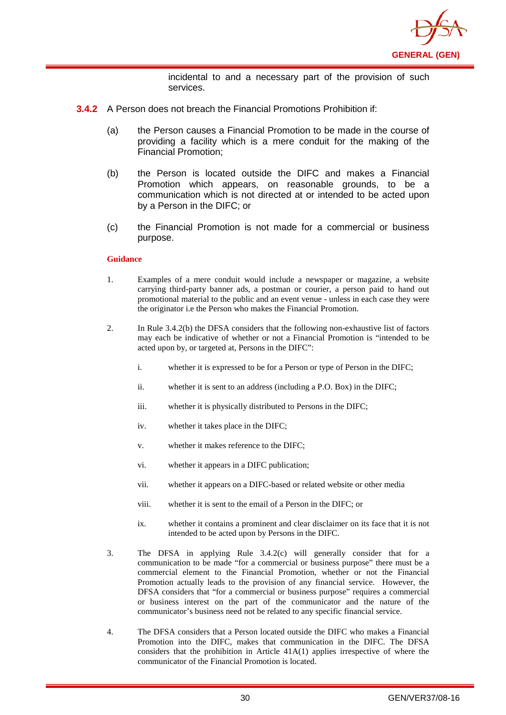

incidental to and a necessary part of the provision of such services.

- **3.4.2** A Person does not breach the Financial Promotions Prohibition if
	- (a) the Person causes a Financial Promotion to be made in the course of providing a facility which is a mere conduit for the making of the Financial Promotion;
	- (b) the Person is located outside the DIFC and makes a Financial Promotion which appears, on reasonable grounds, to be a communication which is not directed at or intended to be acted upon by a Person in the DIFC; or
	- (c) the Financial Promotion is not made for a commercial or business purpose.

- 1. Examples of a mere conduit would include a newspaper or magazine, a website carrying third-party banner ads, a postman or courier, a person paid to hand out promotional material to the public and an event venue - unless in each case they were the originator i.e the Person who makes the Financial Promotion.
- 2. In Rule 3.4.2(b) the DFSA considers that the following non-exhaustive list of factors may each be indicative of whether or not a Financial Promotion is "intended to be acted upon by, or targeted at, Persons in the DIFC":
	- i. whether it is expressed to be for a Person or type of Person in the DIFC;
	- ii. whether it is sent to an address (including a P.O. Box) in the DIFC;
	- iii. whether it is physically distributed to Persons in the DIFC;
	- iv. whether it takes place in the DIFC;
	- v. whether it makes reference to the DIFC;
	- vi. whether it appears in a DIFC publication;
	- vii. whether it appears on a DIFC-based or related website or other media
	- viii. whether it is sent to the email of a Person in the DIFC; or
	- ix. whether it contains a prominent and clear disclaimer on its face that it is not intended to be acted upon by Persons in the DIFC.
- 3. The DFSA in applying Rule 3.4.2(c) will generally consider that for a communication to be made "for a commercial or business purpose" there must be a commercial element to the Financial Promotion, whether or not the Financial Promotion actually leads to the provision of any financial service. However, the DFSA considers that "for a commercial or business purpose" requires a commercial or business interest on the part of the communicator and the nature of the communicator's business need not be related to any specific financial service.
- 4. The DFSA considers that a Person located outside the DIFC who makes a Financial Promotion into the DIFC, makes that communication in the DIFC. The DFSA considers that the prohibition in Article 41A(1) applies irrespective of where the communicator of the Financial Promotion is located.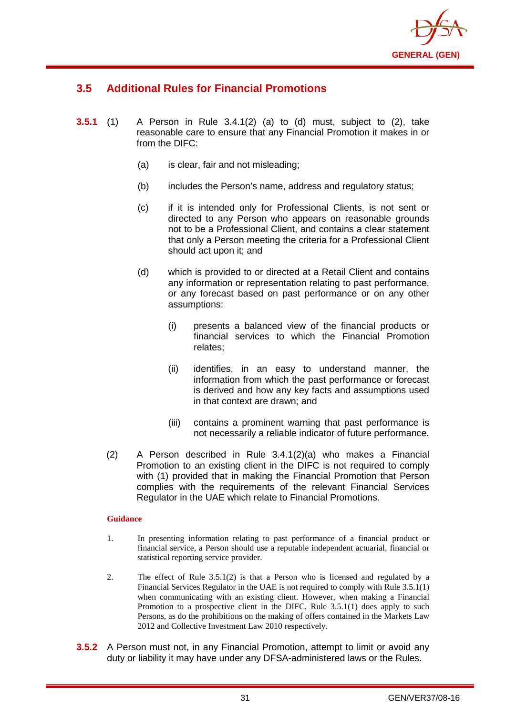

## <span id="page-34-0"></span>**3.5 Additional Rules for Financial Promotions**

- **3.5.1** (1) A Person in Rule 3.4.1(2) (a) to (d) must, subject to (2), take reasonable care to ensure that any Financial Promotion it makes in or from the DIFC:
	- (a) is clear, fair and not misleading;
	- (b) includes the Person's name, address and regulatory status;
	- (c) if it is intended only for Professional Clients, is not sent or directed to any Person who appears on reasonable grounds not to be a Professional Client, and contains a clear statement that only a Person meeting the criteria for a Professional Client should act upon it; and
	- (d) which is provided to or directed at a Retail Client and contains any information or representation relating to past performance, or any forecast based on past performance or on any other assumptions:
		- (i) presents a balanced view of the financial products or financial services to which the Financial Promotion relates;
		- (ii) identifies, in an easy to understand manner, the information from which the past performance or forecast is derived and how any key facts and assumptions used in that context are drawn; and
		- (iii) contains a prominent warning that past performance is not necessarily a reliable indicator of future performance.
	- (2) A Person described in Rule 3.4.1(2)(a) who makes a Financial Promotion to an existing client in the DIFC is not required to comply with (1) provided that in making the Financial Promotion that Person complies with the requirements of the relevant Financial Services Regulator in the UAE which relate to Financial Promotions.

- 1. In presenting information relating to past performance of a financial product or financial service, a Person should use a reputable independent actuarial, financial or statistical reporting service provider.
- 2. The effect of Rule 3.5.1(2) is that a Person who is licensed and regulated by a Financial Services Regulator in the UAE is not required to comply with Rule 3.5.1(1) when communicating with an existing client. However, when making a Financial Promotion to a prospective client in the DIFC, Rule 3.5.1(1) does apply to such Persons, as do the prohibitions on the making of offers contained in the Markets Law 2012 and Collective Investment Law 2010 respectively.
- **3.5.2** A Person must not, in any Financial Promotion, attempt to limit or avoid any duty or liability it may have under any DFSA-administered laws or the Rules.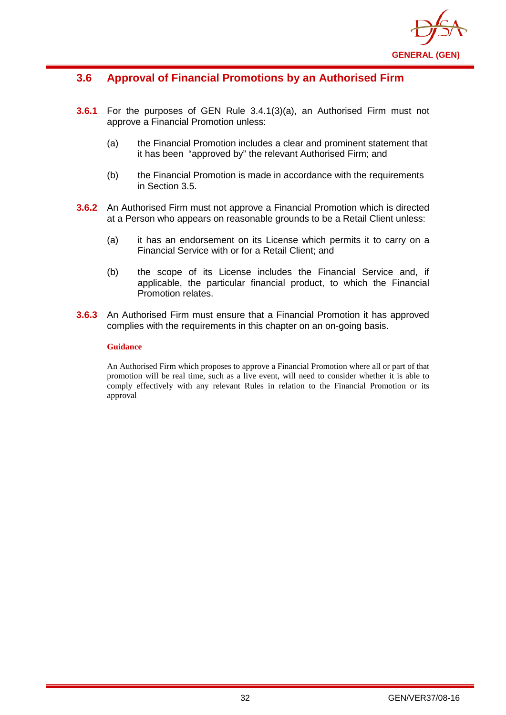

## **3.6 Approval of Financial Promotions by an Authorised Firm**

- **3.6.1** For the purposes of GEN Rule 3.4.1(3)(a), an Authorised Firm must not approve a Financial Promotion unless:
	- (a) the Financial Promotion includes a clear and prominent statement that it has been "approved by" the relevant Authorised Firm; and
	- (b) the Financial Promotion is made in accordance with the requirements in Section 3.5.
- **3.6.2** An Authorised Firm must not approve a Financial Promotion which is directed at a Person who appears on reasonable grounds to be a Retail Client unless:
	- (a) it has an endorsement on its License which permits it to carry on a Financial Service with or for a Retail Client; and
	- (b) the scope of its License includes the Financial Service and, if applicable, the particular financial product, to which the Financial Promotion relates.
- **3.6.3** An Authorised Firm must ensure that a Financial Promotion it has approved complies with the requirements in this chapter on an on-going basis.

#### **Guidance**

An Authorised Firm which proposes to approve a Financial Promotion where all or part of that promotion will be real time, such as a live event, will need to consider whether it is able to comply effectively with any relevant Rules in relation to the Financial Promotion or its approval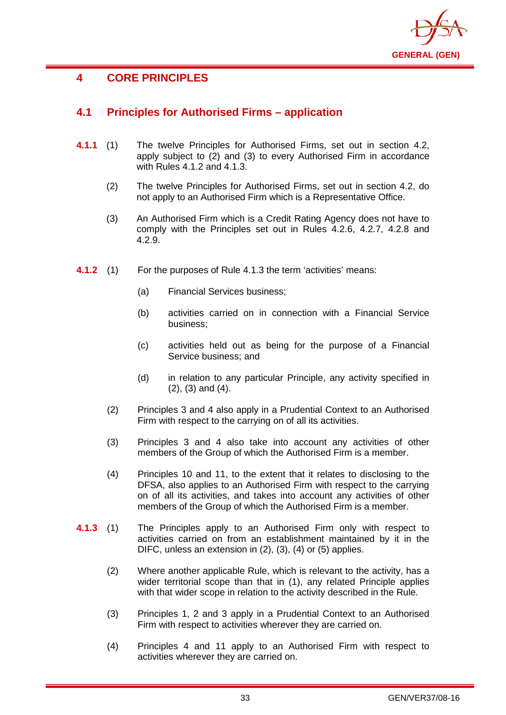

# **4 CORE PRINCIPLES**

# **4.1 Principles for Authorised Firms – application**

- **4.1.1** (1) The twelve Principles for Authorised Firms, set out in section 4.2, apply subject to (2) and (3) to every Authorised Firm in accordance with Rules 4.1.2 and 4.1.3.
	- (2) The twelve Principles for Authorised Firms, set out in section 4.2, do not apply to an Authorised Firm which is a Representative Office.
	- (3) An Authorised Firm which is a Credit Rating Agency does not have to comply with the Principles set out in Rules 4.2.6, 4.2.7, 4.2.8 and 4.2.9.
- **4.1.2** (1) For the purposes of Rule 4.1.3 the term 'activities' means:
	- (a) Financial Services business;
	- (b) activities carried on in connection with a Financial Service business;
	- (c) activities held out as being for the purpose of a Financial Service business; and
	- (d) in relation to any particular Principle, any activity specified in (2), (3) and (4).
	- (2) Principles 3 and 4 also apply in a Prudential Context to an Authorised Firm with respect to the carrying on of all its activities.
	- (3) Principles 3 and 4 also take into account any activities of other members of the Group of which the Authorised Firm is a member.
	- (4) Principles 10 and 11, to the extent that it relates to disclosing to the DFSA, also applies to an Authorised Firm with respect to the carrying on of all its activities, and takes into account any activities of other members of the Group of which the Authorised Firm is a member.
- **4.1.3** (1) The Principles apply to an Authorised Firm only with respect to activities carried on from an establishment maintained by it in the DIFC, unless an extension in (2), (3), (4) or (5) applies.
	- (2) Where another applicable Rule, which is relevant to the activity, has a wider territorial scope than that in (1), any related Principle applies with that wider scope in relation to the activity described in the Rule.
	- (3) Principles 1, 2 and 3 apply in a Prudential Context to an Authorised Firm with respect to activities wherever they are carried on.
	- (4) Principles 4 and 11 apply to an Authorised Firm with respect to activities wherever they are carried on.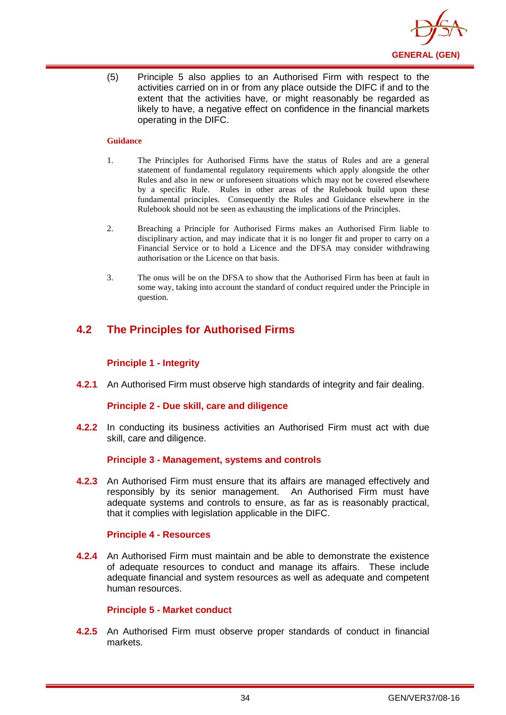

(5) Principle 5 also applies to an Authorised Firm with respect to the activities carried on in or from any place outside the DIFC if and to the extent that the activities have, or might reasonably be regarded as likely to have, a negative effect on confidence in the financial markets operating in the DIFC.

#### **Guidance**

- 1. The Principles for Authorised Firms have the status of Rules and are a general statement of fundamental regulatory requirements which apply alongside the other Rules and also in new or unforeseen situations which may not be covered elsewhere by a specific Rule. Rules in other areas of the Rulebook build upon these fundamental principles. Consequently the Rules and Guidance elsewhere in the Rulebook should not be seen as exhausting the implications of the Principles.
- 2. Breaching a Principle for Authorised Firms makes an Authorised Firm liable to disciplinary action, and may indicate that it is no longer fit and proper to carry on a Financial Service or to hold a Licence and the DFSA may consider withdrawing authorisation or the Licence on that basis.
- 3. The onus will be on the DFSA to show that the Authorised Firm has been at fault in some way, taking into account the standard of conduct required under the Principle in question.

# **4.2 The Principles for Authorised Firms**

### **Principle 1 - Integrity**

**4.2.1** An Authorised Firm must observe high standards of integrity and fair dealing.

### **Principle 2 - Due skill, care and diligence**

**4.2.2** In conducting its business activities an Authorised Firm must act with due skill, care and diligence.

### **Principle 3 - Management, systems and controls**

**4.2.3** An Authorised Firm must ensure that its affairs are managed effectively and responsibly by its senior management. An Authorised Firm must have adequate systems and controls to ensure, as far as is reasonably practical, that it complies with legislation applicable in the DIFC.

## **Principle 4 - Resources**

**4.2.4** An Authorised Firm must maintain and be able to demonstrate the existence of adequate resources to conduct and manage its affairs. These include adequate financial and system resources as well as adequate and competent human resources.

### **Principle 5 - Market conduct**

**4.2.5** An Authorised Firm must observe proper standards of conduct in financial markets.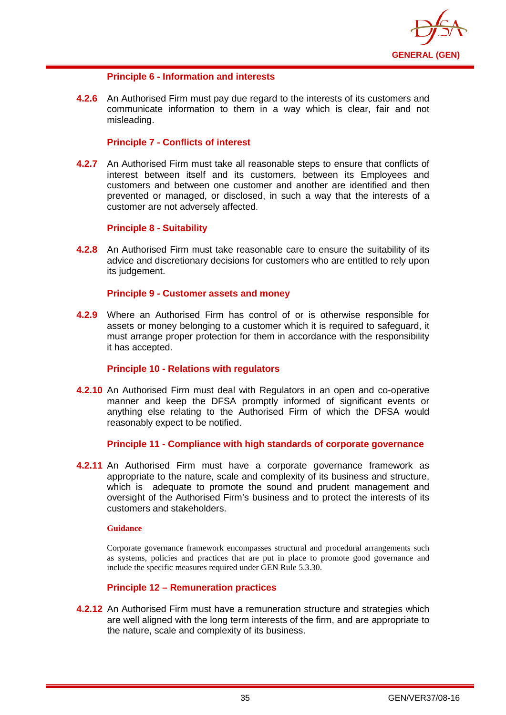

## **Principle 6 - Information and interests**

**4.2.6** An Authorised Firm must pay due regard to the interests of its customers and communicate information to them in a way which is clear, fair and not misleading.

## **Principle 7 - Conflicts of interest**

**4.2.7** An Authorised Firm must take all reasonable steps to ensure that conflicts of interest between itself and its customers, between its Employees and customers and between one customer and another are identified and then prevented or managed, or disclosed, in such a way that the interests of a customer are not adversely affected.

## **Principle 8 - Suitability**

**4.2.8** An Authorised Firm must take reasonable care to ensure the suitability of its advice and discretionary decisions for customers who are entitled to rely upon its judgement.

## **Principle 9 - Customer assets and money**

**4.2.9** Where an Authorised Firm has control of or is otherwise responsible for assets or money belonging to a customer which it is required to safeguard, it must arrange proper protection for them in accordance with the responsibility it has accepted.

### **Principle 10 - Relations with regulators**

**4.2.10** An Authorised Firm must deal with Regulators in an open and co-operative manner and keep the DFSA promptly informed of significant events or anything else relating to the Authorised Firm of which the DFSA would reasonably expect to be notified.

### **Principle 11 - Compliance with high standards of corporate governance**

**4.2.11** An Authorised Firm must have a corporate governance framework as appropriate to the nature, scale and complexity of its business and structure, which is adequate to promote the sound and prudent management and oversight of the Authorised Firm's business and to protect the interests of its customers and stakeholders.

#### **Guidance**

Corporate governance framework encompasses structural and procedural arrangements such as systems, policies and practices that are put in place to promote good governance and include the specific measures required under GEN Rule 5.3.30.

## **Principle 12 – Remuneration practices**

**4.2.12** An Authorised Firm must have a remuneration structure and strategies which are well aligned with the long term interests of the firm, and are appropriate to the nature, scale and complexity of its business.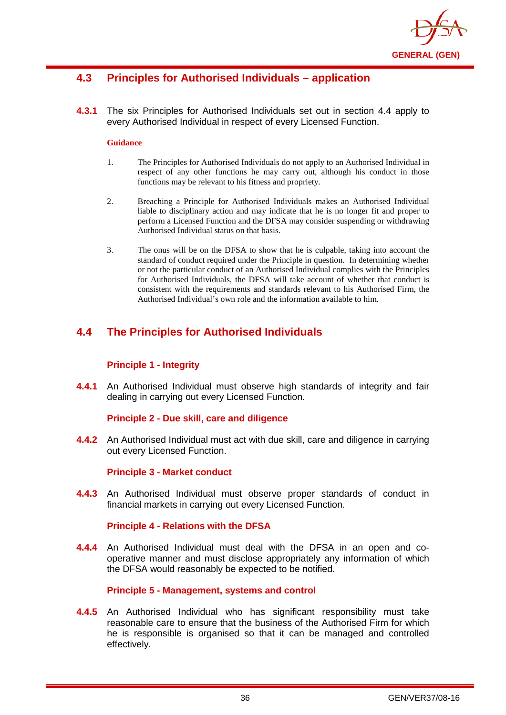

# **4.3 Principles for Authorised Individuals – application**

**4.3.1** The six Principles for Authorised Individuals set out in section 4.4 apply to every Authorised Individual in respect of every Licensed Function.

#### **Guidance**

- 1. The Principles for Authorised Individuals do not apply to an Authorised Individual in respect of any other functions he may carry out, although his conduct in those functions may be relevant to his fitness and propriety.
- 2. Breaching a Principle for Authorised Individuals makes an Authorised Individual liable to disciplinary action and may indicate that he is no longer fit and proper to perform a Licensed Function and the DFSA may consider suspending or withdrawing Authorised Individual status on that basis.
- 3. The onus will be on the DFSA to show that he is culpable, taking into account the standard of conduct required under the Principle in question. In determining whether or not the particular conduct of an Authorised Individual complies with the Principles for Authorised Individuals, the DFSA will take account of whether that conduct is consistent with the requirements and standards relevant to his Authorised Firm, the Authorised Individual's own role and the information available to him.

# **4.4 The Principles for Authorised Individuals**

## **Principle 1 - Integrity**

**4.4.1** An Authorised Individual must observe high standards of integrity and fair dealing in carrying out every Licensed Function.

### **Principle 2 - Due skill, care and diligence**

**4.4.2** An Authorised Individual must act with due skill, care and diligence in carrying out every Licensed Function.

### **Principle 3 - Market conduct**

**4.4.3** An Authorised Individual must observe proper standards of conduct in financial markets in carrying out every Licensed Function.

### **Principle 4 - Relations with the DFSA**

**4.4.4** An Authorised Individual must deal with the DFSA in an open and cooperative manner and must disclose appropriately any information of which the DFSA would reasonably be expected to be notified.

### **Principle 5 - Management, systems and control**

**4.4.5** An Authorised Individual who has significant responsibility must take reasonable care to ensure that the business of the Authorised Firm for which he is responsible is organised so that it can be managed and controlled effectively.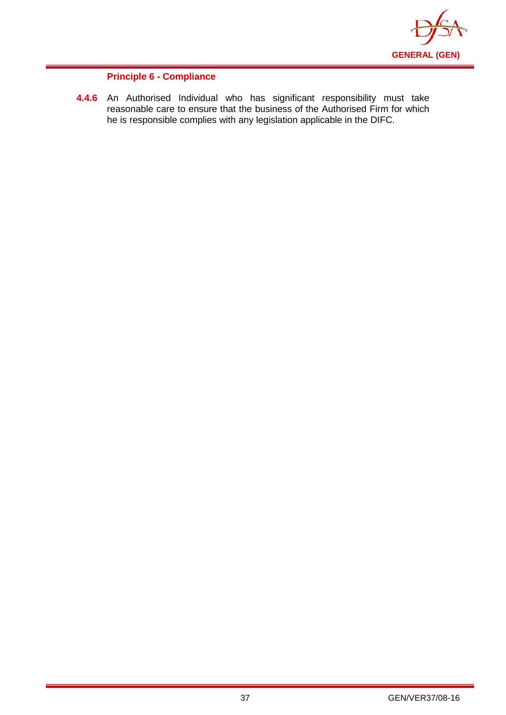

## **Principle 6 - Compliance**

**4.4.6** An Authorised Individual who has significant responsibility must take reasonable care to ensure that the business of the Authorised Firm for which he is responsible complies with any legislation applicable in the DIFC.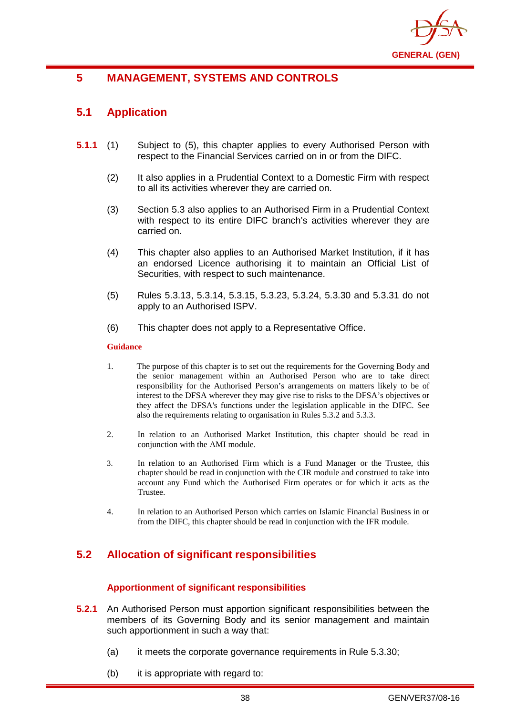

# **5 MANAGEMENT, SYSTEMS AND CONTROLS**

# **5.1 Application**

- **5.1.1** (1) Subject to (5), this chapter applies to every Authorised Person with respect to the Financial Services carried on in or from the DIFC.
	- (2) It also applies in a Prudential Context to a Domestic Firm with respect to all its activities wherever they are carried on.
	- (3) Section 5.3 also applies to an Authorised Firm in a Prudential Context with respect to its entire DIFC branch's activities wherever they are carried on.
	- (4) This chapter also applies to an Authorised Market Institution, if it has an endorsed Licence authorising it to maintain an Official List of Securities, with respect to such maintenance.
	- (5) Rules 5.3.13, 5.3.14, 5.3.15, 5.3.23, 5.3.24, 5.3.30 and 5.3.31 do not apply to an Authorised ISPV.
	- (6) This chapter does not apply to a Representative Office.

#### **Guidance**

- 1. The purpose of this chapter is to set out the requirements for the Governing Body and the senior management within an Authorised Person who are to take direct responsibility for the [Authorised Person's](http://www.fsa.gov.uk/handbook/hbk_glossary.pdf) arrangements on matters likely to be of interest to the DFSA wherever they may give rise to risks to the DFSA's objectives or they affect [the DFSA's](http://www.fsa.gov.uk/handbook/hbk_glossary.pdf) functions under the legislation applicable in the DIFC. See also the requirements relating to organisation in Rules 5.3.2 and 5.3.3.
- 2. In relation to an Authorised Market Institution, this chapter should be read in conjunction with the AMI module.
- 3. In relation to an Authorised Firm which is a Fund Manager or the Trustee, this chapter should be read in conjunction with the CIR module and construed to take into account any Fund which the Authorised Firm operates or for which it acts as the Trustee.
- 4. In relation to an Authorised Person which carries on Islamic Financial Business in or from the DIFC, this chapter should be read in conjunction with the IFR module.

# **5.2 Allocation of significant responsibilities**

## **Apportionment of significant responsibilities**

- **5.2.1** An Authorised Person must apportion significant responsibilities between the members of its Governing Body and its senior management and maintain such apportionment in such a way that:
	- (a) it meets the corporate governance requirements in Rule 5.3.30;
	- (b) it is appropriate with regard to: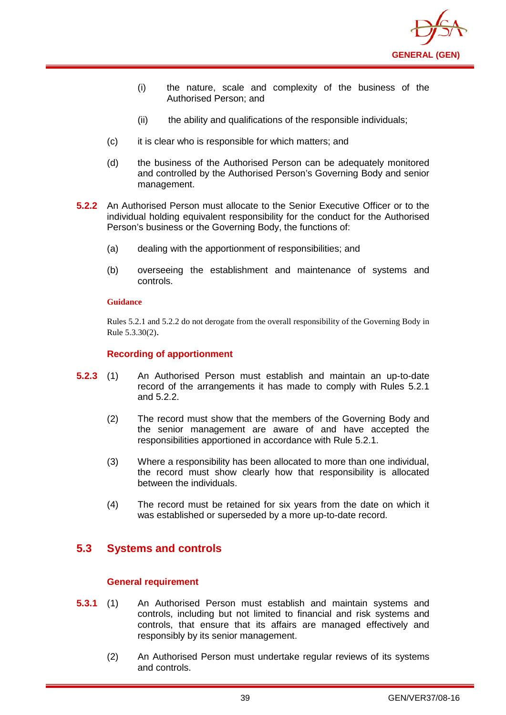

- (i) the nature, scale and complexity of the business of the Authorised Person; and
- (ii) the ability and qualifications of the responsible individuals;
- (c) it is clear who is responsible for which matters; and
- (d) the business of the Authorised Person can be adequately monitored and controlled by the Authorised Person's Governing Body and senior management.
- **5.2.2** An Authorised Person must allocate to the Senior Executive Officer or to the individual holding equivalent responsibility for the conduct for the Authorised Person's business or the Governing Body, the functions of:
	- (a) dealing with the apportionment of responsibilities; and
	- (b) overseeing the establishment and maintenance of systems and controls.

Rules 5.2.1 and 5.2.2 do not derogate from the overall responsibility of the Governing Body in Rule 5.3.30(2).

## **Recording of apportionment**

- **5.2.3** (1) An Authorised Person must establish and maintain an up-to-date record of the arrangements it has made to comply with Rules 5.2.1 and 5.2.2.
	- (2) The record must show that the members of the Governing Body and the senior management are aware of and have accepted the responsibilities apportioned in accordance with Rule 5.2.1.
	- (3) Where a responsibility has been allocated to more than one individual, the record must show clearly how that responsibility is allocated between the individuals.
	- (4) The record must be retained for six years from the date on which it was established or superseded by a more up-to-date record.

# **5.3 Systems and controls**

### **General requirement**

- **5.3.1** (1) An Authorised Person must establish and maintain systems and controls, including but not limited to financial and risk systems and controls, that ensure that its affairs are managed effectively and responsibly by its senior management.
	- (2) An Authorised Person must undertake regular reviews of its systems and controls.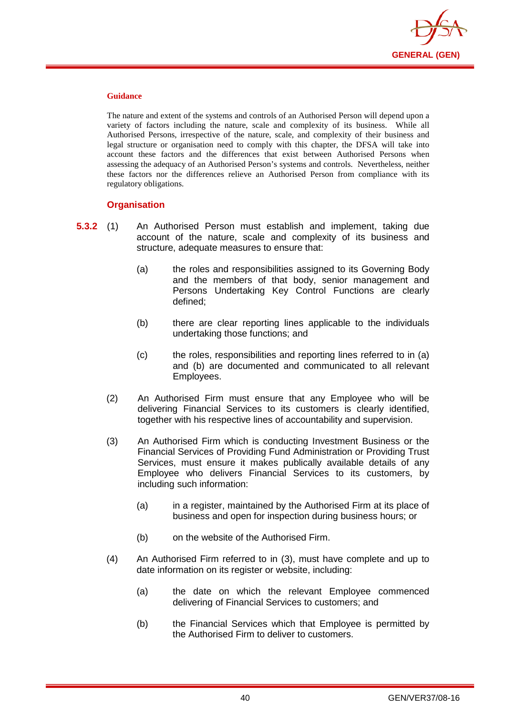

The nature and extent of the systems and controls of an Authorised Person will depend upon a variety of factors including the nature, scale and complexity of its business. While all Authorised Persons, irrespective of the nature, scale, and complexity of their business and legal structure or organisation need to comply with this chapter, the DFSA will take into account these factors and the differences that exist between Authorised Persons when assessing the adequacy of an Authorised Person's systems and controls. Nevertheless, neither these factors nor the differences relieve an Authorised Person from compliance with its regulatory obligations.

## **Organisation**

- **5.3.2** (1) An Authorised Person must establish and implement, taking due account of the nature, scale and complexity of its business and structure, adequate measures to ensure that:
	- (a) the roles and responsibilities assigned to its Governing Body and the members of that body, senior management and Persons Undertaking Key Control Functions are clearly defined;
	- (b) there are clear reporting lines applicable to the individuals undertaking those functions; and
	- (c) the roles, responsibilities and reporting lines referred to in (a) and (b) are documented and communicated to all relevant Employees.
	- (2) An Authorised Firm must ensure that any Employee who will be delivering Financial Services to its customers is clearly identified, together with his respective lines of accountability and supervision.
	- (3) An Authorised Firm which is conducting Investment Business or the Financial Services of Providing Fund Administration or Providing Trust Services, must ensure it makes publically available details of any Employee who delivers Financial Services to its customers, by including such information:
		- (a) in a register, maintained by the Authorised Firm at its place of business and open for inspection during business hours; or
		- (b) on the website of the Authorised Firm.
	- (4) An Authorised Firm referred to in (3), must have complete and up to date information on its register or website, including:
		- (a) the date on which the relevant Employee commenced delivering of Financial Services to customers; and
		- (b) the Financial Services which that Employee is permitted by the Authorised Firm to deliver to customers.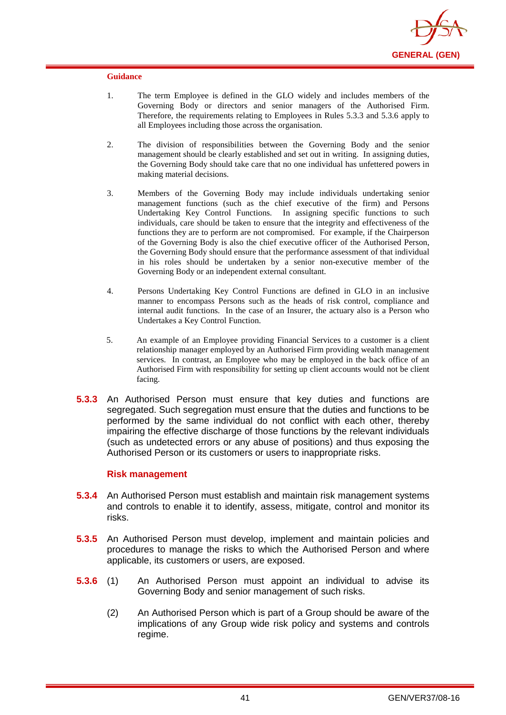

- 1. The term Employee is defined in the GLO widely and includes members of the Governing Body or directors and senior managers of the Authorised Firm. Therefore, the requirements relating to Employees in Rules 5.3.3 and 5.3.6 apply to all Employees including those across the organisation.
- 2. The division of responsibilities between the Governing Body and the senior management should be clearly established and set out in writing. In assigning duties, the Governing Body should take care that no one individual has unfettered powers in making material decisions.
- 3. Members of the Governing Body may include individuals undertaking senior management functions (such as the chief executive of the firm) and Persons Undertaking Key Control Functions. In assigning specific functions to such individuals, care should be taken to ensure that the integrity and effectiveness of the functions they are to perform are not compromised. For example, if the Chairperson of the Governing Body is also the chief executive officer of the Authorised Person, the Governing Body should ensure that the performance assessment of that individual in his roles should be undertaken by a senior non-executive member of the Governing Body or an independent external consultant.
- 4. Persons Undertaking Key Control Functions are defined in GLO in an inclusive manner to encompass Persons such as the heads of risk control, compliance and internal audit functions. In the case of an Insurer, the actuary also is a Person who Undertakes a Key Control Function.
- 5. An example of an Employee providing Financial Services to a customer is a client relationship manager employed by an Authorised Firm providing wealth management services. In contrast, an Employee who may be employed in the back office of an Authorised Firm with responsibility for setting up client accounts would not be client facing.
- **5.3.3** An Authorised Person must ensure that key duties and functions are segregated. Such segregation must ensure that the duties and functions to be performed by the same individual do not conflict with each other, thereby impairing the effective discharge of those functions by the relevant individuals (such as undetected errors or any abuse of positions) and thus exposing the Authorised Person or its customers or users to inappropriate risks.

### **Risk management**

- **5.3.4** An Authorised Person must establish and maintain risk management systems and controls to enable it to identify, assess, mitigate, control and monitor its risks.
- **5.3.5** An Authorised Person must develop, implement and maintain policies and procedures to manage the risks to which the Authorised Person and where applicable, its customers or users, are exposed.
- **5.3.6** (1) An Authorised Person must appoint an individual to advise its Governing Body and senior management of such risks.
	- (2) An Authorised Person which is part of a Group should be aware of the implications of any Group wide risk policy and systems and controls regime.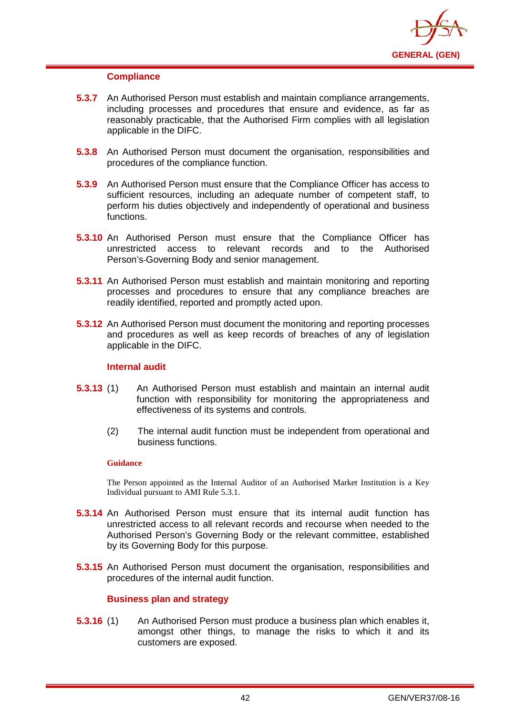

### **Compliance**

- **5.3.7** An Authorised Person must establish and maintain compliance arrangements, including processes and procedures that ensure and evidence, as far as reasonably practicable, that the Authorised Firm complies with all legislation applicable in the DIFC.
- **5.3.8** An Authorised Person must document the organisation, responsibilities and procedures of the compliance function.
- **5.3.9** An Authorised Person must ensure that the Compliance Officer has access to sufficient resources, including an adequate number of competent staff, to perform his duties objectively and independently of operational and business functions.
- **5.3.10** An Authorised Person must ensure that the Compliance Officer has unrestricted access to relevant records and to the Authorised Person's Governing Body and senior management.
- **5.3.11** An Authorised Person must establish and maintain monitoring and reporting processes and procedures to ensure that any compliance breaches are readily identified, reported and promptly acted upon.
- **5.3.12** An Authorised Person must document the monitoring and reporting processes and procedures as well as keep records of breaches of any of legislation applicable in the DIFC.

## **Internal audit**

- **5.3.13** (1) An Authorised Person must establish and maintain an internal audit function with responsibility for monitoring the appropriateness and effectiveness of its systems and controls.
	- (2) The internal audit function must be independent from operational and business functions.

#### **Guidance**

The Person appointed as the Internal Auditor of an Authorised Market Institution is a Key Individual pursuant to AMI Rule 5.3.1.

- **5.3.14** An Authorised Person must ensure that its internal audit function has unrestricted access to all relevant records and recourse when needed to the Authorised Person's Governing Body or the relevant committee, established by its Governing Body for this purpose.
- **5.3.15** An Authorised Person must document the organisation, responsibilities and procedures of the internal audit function.

## **Business plan and strategy**

**5.3.16** (1) An Authorised Person must produce a business plan which enables it, amongst other things, to manage the risks to which it and its customers are exposed.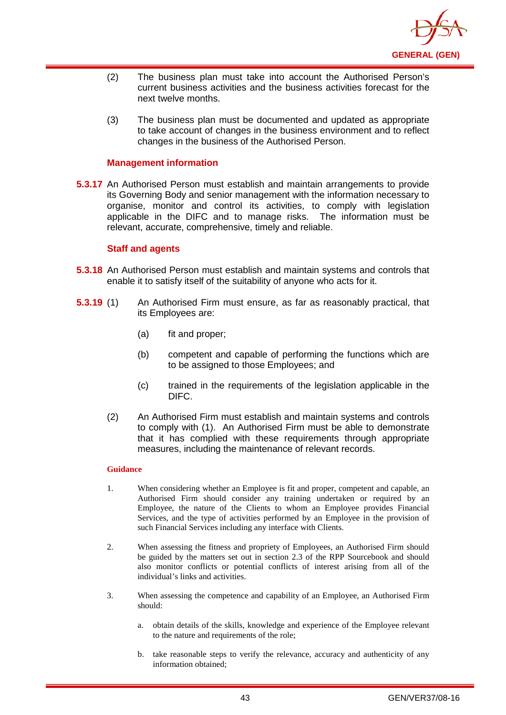

- (2) The business plan must take into account the Authorised Person's current business activities and the business activities forecast for the next twelve months.
- (3) The business plan must be documented and updated as appropriate to take account of changes in the business environment and to reflect changes in the business of the Authorised Person.

## **Management information**

**5.3.17** An Authorised Person must establish and maintain arrangements to provide its Governing Body and senior management with the information necessary to organise, monitor and control its activities, to comply with legislation applicable in the DIFC and to manage risks. The information must be relevant, accurate, comprehensive, timely and reliable.

### **Staff and agents**

- **5.3.18** An Authorised Person must establish and maintain systems and controls that enable it to satisfy itself of the suitability of anyone who acts for it.
- **5.3.19** (1) An Authorised Firm must ensure, as far as reasonably practical, that its Employees are:
	- (a) fit and proper;
	- (b) competent and capable of performing the functions which are to be assigned to those Employees; and
	- (c) trained in the requirements of the legislation applicable in the DIFC.
	- (2) An Authorised Firm must establish and maintain systems and controls to comply with (1). An Authorised Firm must be able to demonstrate that it has complied with these requirements through appropriate measures, including the maintenance of relevant records.

- 1. When considering whether an Employee is fit and proper, competent and capable, an Authorised Firm should consider any training undertaken or required by an Employee, the nature of the Clients to whom an Employee provides Financial Services, and the type of activities performed by an Employee in the provision of such Financial Services including any interface with Clients.
- 2. When assessing the fitness and propriety of Employees, an Authorised Firm should be guided by the matters set out in section 2.3 of the RPP Sourcebook and should also monitor conflicts or potential conflicts of interest arising from all of the individual's links and activities.
- 3. When assessing the competence and capability of an Employee, an Authorised Firm should:
	- a. obtain details of the skills, knowledge and experience of the Employee relevant to the nature and requirements of the role;
	- b. take reasonable steps to verify the relevance, accuracy and authenticity of any information obtained;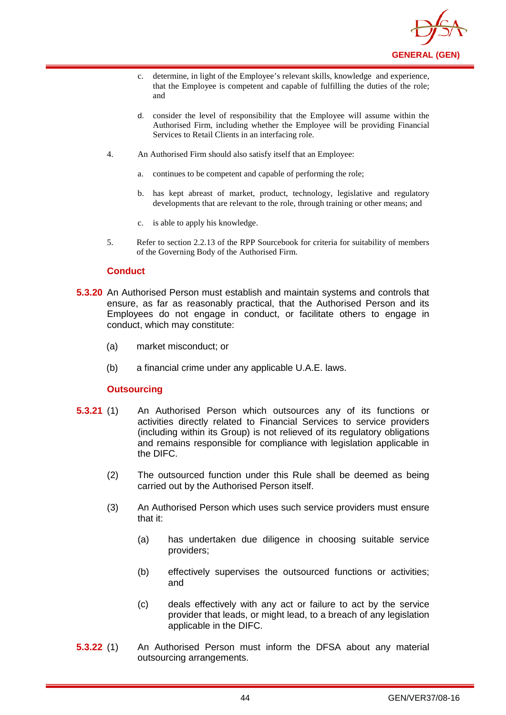

- c. determine, in light of the Employee's relevant skills, knowledge and experience, that the Employee is competent and capable of fulfilling the duties of the role; and
- d. consider the level of responsibility that the Employee will assume within the Authorised Firm, including whether the Employee will be providing Financial Services to Retail Clients in an interfacing role.
- 4. An Authorised Firm should also satisfy itself that an Employee:
	- a. continues to be competent and capable of performing the role;
	- b. has kept abreast of market, product, technology, legislative and regulatory developments that are relevant to the role, through training or other means; and
	- c. is able to apply his knowledge.
- 5. Refer to section 2.2.13 of the RPP Sourcebook for criteria for suitability of members of the Governing Body of the Authorised Firm.

## **Conduct**

- **5.3.20** An Authorised Person must establish and maintain systems and controls that ensure, as far as reasonably practical, that the Authorised Person and its Employees do not engage in conduct, or facilitate others to engage in conduct, which may constitute:
	- (a) market misconduct; or
	- (b) a financial crime under any applicable U.A.E. laws.

### **Outsourcing**

- **5.3.21** (1) An Authorised Person which outsources any of its functions or activities directly related to Financial Services to service providers (including within its Group) is not relieved of its regulatory obligations and remains responsible for compliance with legislation applicable in the DIFC.
	- (2) The outsourced function under this Rule shall be deemed as being carried out by the Authorised Person itself.
	- (3) An Authorised Person which uses such service providers must ensure that it:
		- (a) has undertaken due diligence in choosing suitable service providers;
		- (b) effectively supervises the outsourced functions or activities; and
		- (c) deals effectively with any act or failure to act by the service provider that leads, or might lead, to a breach of any legislation applicable in the DIFC.
- **5.3.22** (1) An Authorised Person must inform the DFSA about any material outsourcing arrangements.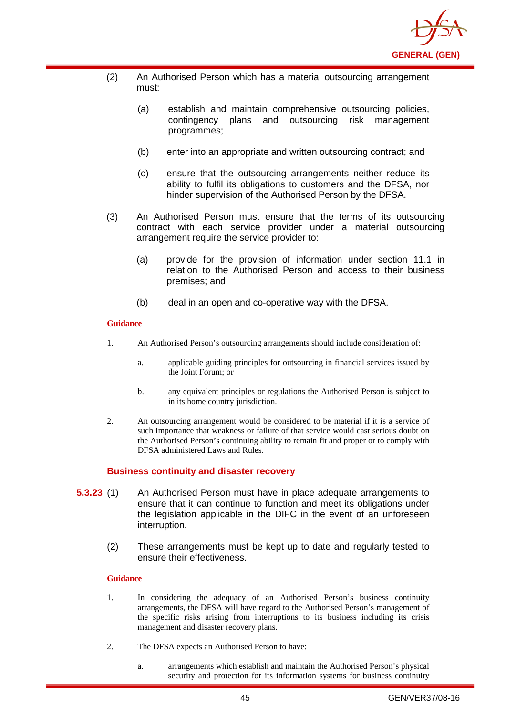

- (2) An Authorised Person which has a material outsourcing arrangement must:
	- (a) establish and maintain comprehensive outsourcing policies, contingency plans and outsourcing risk management programmes;
	- (b) enter into an appropriate and written outsourcing contract; and
	- (c) ensure that the outsourcing arrangements neither reduce its ability to fulfil its obligations to customers and the DFSA, nor hinder supervision of the Authorised Person by the DFSA.
- (3) An Authorised Person must ensure that the terms of its outsourcing contract with each service provider under a material outsourcing arrangement require the service provider to:
	- (a) provide for the provision of information under section 11.1 in relation to the Authorised Person and access to their business premises; and
	- (b) deal in an open and co-operative way with the DFSA.

- 1. An Authorised Person's outsourcing arrangements should include consideration of:
	- a. applicable guiding principles for outsourcing in financial services issued by the Joint Forum; or
	- b. any equivalent principles or regulations the Authorised Person is subject to in its home country jurisdiction.
- 2. An outsourcing arrangement would be considered to be material if it is a service of such importance that weakness or failure of that service would cast serious doubt on the Authorised Person's continuing ability to remain fit and proper or to comply with DFSA administered Laws and Rules.

## **Business continuity and disaster recovery**

- **5.3.23** (1) An Authorised Person must have in place adequate arrangements to ensure that it can continue to function and meet its obligations under the legislation applicable in the DIFC in the event of an unforeseen interruption.
	- (2) These arrangements must be kept up to date and regularly tested to ensure their effectiveness.

- 1. In considering the adequacy of an Authorised Person's business continuity arrangements, the DFSA will have regard to the Authorised Person's management of the specific risks arising from interruptions to its business including its crisis management and disaster recovery plans.
- 2. The DFSA expects an Authorised Person to have:
	- a. arrangements which establish and maintain the Authorised Person's physical security and protection for its information systems for business continuity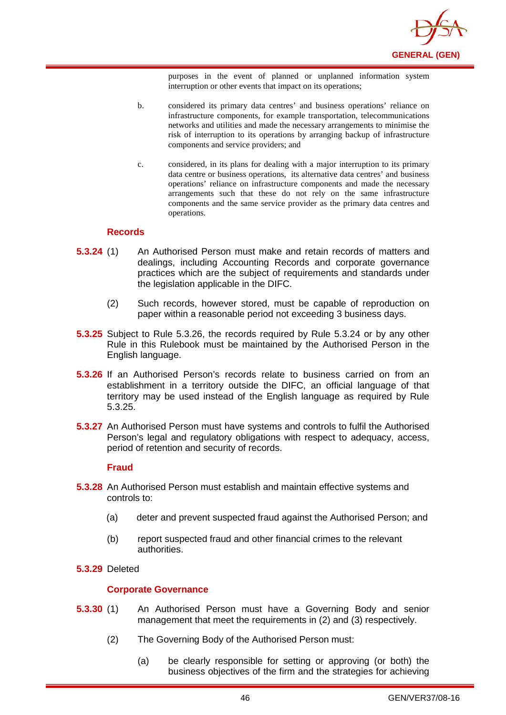

purposes in the event of planned or unplanned information system interruption or other events that impact on its operations;

- b. considered its primary data centres' and business operations' reliance on infrastructure components, for example transportation, telecommunications networks and utilities and made the necessary arrangements to minimise the risk of interruption to its operations by arranging backup of infrastructure components and service providers; and
- c. considered, in its plans for dealing with a major interruption to its primary data centre or business operations, its alternative data centres' and business operations' reliance on infrastructure components and made the necessary arrangements such that these do not rely on the same infrastructure components and the same service provider as the primary data centres and operations.

### **Records**

- **5.3.24** (1) An Authorised Person must make and retain records of matters and dealings, including Accounting Records and corporate governance practices which are the subject of requirements and standards under the legislation applicable in the DIFC.
	- (2) Such records, however stored, must be capable of reproduction on paper within a reasonable period not exceeding 3 business days.
- **5.3.25** Subject to Rule 5.3.26, the records required by Rule 5.3.24 or by any other Rule in this Rulebook must be maintained by the Authorised Person in the English language.
- **5.3.26** If an Authorised Person's records relate to business carried on from an establishment in a territory outside the DIFC, an official language of that territory may be used instead of the English language as required by Rule 5.3.25.
- **5.3.27** An Authorised Person must have systems and controls to fulfil the Authorised Person's legal and regulatory obligations with respect to adequacy, access, period of retention and security of records.

#### **Fraud**

- **5.3.28** An Authorised Person must establish and maintain effective systems and controls to:
	- (a) deter and prevent suspected fraud against the Authorised Person; and
	- (b) report suspected fraud and other financial crimes to the relevant authorities.
- **5.3.29** Deleted

### **Corporate Governance**

- **5.3.30** (1) An Authorised Person must have a Governing Body and senior management that meet the requirements in (2) and (3) respectively.
	- (2) The Governing Body of the Authorised Person must:
		- (a) be clearly responsible for setting or approving (or both) the business objectives of the firm and the strategies for achieving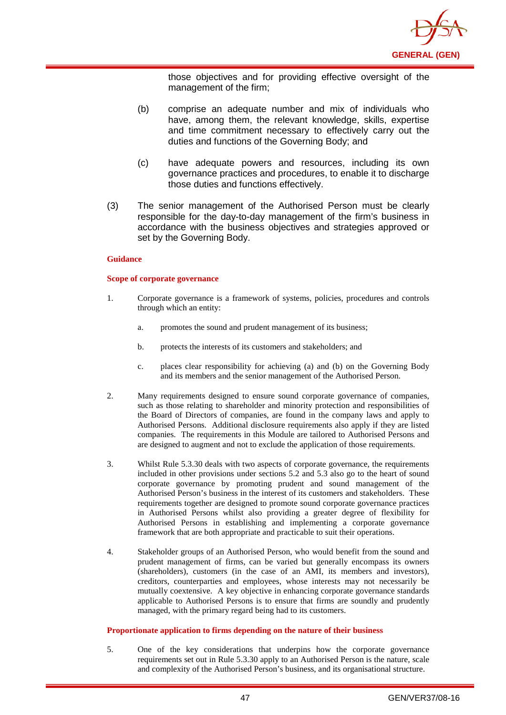

those objectives and for providing effective oversight of the management of the firm;

- (b) comprise an adequate number and mix of individuals who have, among them, the relevant knowledge, skills, expertise and time commitment necessary to effectively carry out the duties and functions of the Governing Body; and
- (c) have adequate powers and resources, including its own governance practices and procedures, to enable it to discharge those duties and functions effectively.
- (3) The senior management of the Authorised Person must be clearly responsible for the day-to-day management of the firm's business in accordance with the business objectives and strategies approved or set by the Governing Body.

#### **Guidance**

#### **Scope of corporate governance**

- 1. Corporate governance is a framework of systems, policies, procedures and controls through which an entity:
	- a. promotes the sound and prudent management of its business;
	- b. protects the interests of its customers and stakeholders; and
	- c. places clear responsibility for achieving (a) and (b) on the Governing Body and its members and the senior management of the Authorised Person.
- 2. Many requirements designed to ensure sound corporate governance of companies, such as those relating to shareholder and minority protection and responsibilities of the Board of Directors of companies, are found in the company laws and apply to Authorised Persons. Additional disclosure requirements also apply if they are listed companies. The requirements in this Module are tailored to Authorised Persons and are designed to augment and not to exclude the application of those requirements.
- 3. Whilst Rule 5.3.30 deals with two aspects of corporate governance, the requirements included in other provisions under sections 5.2 and 5.3 also go to the heart of sound corporate governance by promoting prudent and sound management of the Authorised Person's business in the interest of its customers and stakeholders. These requirements together are designed to promote sound corporate governance practices in Authorised Persons whilst also providing a greater degree of flexibility for Authorised Persons in establishing and implementing a corporate governance framework that are both appropriate and practicable to suit their operations.
- 4. Stakeholder groups of an Authorised Person, who would benefit from the sound and prudent management of firms, can be varied but generally encompass its owners (shareholders), customers (in the case of an AMI, its members and investors), creditors, counterparties and employees, whose interests may not necessarily be mutually coextensive. A key objective in enhancing corporate governance standards applicable to Authorised Persons is to ensure that firms are soundly and prudently managed, with the primary regard being had to its customers.

#### **Proportionate application to firms depending on the nature of their business**

5. One of the key considerations that underpins how the corporate governance requirements set out in Rule 5.3.30 apply to an Authorised Person is the nature, scale and complexity of the Authorised Person's business, and its organisational structure.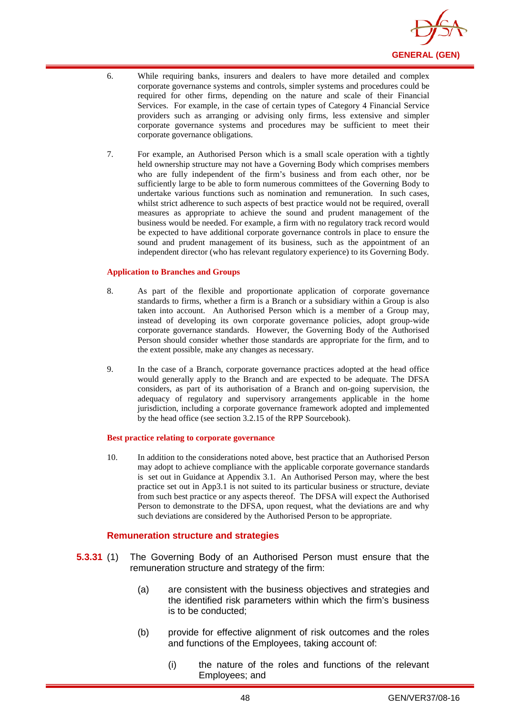

- 6. While requiring banks, insurers and dealers to have more detailed and complex corporate governance systems and controls, simpler systems and procedures could be required for other firms, depending on the nature and scale of their Financial Services. For example, in the case of certain types of Category 4 Financial Service providers such as arranging or advising only firms, less extensive and simpler corporate governance systems and procedures may be sufficient to meet their corporate governance obligations.
- 7. For example, an Authorised Person which is a small scale operation with a tightly held ownership structure may not have a Governing Body which comprises members who are fully independent of the firm's business and from each other, nor be sufficiently large to be able to form numerous committees of the Governing Body to undertake various functions such as nomination and remuneration. In such cases, whilst strict adherence to such aspects of best practice would not be required, overall measures as appropriate to achieve the sound and prudent management of the business would be needed. For example, a firm with no regulatory track record would be expected to have additional corporate governance controls in place to ensure the sound and prudent management of its business, such as the appointment of an independent director (who has relevant regulatory experience) to its Governing Body.

#### **Application to Branches and Groups**

- 8. As part of the flexible and proportionate application of corporate governance standards to firms, whether a firm is a Branch or a subsidiary within a Group is also taken into account. An Authorised Person which is a member of a Group may, instead of developing its own corporate governance policies, adopt group-wide corporate governance standards. However, the Governing Body of the Authorised Person should consider whether those standards are appropriate for the firm, and to the extent possible, make any changes as necessary.
- 9. In the case of a Branch, corporate governance practices adopted at the head office would generally apply to the Branch and are expected to be adequate. The DFSA considers, as part of its authorisation of a Branch and on-going supervision, the adequacy of regulatory and supervisory arrangements applicable in the home jurisdiction, including a corporate governance framework adopted and implemented by the head office (see section 3.2.15 of the RPP Sourcebook).

#### **Best practice relating to corporate governance**

10. In addition to the considerations noted above, best practice that an Authorised Person may adopt to achieve compliance with the applicable corporate governance standards is set out in Guidance at Appendix 3.1. An Authorised Person may, where the best practice set out in App3.1 is not suited to its particular business or structure, deviate from such best practice or any aspects thereof. The DFSA will expect the Authorised Person to demonstrate to the DFSA, upon request, what the deviations are and why such deviations are considered by the Authorised Person to be appropriate.

### **Remuneration structure and strategies**

- **5.3.31** (1) The Governing Body of an Authorised Person must ensure that the remuneration structure and strategy of the firm:
	- (a) are consistent with the business objectives and strategies and the identified risk parameters within which the firm's business is to be conducted;
	- (b) provide for effective alignment of risk outcomes and the roles and functions of the Employees, taking account of:
		- (i) the nature of the roles and functions of the relevant Employees; and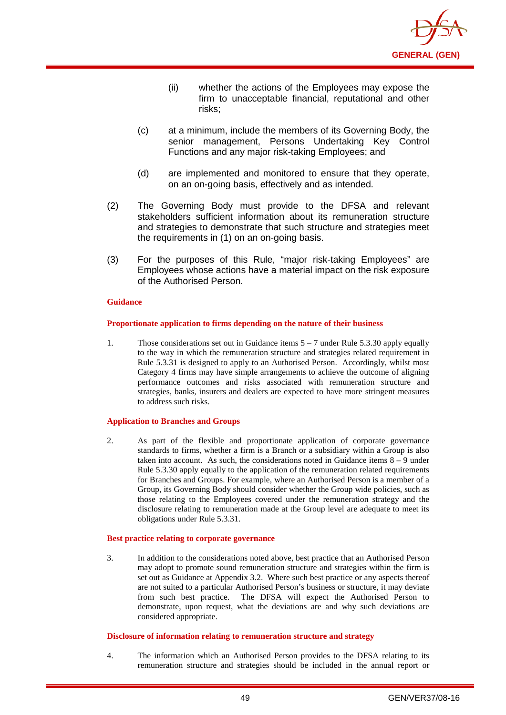

- (ii) whether the actions of the Employees may expose the firm to unacceptable financial, reputational and other risks;
- (c) at a minimum, include the members of its Governing Body, the senior management, Persons Undertaking Key Control Functions and any major risk-taking Employees; and
- (d) are implemented and monitored to ensure that they operate, on an on-going basis, effectively and as intended.
- (2) The Governing Body must provide to the DFSA and relevant stakeholders sufficient information about its remuneration structure and strategies to demonstrate that such structure and strategies meet the requirements in (1) on an on-going basis.
- (3) For the purposes of this Rule, "major risk-taking Employees" are Employees whose actions have a material impact on the risk exposure of the Authorised Person.

#### **Proportionate application to firms depending on the nature of their business**

1. Those considerations set out in Guidance items 5 – 7 under Rule 5.3.30 apply equally to the way in which the remuneration structure and strategies related requirement in Rule 5.3.31 is designed to apply to an Authorised Person. Accordingly, whilst most Category 4 firms may have simple arrangements to achieve the outcome of aligning performance outcomes and risks associated with remuneration structure and strategies, banks, insurers and dealers are expected to have more stringent measures to address such risks.

#### **Application to Branches and Groups**

2. As part of the flexible and proportionate application of corporate governance standards to firms, whether a firm is a Branch or a subsidiary within a Group is also taken into account. As such, the considerations noted in Guidance items 8 – 9 under Rule 5.3.30 apply equally to the application of the remuneration related requirements for Branches and Groups. For example, where an Authorised Person is a member of a Group, its Governing Body should consider whether the Group wide policies, such as those relating to the Employees covered under the remuneration strategy and the disclosure relating to remuneration made at the Group level are adequate to meet its obligations under Rule 5.3.31.

#### **Best practice relating to corporate governance**

3. In addition to the considerations noted above, best practice that an Authorised Person may adopt to promote sound remuneration structure and strategies within the firm is set out as Guidance at Appendix 3.2. Where such best practice or any aspects thereof are not suited to a particular Authorised Person's business or structure, it may deviate from such best practice. The DFSA will expect the Authorised Person to demonstrate, upon request, what the deviations are and why such deviations are considered appropriate.

#### **Disclosure of information relating to remuneration structure and strategy**

4. The information which an Authorised Person provides to the DFSA relating to its remuneration structure and strategies should be included in the annual report or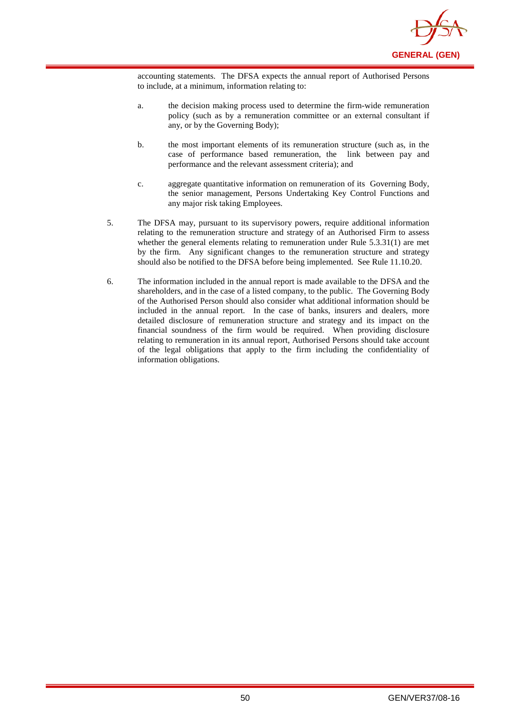

accounting statements. The DFSA expects the annual report of Authorised Persons to include, at a minimum, information relating to:

- a. the decision making process used to determine the firm-wide remuneration policy (such as by a remuneration committee or an external consultant if any, or by the Governing Body);
- b. the most important elements of its remuneration structure (such as, in the case of performance based remuneration, the link between pay and performance and the relevant assessment criteria); and
- c. aggregate quantitative information on remuneration of its Governing Body, the senior management, Persons Undertaking Key Control Functions and any major risk taking Employees.
- 5. The DFSA may, pursuant to its supervisory powers, require additional information relating to the remuneration structure and strategy of an Authorised Firm to assess whether the general elements relating to remuneration under Rule 5.3.31(1) are met by the firm. Any significant changes to the remuneration structure and strategy should also be notified to the DFSA before being implemented. See Rule 11.10.20.
- 6. The information included in the annual report is made available to the DFSA and the shareholders, and in the case of a listed company, to the public. The Governing Body of the Authorised Person should also consider what additional information should be included in the annual report. In the case of banks, insurers and dealers, more detailed disclosure of remuneration structure and strategy and its impact on the financial soundness of the firm would be required. When providing disclosure relating to remuneration in its annual report, Authorised Persons should take account of the legal obligations that apply to the firm including the confidentiality of information obligations.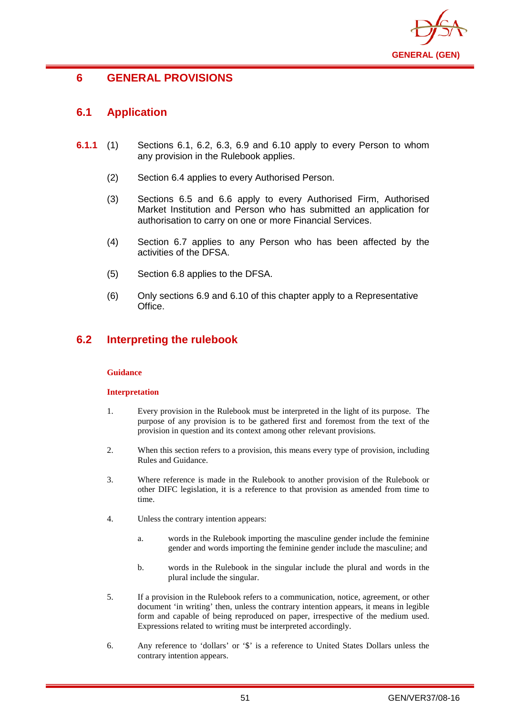

# **6 GENERAL PROVISIONS**

# **6.1 Application**

- **6.1.1** (1) Sections 6.1, 6.2, 6.3, 6.9 and 6.10 apply to every Person to whom any provision in the Rulebook applies.
	- (2) Section 6.4 applies to every Authorised Person.
	- (3) Sections 6.5 and 6.6 apply to every Authorised Firm, Authorised Market Institution and Person who has submitted an application for authorisation to carry on one or more Financial Services.
	- (4) Section 6.7 applies to any Person who has been affected by the activities of the DFSA.
	- (5) Section 6.8 applies to the DFSA.
	- (6) Only sections 6.9 and 6.10 of this chapter apply to a Representative Office.

# **6.2 Interpreting the rulebook**

### **Guidance**

### **Interpretation**

- 1. Every provision in the Rulebook must be interpreted in the light of its purpose. The purpose of any provision is to be gathered first and foremost from the text of the provision in question and its context among other relevant provisions.
- 2. When this section refers to a provision, this means every type of provision, including Rules and Guidance.
- 3. Where reference is made in the Rulebook to another provision of the Rulebook or other DIFC legislation, it is a reference to that provision as amended from time to time.
- 4. Unless the contrary intention appears:
	- a. words in the Rulebook importing the masculine gender include the feminine gender and words importing the feminine gender include the masculine; and
	- b. words in the Rulebook in the singular include the plural and words in the plural include the singular.
- 5. If a provision in the Rulebook refers to a communication, notice, agreement, or other document 'in writing' then, unless the contrary intention appears, it means in legible form and capable of being reproduced on paper, irrespective of the medium used. Expressions related to writing must be interpreted accordingly.
- 6. Any reference to 'dollars' or '\$' is a reference to United States Dollars unless the contrary intention appears.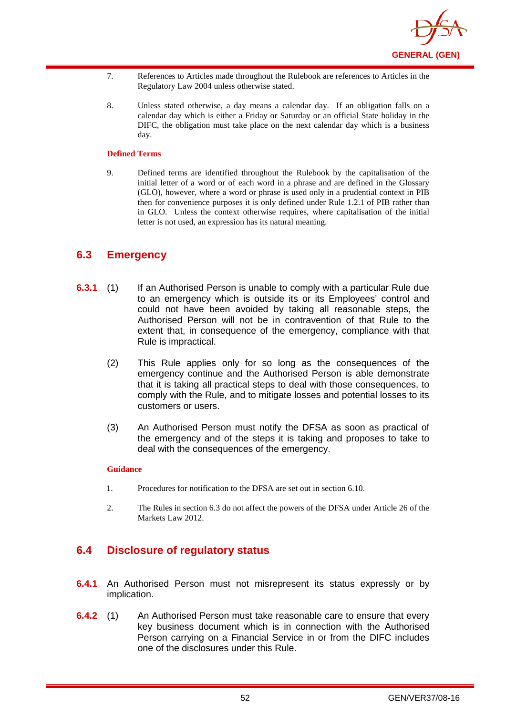

- 7. References to Articles made throughout the Rulebook are references to Articles in the Regulatory Law 2004 unless otherwise stated.
- 8. Unless stated otherwise, a day means a calendar day. If an obligation falls on a calendar day which is either a Friday or Saturday or an official State holiday in the DIFC, the obligation must take place on the next calendar day which is a business day.

#### **Defined Terms**

9. Defined terms are identified throughout the Rulebook by the capitalisation of the initial letter of a word or of each word in a phrase and are defined in the Glossary (GLO), however, where a word or phrase is used only in a prudential context in PIB then for convenience purposes it is only defined under Rule 1.2.1 of PIB rather than in GLO. Unless the context otherwise requires, where capitalisation of the initial letter is not used, an expression has its natural meaning.

## **6.3 Emergency**

- **6.3.1** (1) If an Authorised Person is unable to comply with a particular Rule due to an emergency which is outside its or its Employees' control and could not have been avoided by taking all reasonable steps, the Authorised Person will not be in contravention of that Rule to the extent that, in consequence of the emergency, compliance with that Rule is impractical.
	- (2) This Rule applies only for so long as the consequences of the emergency continue and the Authorised Person is able demonstrate that it is taking all practical steps to deal with those consequences, to comply with the Rule, and to mitigate losses and potential losses to its customers or users.
	- (3) An Authorised Person must notify the DFSA as soon as practical of the emergency and of the steps it is taking and proposes to take to deal with the consequences of the emergency.

#### **Guidance**

- 1. Procedures for notification to the DFSA are set out in section 6.10.
- 2. The Rules in section 6.3 do not affect the powers of the DFSA under Article 26 of the Markets Law 2012.

## **6.4 Disclosure of regulatory status**

- **6.4.1** An Authorised Person must not misrepresent its status expressly or by implication.
- **6.4.2** (1) An Authorised Person must take reasonable care to ensure that every key business document which is in connection with the Authorised Person carrying on a Financial Service in or from the DIFC includes one of the disclosures under this Rule.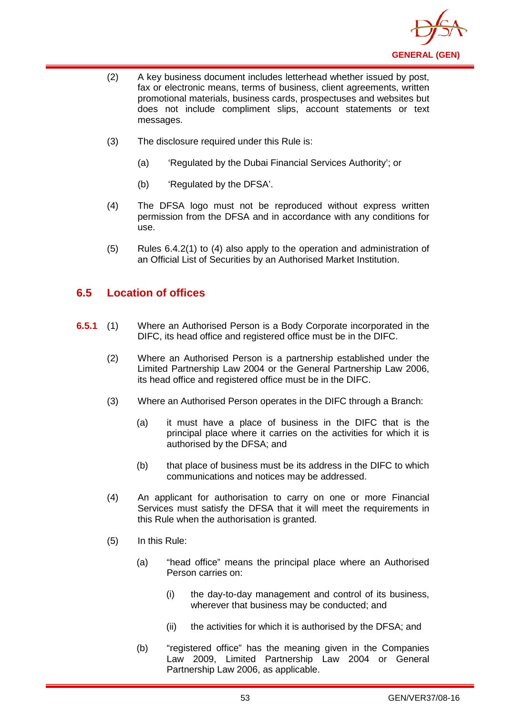

- (2) A key business document includes letterhead whether issued by post, fax or electronic means, terms of business, client agreements, written promotional materials, business cards, prospectuses and websites but does not include compliment slips, account statements or text messages.
- (3) The disclosure required under this Rule is:
	- (a) 'Regulated by the Dubai Financial Services Authority'; or
	- (b) 'Regulated by the DFSA'.
- (4) The DFSA logo must not be reproduced without express written permission from the DFSA and in accordance with any conditions for use.
- (5) Rules 6.4.2(1) to (4) also apply to the operation and administration of an Official List of Securities by an Authorised Market Institution.

# **6.5 Location of offices**

- **6.5.1** (1) Where an Authorised Person is a Body Corporate incorporated in the DIFC, its head office and registered office must be in the DIFC.
	- (2) Where an Authorised Person is a partnership established under the Limited Partnership Law 2004 or the General Partnership Law 2006, its head office and registered office must be in the DIFC.
	- (3) Where an Authorised Person operates in the DIFC through a Branch:
		- (a) it must have a place of business in the DIFC that is the principal place where it carries on the activities for which it is authorised by the DFSA; and
		- (b) that place of business must be its address in the DIFC to which communications and notices may be addressed.
	- (4) An applicant for authorisation to carry on one or more Financial Services must satisfy the DFSA that it will meet the requirements in this Rule when the authorisation is granted.
	- (5) In this Rule:
		- (a) "head office" means the principal place where an Authorised Person carries on:
			- (i) the day-to-day management and control of its business, wherever that business may be conducted; and
			- (ii) the activities for which it is authorised by the DFSA; and
		- (b) "registered office" has the meaning given in the Companies Law 2009, Limited Partnership Law 2004 or General Partnership Law 2006, as applicable.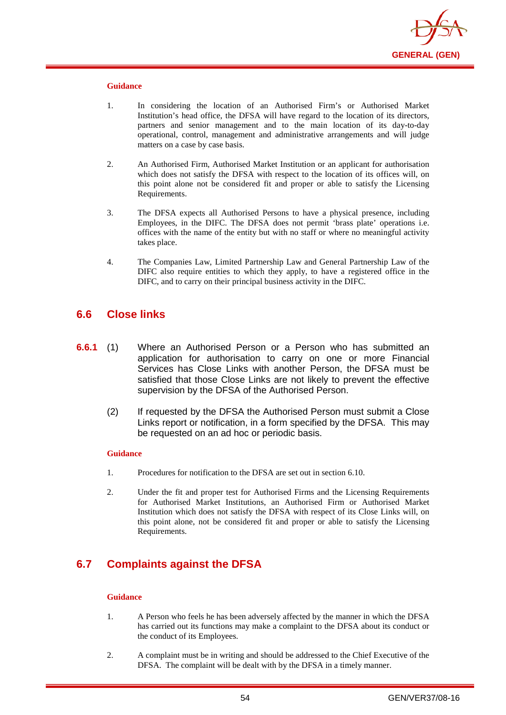

- 1. In considering the location of an Authorised Firm's or Authorised Market Institution's head office, the DFSA will have regard to the location of its directors, partners and senior management and to the main location of its day-to-day operational, control, management and administrative arrangements and will judge matters on a case by case basis.
- 2. An Authorised Firm, Authorised Market Institution or an applicant for authorisation which does not satisfy the DFSA with respect to the location of its offices will, on this point alone not be considered fit and proper or able to satisfy the Licensing Requirements.
- 3. The DFSA expects all Authorised Persons to have a physical presence, including Employees, in the DIFC. The DFSA does not permit 'brass plate' operations i.e. offices with the name of the entity but with no staff or where no meaningful activity takes place.
- 4. The Companies Law, Limited Partnership Law and General Partnership Law of the DIFC also require entities to which they apply, to have a registered office in the DIFC, and to carry on their principal business activity in the DIFC.

## **6.6 Close links**

- **6.6.1** (1) Where an Authorised Person or a Person who has submitted an application for authorisation to carry on one or more Financial Services has Close Links with another Person, the DFSA must be satisfied that those Close Links are not likely to prevent the effective supervision by the DFSA of the Authorised Person.
	- (2) If requested by the DFSA the Authorised Person must submit a Close Links report or notification, in a form specified by the DFSA. This may be requested on an ad hoc or periodic basis.

#### **Guidance**

- 1. Procedures for notification to the DFSA are set out in section 6.10.
- 2. Under the fit and proper test for Authorised Firms and the Licensing Requirements for Authorised Market Institutions, an Authorised Firm or Authorised Market Institution which does not satisfy the DFSA with respect of its Close Links will, on this point alone, not be considered fit and proper or able to satisfy the Licensing Requirements.

# **6.7 Complaints against the DFSA**

- 1. A Person who feels he has been adversely affected by the manner in which the DFSA has carried out its functions may make a complaint to the DFSA about its conduct or the conduct of its Employees.
- 2. A complaint must be in writing and should be addressed to the Chief Executive of the DFSA. The complaint will be dealt with by the DFSA in a timely manner.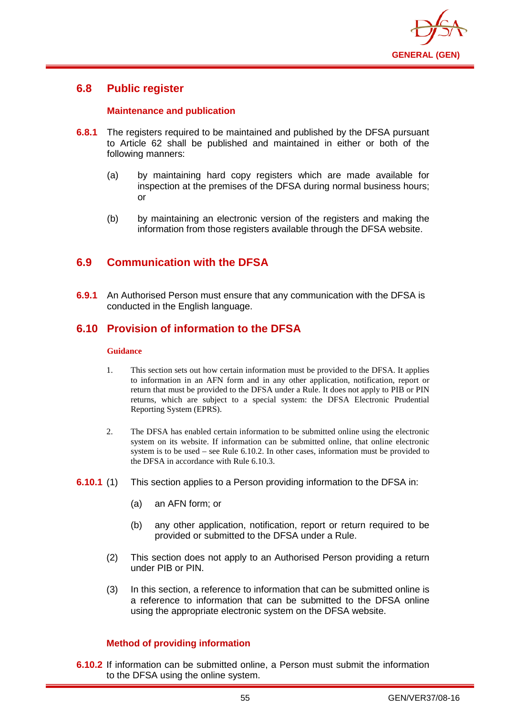

## **6.8 Public register**

## **Maintenance and publication**

- **6.8.1** The registers required to be maintained and published by the DFSA pursuant to Article 62 shall be published and maintained in either or both of the following manners:
	- (a) by maintaining hard copy registers which are made available for inspection at the premises of the DFSA during normal business hours; or
	- (b) by maintaining an electronic version of the registers and making the information from those registers available through the DFSA website.

# **6.9 Communication with the DFSA**

**6.9.1** An Authorised Person must ensure that any communication with the DFSA is conducted in the English language.

## **6.10 Provision of information to the DFSA**

#### **Guidance**

- 1. This section sets out how certain information must be provided to the DFSA. It applies to information in an AFN form and in any other application, notification, report or return that must be provided to the DFSA under a Rule. It does not apply to PIB or PIN returns, which are subject to a special system: the DFSA Electronic Prudential Reporting System (EPRS).
- 2. The DFSA has enabled certain information to be submitted online using the electronic system on its website. If information can be submitted online, that online electronic system is to be used – see Rule 6.10.2. In other cases, information must be provided to the DFSA in accordance with Rule 6.10.3.
- **6.10.1** (1) This section applies to a Person providing information to the DFSA in:
	- (a) an AFN form; or
	- (b) any other application, notification, report or return required to be provided or submitted to the DFSA under a Rule.
	- (2) This section does not apply to an Authorised Person providing a return under PIB or PIN.
	- (3) In this section, a reference to information that can be submitted online is a reference to information that can be submitted to the DFSA online using the appropriate electronic system on the DFSA website.

## **Method of providing information**

**6.10.2** If information can be submitted online, a Person must submit the information to the DFSA using the online system.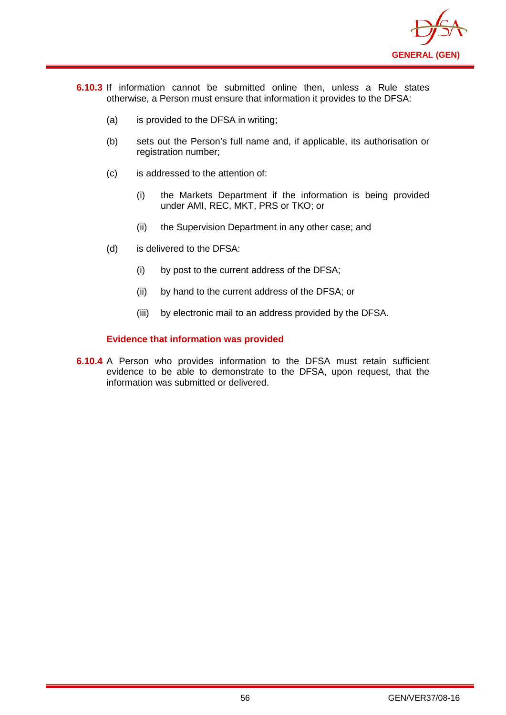

- **6.10.3** If information cannot be submitted online then, unless a Rule states otherwise, a Person must ensure that information it provides to the DFSA:
	- (a) is provided to the DFSA in writing;
	- (b) sets out the Person's full name and, if applicable, its authorisation or registration number;
	- (c) is addressed to the attention of:
		- (i) the Markets Department if the information is being provided under AMI, REC, MKT, PRS or TKO; or
		- (ii) the Supervision Department in any other case; and
	- (d) is delivered to the DFSA:
		- (i) by post to the current address of the DFSA;
		- (ii) by hand to the current address of the DFSA; or
		- (iii) by electronic mail to an address provided by the DFSA.

## **Evidence that information was provided**

**6.10.4** A Person who provides information to the DFSA must retain sufficient evidence to be able to demonstrate to the DFSA, upon request, that the information was submitted or delivered.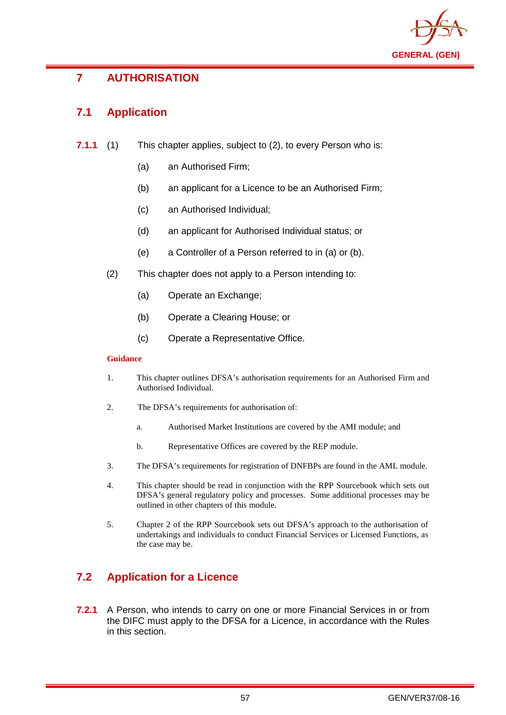

# **7 AUTHORISATION**

# **7.1 Application**

- **7.1.1** (1) This chapter applies, subject to (2), to every Person who is:
	- (a) an Authorised Firm;
	- (b) an applicant for a Licence to be an Authorised Firm;
	- (c) an Authorised Individual;
	- (d) an applicant for Authorised Individual status; or
	- (e) a Controller of a Person referred to in (a) or (b).
	- (2) This chapter does not apply to a Person intending to:
		- (a) Operate an Exchange;
		- (b) Operate a Clearing House; or
		- (c) Operate a Representative Office.

## **Guidance**

- 1. This chapter outlines DFSA's authorisation requirements for an Authorised Firm and Authorised Individual.
- 2. The DFSA's requirements for authorisation of:
	- a. Authorised Market Institutions are covered by the AMI module; and
	- b. Representative Offices are covered by the REP module.
- 3. The DFSA's requirements for registration of DNFBPs are found in the AML module.
- 4. This chapter should be read in conjunction with the RPP Sourcebook which sets out DFSA's general regulatory policy and processes. Some additional processes may be outlined in other chapters of this module.
- 5. Chapter 2 of the RPP Sourcebook sets out DFSA's approach to the authorisation of undertakings and individuals to conduct Financial Services or Licensed Functions, as the case may be.

# **7.2 Application for a Licence**

**7.2.1** A Person, who intends to carry on one or more Financial Services in or from the DIFC must apply to the DFSA for a Licence, in accordance with the Rules in this section.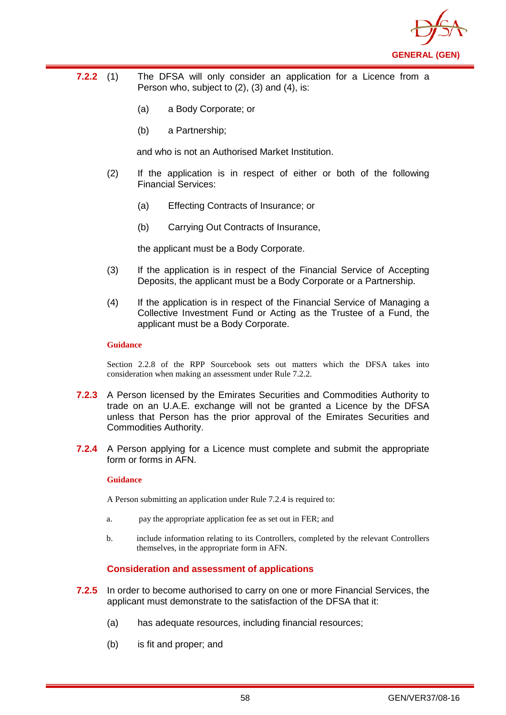

- **7.2.2** (1) The DFSA will only consider an application for a Licence from a Person who, subject to (2), (3) and (4), is:
	- (a) a Body Corporate; or
	- (b) a Partnership;

and who is not an Authorised Market Institution.

- (2) If the application is in respect of either or both of the following Financial Services:
	- (a) Effecting Contracts of Insurance; or
	- (b) Carrying Out Contracts of Insurance,

the applicant must be a Body Corporate.

- (3) If the application is in respect of the Financial Service of Accepting Deposits, the applicant must be a Body Corporate or a Partnership.
- (4) If the application is in respect of the Financial Service of Managing a Collective Investment Fund or Acting as the Trustee of a Fund, the applicant must be a Body Corporate.

#### **Guidance**

Section 2.2.8 of the RPP Sourcebook sets out matters which the DFSA takes into consideration when making an assessment under Rule 7.2.2.

- **7.2.3** A Person licensed by the Emirates Securities and Commodities Authority to trade on an U.A.E. exchange will not be granted a Licence by the DFSA unless that Person has the prior approval of the Emirates Securities and Commodities Authority.
- **7.2.4** A Person applying for a Licence must complete and submit the appropriate form or forms in AFN.

#### **Guidance**

A Person submitting an application under Rule 7.2.4 is required to:

- a. pay the appropriate application fee as set out in FER; and
- b. include information relating to its Controllers, completed by the relevant Controllers themselves, in the appropriate form in AFN.

### **Consideration and assessment of applications**

- **7.2.5** In order to become authorised to carry on one or more Financial Services, the applicant must demonstrate to the satisfaction of the DFSA that it:
	- (a) has adequate resources, including financial resources;
	- (b) is fit and proper; and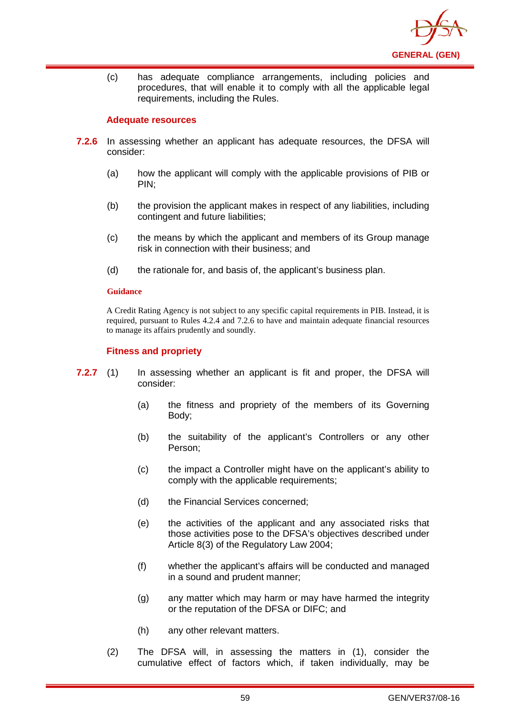

(c) has adequate compliance arrangements, including policies and procedures, that will enable it to comply with all the applicable legal requirements, including the Rules.

### **Adequate resources**

- **7.2.6** In assessing whether an applicant has adequate resources, the DFSA will consider:
	- (a) how the applicant will comply with the applicable provisions of PIB or PIN;
	- (b) the provision the applicant makes in respect of any liabilities, including contingent and future liabilities;
	- (c) the means by which the applicant and members of its Group manage risk in connection with their business; and
	- (d) the rationale for, and basis of, the applicant's business plan.

#### **Guidance**

A Credit Rating Agency is not subject to any specific capital requirements in PIB. Instead, it is required, pursuant to Rules 4.2.4 and 7.2.6 to have and maintain adequate financial resources to manage its affairs prudently and soundly.

### **Fitness and propriety**

- **7.2.7** (1) In assessing whether an applicant is fit and proper, the DFSA will consider:
	- (a) the fitness and propriety of the members of its Governing Body;
	- (b) the suitability of the applicant's Controllers or any other Person;
	- (c) the impact a Controller might have on the applicant's ability to comply with the applicable requirements:
	- (d) the Financial Services concerned;
	- (e) the activities of the applicant and any associated risks that those activities pose to the DFSA's objectives described under Article 8(3) of the Regulatory Law 2004;
	- (f) whether the applicant's affairs will be conducted and managed in a sound and prudent manner;
	- (g) any matter which may harm or may have harmed the integrity or the reputation of the DFSA or DIFC; and
	- (h) any other relevant matters.
	- (2) The DFSA will, in assessing the matters in (1), consider the cumulative effect of factors which, if taken individually, may be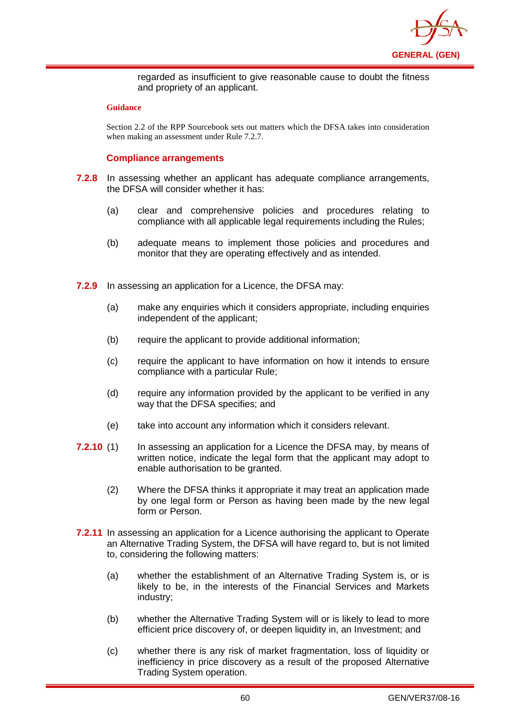

regarded as insufficient to give reasonable cause to doubt the fitness and propriety of an applicant.

#### **Guidance**

Section 2.2 of the RPP Sourcebook sets out matters which the DFSA takes into consideration when making an assessment under Rule 7.2.7.

## **Compliance arrangements**

- **7.2.8** In assessing whether an applicant has adequate compliance arrangements, the DFSA will consider whether it has:
	- (a) clear and comprehensive policies and procedures relating to compliance with all applicable legal requirements including the Rules;
	- (b) adequate means to implement those policies and procedures and monitor that they are operating effectively and as intended.
- **7.2.9** In assessing an application for a Licence, the DFSA may:
	- (a) make any enquiries which it considers appropriate, including enquiries independent of the applicant;
	- (b) require the applicant to provide additional information;
	- (c) require the applicant to have information on how it intends to ensure compliance with a particular Rule;
	- (d) require any information provided by the applicant to be verified in any way that the DFSA specifies; and
	- (e) take into account any information which it considers relevant.
- **7.2.10** (1) In assessing an application for a Licence the DFSA may, by means of written notice, indicate the legal form that the applicant may adopt to enable authorisation to be granted.
	- (2) Where the DFSA thinks it appropriate it may treat an application made by one legal form or Person as having been made by the new legal form or Person.
- **7.2.11** In assessing an application for a Licence authorising the applicant to Operate an Alternative Trading System, the DFSA will have regard to, but is not limited to, considering the following matters:
	- (a) whether the establishment of an Alternative Trading System is, or is likely to be, in the interests of the Financial Services and Markets industry;
	- (b) whether the Alternative Trading System will or is likely to lead to more efficient price discovery of, or deepen liquidity in, an Investment; and
	- (c) whether there is any risk of market fragmentation, loss of liquidity or inefficiency in price discovery as a result of the proposed Alternative Trading System operation.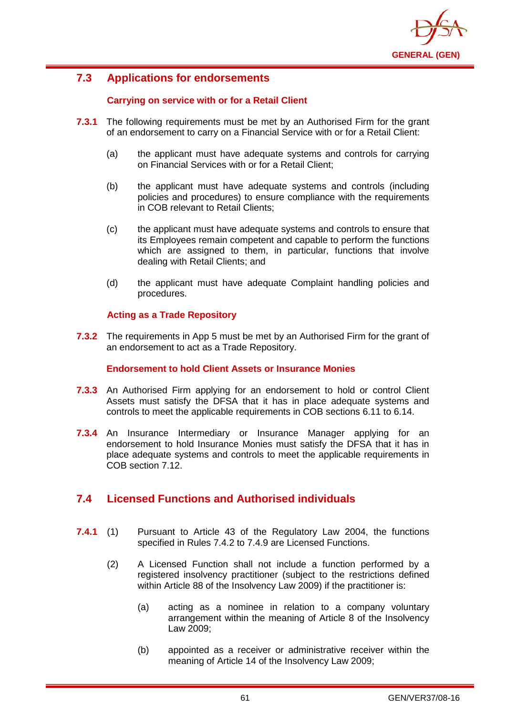

# **7.3 Applications for endorsements**

## **Carrying on service with or for a Retail Client**

- **7.3.1** The following requirements must be met by an Authorised Firm for the grant of an endorsement to carry on a Financial Service with or for a Retail Client:
	- (a) the applicant must have adequate systems and controls for carrying on Financial Services with or for a Retail Client;
	- (b) the applicant must have adequate systems and controls (including policies and procedures) to ensure compliance with the requirements in COB relevant to Retail Clients;
	- (c) the applicant must have adequate systems and controls to ensure that its Employees remain competent and capable to perform the functions which are assigned to them, in particular, functions that involve dealing with Retail Clients; and
	- (d) the applicant must have adequate Complaint handling policies and procedures.

## **Acting as a Trade Repository**

**7.3.2** The requirements in App 5 must be met by an Authorised Firm for the grant of an endorsement to act as a Trade Repository.

### **Endorsement to hold Client Assets or Insurance Monies**

- **7.3.3** An Authorised Firm applying for an endorsement to hold or control Client Assets must satisfy the DFSA that it has in place adequate systems and controls to meet the applicable requirements in COB sections 6.11 to 6.14.
- **7.3.4** An Insurance Intermediary or Insurance Manager applying for an endorsement to hold Insurance Monies must satisfy the DFSA that it has in place adequate systems and controls to meet the applicable requirements in COB section 7.12.

# **7.4 Licensed Functions and Authorised individuals**

- **7.4.1** (1) Pursuant to Article 43 of the Regulatory Law 2004, the functions specified in Rules 7.4.2 to 7.4.9 are Licensed Functions.
	- (2) A Licensed Function shall not include a function performed by a registered insolvency practitioner (subject to the restrictions defined within Article 88 of the Insolvency Law 2009) if the practitioner is:
		- (a) acting as a nominee in relation to a company voluntary arrangement within the meaning of Article 8 of the Insolvency Law 2009;
		- (b) appointed as a receiver or administrative receiver within the meaning of Article 14 of the Insolvency Law 2009;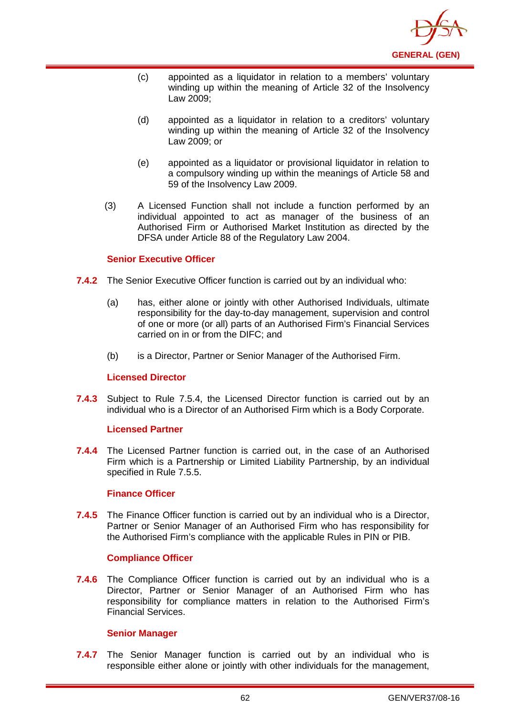

- (c) appointed as a liquidator in relation to a members' voluntary winding up within the meaning of Article 32 of the Insolvency Law 2009;
- (d) appointed as a liquidator in relation to a creditors' voluntary winding up within the meaning of Article 32 of the Insolvency Law 2009; or
- (e) appointed as a liquidator or provisional liquidator in relation to a compulsory winding up within the meanings of Article 58 and 59 of the Insolvency Law 2009.
- (3) A Licensed Function shall not include a function performed by an individual appointed to act as manager of the business of an Authorised Firm or Authorised Market Institution as directed by the DFSA under Article 88 of the Regulatory Law 2004.

## **Senior Executive Officer**

- **7.4.2** The Senior Executive Officer function is carried out by an individual who:
	- (a) has, either alone or jointly with other Authorised Individuals, ultimate responsibility for the day-to-day management, supervision and control of one or more (or all) parts of an Authorised Firm's Financial Services carried on in or from the DIFC; and
	- (b) is a Director, Partner or Senior Manager of the Authorised Firm.

### **Licensed Director**

**7.4.3** Subject to Rule 7.5.4, the Licensed Director function is carried out by an individual who is a Director of an Authorised Firm which is a Body Corporate.

### **Licensed Partner**

**7.4.4** The Licensed Partner function is carried out, in the case of an Authorised Firm which is a Partnership or Limited Liability Partnership, by an individual specified in Rule 7.5.5.

### **Finance Officer**

**7.4.5** The Finance Officer function is carried out by an individual who is a Director, Partner or Senior Manager of an Authorised Firm who has responsibility for the Authorised Firm's compliance with the applicable Rules in PIN or PIB.

## **Compliance Officer**

**7.4.6** The Compliance Officer function is carried out by an individual who is a Director, Partner or Senior Manager of an Authorised Firm who has responsibility for compliance matters in relation to the Authorised Firm's Financial Services.

### **Senior Manager**

**7.4.7** The Senior Manager function is carried out by an individual who is responsible either alone or jointly with other individuals for the management,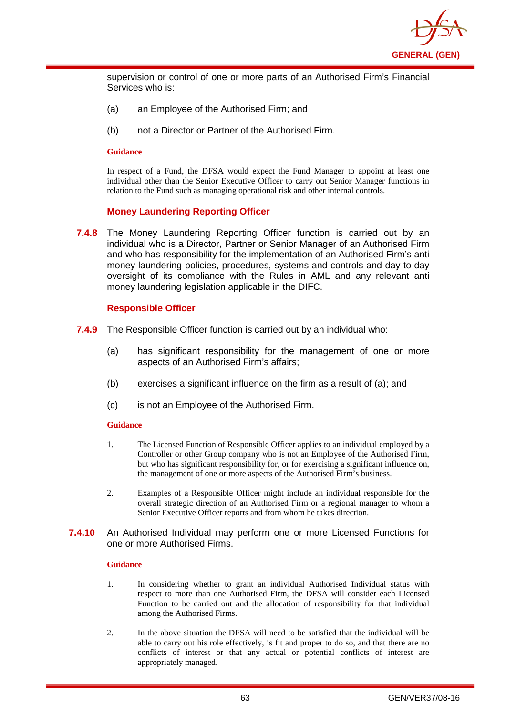

supervision or control of one or more parts of an Authorised Firm's Financial Services who is:

- (a) an Employee of the Authorised Firm; and
- (b) not a Director or Partner of the Authorised Firm.

#### **Guidance**

In respect of a Fund, the DFSA would expect the Fund Manager to appoint at least one individual other than the Senior Executive Officer to carry out Senior Manager functions in relation to the Fund such as managing operational risk and other internal controls.

## **Money Laundering Reporting Officer**

**7.4.8** The Money Laundering Reporting Officer function is carried out by an individual who is a Director, Partner or Senior Manager of an Authorised Firm and who has responsibility for the implementation of an Authorised Firm's anti money laundering policies, procedures, systems and controls and day to day oversight of its compliance with the Rules in AML and any relevant anti money laundering legislation applicable in the DIFC.

### **Responsible Officer**

- **7.4.9** The Responsible Officer function is carried out by an individual who:
	- (a) has significant responsibility for the management of one or more aspects of an Authorised Firm's affairs;
	- (b) exercises a significant influence on the firm as a result of (a); and
	- (c) is not an Employee of the Authorised Firm.

### **Guidance**

- 1. The Licensed Function of Responsible Officer applies to an individual employed by a Controller or other Group company who is not an Employee of the Authorised Firm, but who has significant responsibility for, or for exercising a significant influence on, the management of one or more aspects of the Authorised Firm's business.
- 2. Examples of a Responsible Officer might include an individual responsible for the overall strategic direction of an Authorised Firm or a regional manager to whom a Senior Executive Officer reports and from whom he takes direction.

### **7.4.10** An Authorised Individual may perform one or more Licensed Functions for one or more Authorised Firms.

- 1. In considering whether to grant an individual Authorised Individual status with respect to more than one Authorised Firm, the DFSA will consider each Licensed Function to be carried out and the allocation of responsibility for that individual among the Authorised Firms.
- 2. In the above situation the DFSA will need to be satisfied that the individual will be able to carry out his role effectively, is fit and proper to do so, and that there are no conflicts of interest or that any actual or potential conflicts of interest are appropriately managed.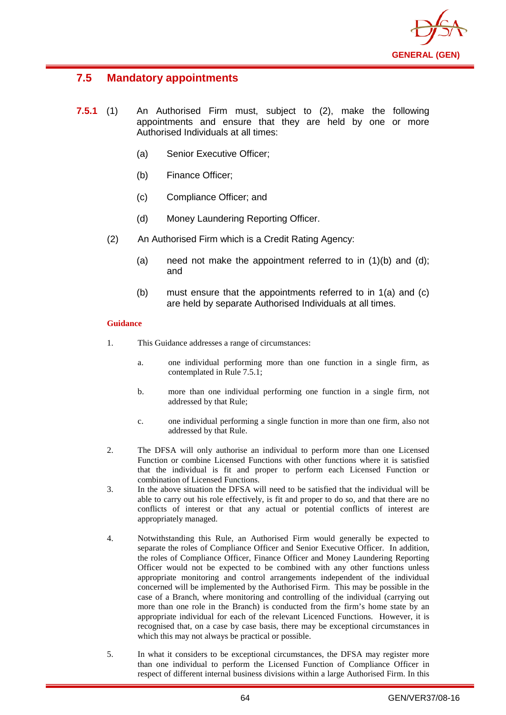

# **7.5 Mandatory appointments**

- **7.5.1** (1) An Authorised Firm must, subject to (2), make the following appointments and ensure that they are held by one or more Authorised Individuals at all times:
	- (a) Senior Executive Officer;
	- (b) Finance Officer;
	- (c) Compliance Officer; and
	- (d) Money Laundering Reporting Officer.
	- (2) An Authorised Firm which is a Credit Rating Agency:
		- (a) need not make the appointment referred to in  $(1)(b)$  and  $(d)$ ; and
		- (b) must ensure that the appointments referred to in 1(a) and (c) are held by separate Authorised Individuals at all times.

- 1. This Guidance addresses a range of circumstances:
	- a. one individual performing more than one function in a single firm, as contemplated in Rule 7.5.1;
	- b. more than one individual performing one function in a single firm, not addressed by that Rule;
	- c. one individual performing a single function in more than one firm, also not addressed by that Rule.
- 2. The DFSA will only authorise an individual to perform more than one Licensed Function or combine Licensed Functions with other functions where it is satisfied that the individual is fit and proper to perform each Licensed Function or combination of Licensed Functions.
- 3. In the above situation the DFSA will need to be satisfied that the individual will be able to carry out his role effectively, is fit and proper to do so, and that there are no conflicts of interest or that any actual or potential conflicts of interest are appropriately managed.
- 4. Notwithstanding this Rule, an Authorised Firm would generally be expected to separate the roles of Compliance Officer and Senior Executive Officer. In addition, the roles of Compliance Officer, Finance Officer and Money Laundering Reporting Officer would not be expected to be combined with any other functions unless appropriate monitoring and control arrangements independent of the individual concerned will be implemented by the Authorised Firm. This may be possible in the case of a Branch, where monitoring and controlling of the individual (carrying out more than one role in the Branch) is conducted from the firm's home state by an appropriate individual for each of the relevant Licenced Functions. However, it is recognised that, on a case by case basis, there may be exceptional circumstances in which this may not always be practical or possible.
- 5. In what it considers to be exceptional circumstances, the DFSA may register more than one individual to perform the Licensed Function of Compliance Officer in respect of different internal business divisions within a large Authorised Firm. In this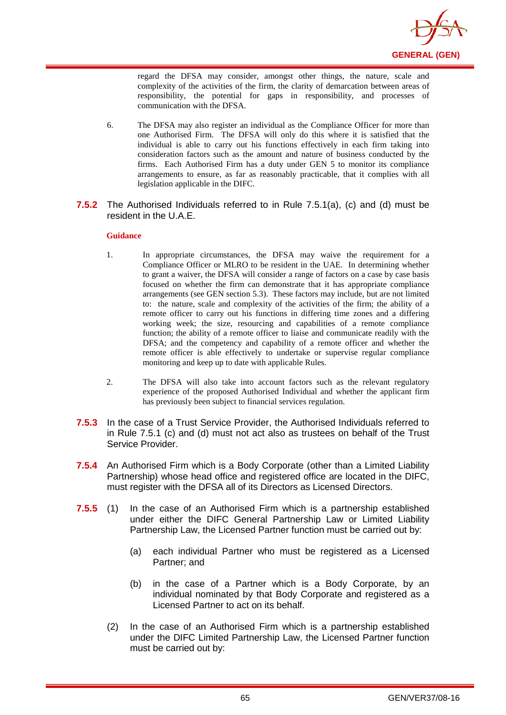

regard the DFSA may consider, amongst other things, the nature, scale and complexity of the activities of the firm, the clarity of demarcation between areas of responsibility, the potential for gaps in responsibility, and processes of communication with the DFSA.

- 6. The DFSA may also register an individual as the Compliance Officer for more than one Authorised Firm. The DFSA will only do this where it is satisfied that the individual is able to carry out his functions effectively in each firm taking into consideration factors such as the amount and nature of business conducted by the firms. Each Authorised Firm has a duty under GEN 5 to monitor its compliance arrangements to ensure, as far as reasonably practicable, that it complies with all legislation applicable in the DIFC.
- **7.5.2** The Authorised Individuals referred to in Rule 7.5.1(a), (c) and (d) must be resident in the U.A.E.

- 1. In appropriate circumstances, the DFSA may waive the requirement for a Compliance Officer or MLRO to be resident in the UAE. In determining whether to grant a waiver, the DFSA will consider a range of factors on a case by case basis focused on whether the firm can demonstrate that it has appropriate compliance arrangements (see GEN section 5.3). These factors may include, but are not limited to: the nature, scale and complexity of the activities of the firm; the ability of a remote officer to carry out his functions in differing time zones and a differing working week; the size, resourcing and capabilities of a remote compliance function; the ability of a remote officer to liaise and communicate readily with the DFSA; and the competency and capability of a remote officer and whether the remote officer is able effectively to undertake or supervise regular compliance monitoring and keep up to date with applicable Rules.
- 2. The DFSA will also take into account factors such as the relevant regulatory experience of the proposed Authorised Individual and whether the applicant firm has previously been subject to financial services regulation.
- **7.5.3** In the case of a Trust Service Provider, the Authorised Individuals referred to in Rule 7.5.1 (c) and (d) must not act also as trustees on behalf of the Trust Service Provider.
- **7.5.4** An Authorised Firm which is a Body Corporate (other than a Limited Liability Partnership) whose head office and registered office are located in the DIFC, must register with the DFSA all of its Directors as Licensed Directors.
- **7.5.5** (1) In the case of an Authorised Firm which is a partnership established under either the DIFC General Partnership Law or Limited Liability Partnership Law, the Licensed Partner function must be carried out by:
	- (a) each individual Partner who must be registered as a Licensed Partner; and
	- (b) in the case of a Partner which is a Body Corporate, by an individual nominated by that Body Corporate and registered as a Licensed Partner to act on its behalf.
	- (2) In the case of an Authorised Firm which is a partnership established under the DIFC Limited Partnership Law, the Licensed Partner function must be carried out by: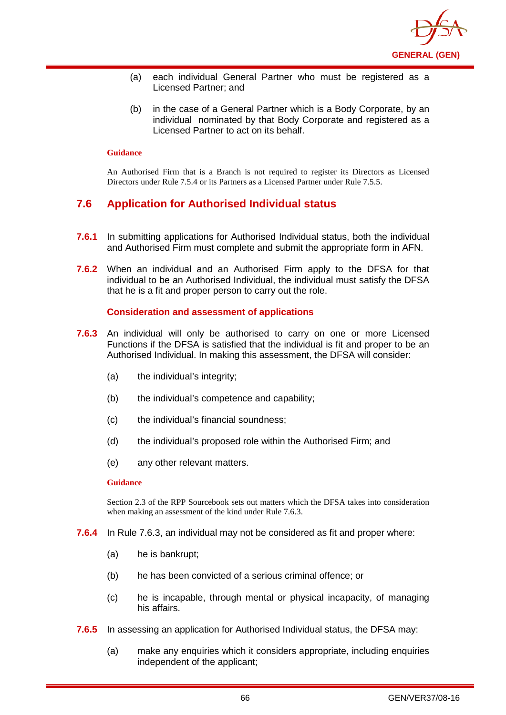

- (a) each individual General Partner who must be registered as a Licensed Partner; and
- (b) in the case of a General Partner which is a Body Corporate, by an individual nominated by that Body Corporate and registered as a Licensed Partner to act on its behalf.

An Authorised Firm that is a Branch is not required to register its Directors as Licensed Directors under Rule 7.5.4 or its Partners as a Licensed Partner under Rule 7.5.5.

# **7.6 Application for Authorised Individual status**

- **7.6.1** In submitting applications for Authorised Individual status, both the individual and Authorised Firm must complete and submit the appropriate form in AFN.
- **7.6.2** When an individual and an Authorised Firm apply to the DFSA for that individual to be an Authorised Individual, the individual must satisfy the DFSA that he is a fit and proper person to carry out the role.

## **Consideration and assessment of applications**

- **7.6.3** An individual will only be authorised to carry on one or more Licensed Functions if the DFSA is satisfied that the individual is fit and proper to be an Authorised Individual. In making this assessment, the DFSA will consider:
	- (a) the individual's integrity;
	- (b) the individual's competence and capability;
	- (c) the individual's financial soundness;
	- (d) the individual's proposed role within the Authorised Firm; and
	- (e) any other relevant matters.

#### **Guidance**

Section 2.3 of the RPP Sourcebook sets out matters which the DFSA takes into consideration when making an assessment of the kind under Rule 7.6.3.

- **7.6.4** In Rule 7.6.3, an individual may not be considered as fit and proper where:
	- (a) he is bankrupt;
	- (b) he has been convicted of a serious criminal offence; or
	- (c) he is incapable, through mental or physical incapacity, of managing his affairs.
- **7.6.5** In assessing an application for Authorised Individual status, the DFSA may:
	- (a) make any enquiries which it considers appropriate, including enquiries independent of the applicant;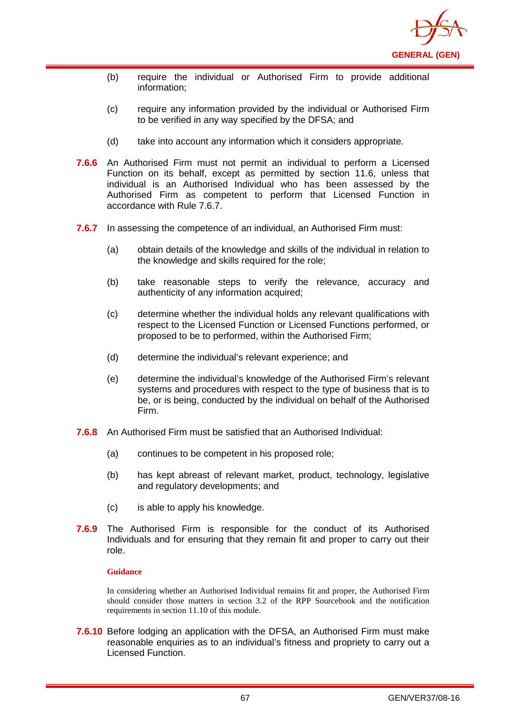

- (b) require the individual or Authorised Firm to provide additional information;
- (c) require any information provided by the individual or Authorised Firm to be verified in any way specified by the DFSA; and
- (d) take into account any information which it considers appropriate.
- **7.6.6** An Authorised Firm must not permit an individual to perform a Licensed Function on its behalf, except as permitted by section 11.6, unless that individual is an Authorised Individual who has been assessed by the Authorised Firm as competent to perform that Licensed Function in accordance with Rule 7.6.7.
- **7.6.7** In assessing the competence of an individual, an Authorised Firm must:
	- (a) obtain details of the knowledge and skills of the individual in relation to the knowledge and skills required for the role;
	- (b) take reasonable steps to verify the relevance, accuracy and authenticity of any information acquired;
	- (c) determine whether the individual holds any relevant qualifications with respect to the Licensed Function or Licensed Functions performed, or proposed to be to performed, within the Authorised Firm;
	- (d) determine the individual's relevant experience; and
	- (e) determine the individual's knowledge of the Authorised Firm's relevant systems and procedures with respect to the type of business that is to be, or is being, conducted by the individual on behalf of the Authorised Firm.
- **7.6.8** An Authorised Firm must be satisfied that an Authorised Individual:
	- (a) continues to be competent in his proposed role;
	- (b) has kept abreast of relevant market, product, technology, legislative and regulatory developments; and
	- (c) is able to apply his knowledge.
- **7.6.9** The Authorised Firm is responsible for the conduct of its Authorised Individuals and for ensuring that they remain fit and proper to carry out their role.

In considering whether an Authorised Individual remains fit and proper, the Authorised Firm should consider those matters in section 3.2 of the RPP Sourcebook and the notification requirements in section 11.10 of this module.

**7.6.10** Before lodging an application with the DFSA, an Authorised Firm must make reasonable enquiries as to an individual's fitness and propriety to carry out a Licensed Function.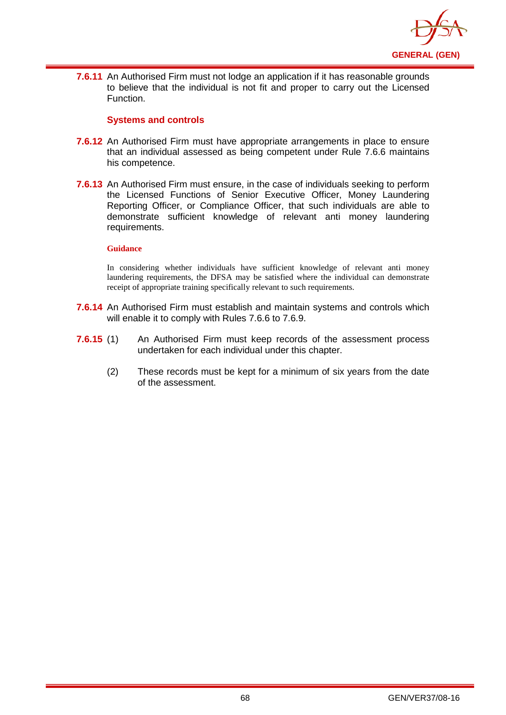

**7.6.11** An Authorised Firm must not lodge an application if it has reasonable grounds to believe that the individual is not fit and proper to carry out the Licensed Function.

### **Systems and controls**

- **7.6.12** An Authorised Firm must have appropriate arrangements in place to ensure that an individual assessed as being competent under Rule 7.6.6 maintains his competence.
- **7.6.13** An Authorised Firm must ensure, in the case of individuals seeking to perform the Licensed Functions of Senior Executive Officer, Money Laundering Reporting Officer, or Compliance Officer, that such individuals are able to demonstrate sufficient knowledge of relevant anti money laundering requirements.

#### **Guidance**

In considering whether individuals have sufficient knowledge of relevant anti money laundering requirements, the DFSA may be satisfied where the individual can demonstrate receipt of appropriate training specifically relevant to such requirements.

- **7.6.14** An Authorised Firm must establish and maintain systems and controls which will enable it to comply with Rules 7.6.6 to 7.6.9.
- **7.6.15** (1) An Authorised Firm must keep records of the assessment process undertaken for each individual under this chapter.
	- (2) These records must be kept for a minimum of six years from the date of the assessment.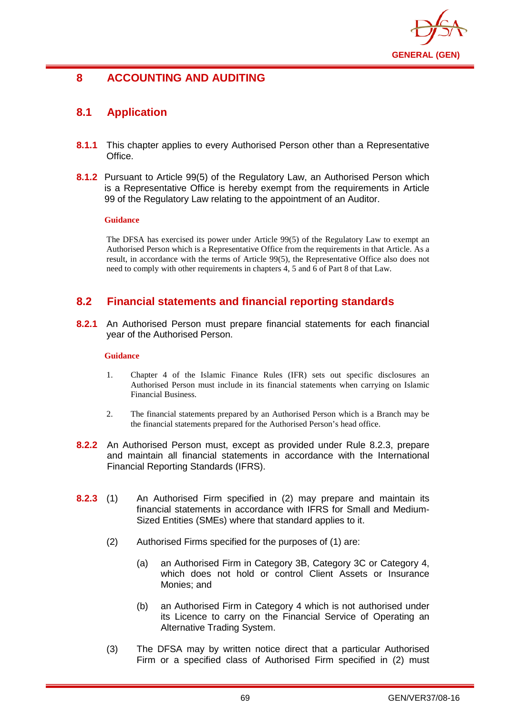

# **8 ACCOUNTING AND AUDITING**

# **8.1 Application**

- **8.1.1** This chapter applies to every Authorised Person other than a Representative Office.
- **8.1.2** Pursuant to Article 99(5) of the Regulatory Law, an Authorised Person which is a Representative Office is hereby exempt from the requirements in Article 99 of the Regulatory Law relating to the appointment of an Auditor.

### **Guidance**

The DFSA has exercised its power under Article 99(5) of the Regulatory Law to exempt an Authorised Person which is a Representative Office from the requirements in that Article. As a result, in accordance with the terms of Article 99(5), the Representative Office also does not need to comply with other requirements in chapters 4, 5 and 6 of Part 8 of that Law.

# **8.2 Financial statements and financial reporting standards**

**8.2.1** An Authorised Person must prepare financial statements for each financial year of the Authorised Person.

## **Guidance**

- 1. Chapter 4 of the Islamic Finance Rules (IFR) sets out specific disclosures an Authorised Person must include in its financial statements when carrying on Islamic Financial Business.
- 2. The financial statements prepared by an Authorised Person which is a Branch may be the financial statements prepared for the Authorised Person's head office.
- **8.2.2** An Authorised Person must, except as provided under Rule 8.2.3, prepare and maintain all financial statements in accordance with the International Financial Reporting Standards (IFRS).
- **8.2.3** (1) An Authorised Firm specified in (2) may prepare and maintain its financial statements in accordance with IFRS for Small and Medium-Sized Entities (SMEs) where that standard applies to it.
	- (2) Authorised Firms specified for the purposes of (1) are:
		- (a) an Authorised Firm in Category 3B, Category 3C or Category 4, which does not hold or control Client Assets or Insurance Monies; and
		- (b) an Authorised Firm in Category 4 which is not authorised under its Licence to carry on the Financial Service of Operating an Alternative Trading System.
	- (3) The DFSA may by written notice direct that a particular Authorised Firm or a specified class of Authorised Firm specified in (2) must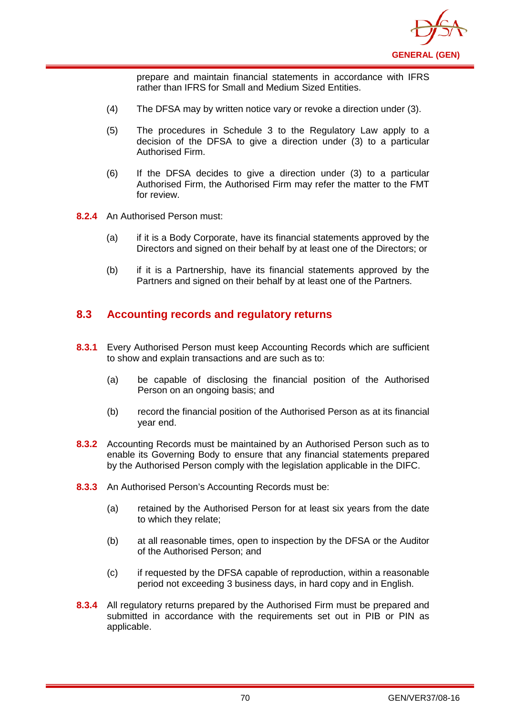

prepare and maintain financial statements in accordance with IFRS rather than IFRS for Small and Medium Sized Entities.

- (4) The DFSA may by written notice vary or revoke a direction under (3).
- (5) The procedures in Schedule 3 to the Regulatory Law apply to a decision of the DFSA to give a direction under (3) to a particular Authorised Firm.
- (6) If the DFSA decides to give a direction under (3) to a particular Authorised Firm, the Authorised Firm may refer the matter to the FMT for review.
- **8.2.4** An Authorised Person must:
	- (a) if it is a Body Corporate, have its financial statements approved by the Directors and signed on their behalf by at least one of the Directors; or
	- (b) if it is a Partnership, have its financial statements approved by the Partners and signed on their behalf by at least one of the Partners.

# **8.3 Accounting records and regulatory returns**

- **8.3.1** Every Authorised Person must keep Accounting Records which are sufficient to show and explain transactions and are such as to:
	- (a) be capable of disclosing the financial position of the Authorised Person on an ongoing basis; and
	- (b) record the financial position of the Authorised Person as at its financial year end.
- **8.3.2** Accounting Records must be maintained by an Authorised Person such as to enable its Governing Body to ensure that any financial statements prepared by the Authorised Person comply with the legislation applicable in the DIFC.
- **8.3.3** An Authorised Person's Accounting Records must be:
	- (a) retained by the Authorised Person for at least six years from the date to which they relate;
	- (b) at all reasonable times, open to inspection by the DFSA or the Auditor of the Authorised Person; and
	- (c) if requested by the DFSA capable of reproduction, within a reasonable period not exceeding 3 business days, in hard copy and in English.
- **8.3.4** All regulatory returns prepared by the Authorised Firm must be prepared and submitted in accordance with the requirements set out in PIB or PIN as applicable.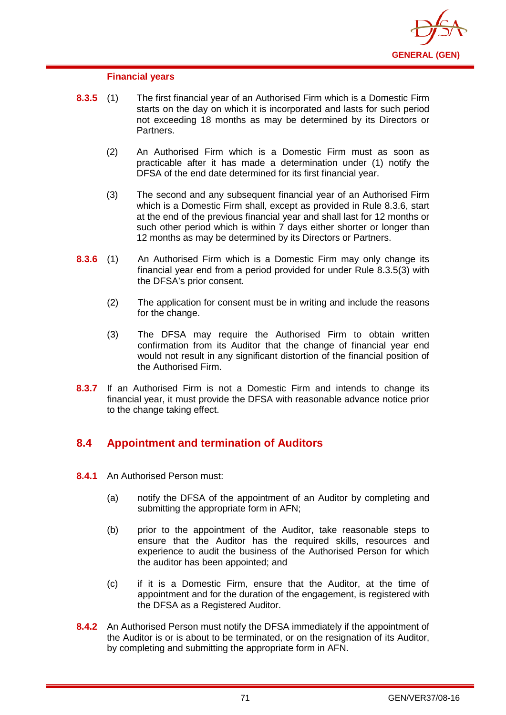

#### **Financial years**

- **8.3.5** (1) The first financial year of an Authorised Firm which is a Domestic Firm starts on the day on which it is incorporated and lasts for such period not exceeding 18 months as may be determined by its Directors or Partners.
	- (2) An Authorised Firm which is a Domestic Firm must as soon as practicable after it has made a determination under (1) notify the DFSA of the end date determined for its first financial year.
	- (3) The second and any subsequent financial year of an Authorised Firm which is a Domestic Firm shall, except as provided in Rule 8.3.6, start at the end of the previous financial year and shall last for 12 months or such other period which is within 7 days either shorter or longer than 12 months as may be determined by its Directors or Partners.
- **8.3.6** (1) An Authorised Firm which is a Domestic Firm may only change its financial year end from a period provided for under Rule 8.3.5(3) with the DFSA's prior consent.
	- (2) The application for consent must be in writing and include the reasons for the change.
	- (3) The DFSA may require the Authorised Firm to obtain written confirmation from its Auditor that the change of financial year end would not result in any significant distortion of the financial position of the Authorised Firm.
- **8.3.7** If an Authorised Firm is not a Domestic Firm and intends to change its financial year, it must provide the DFSA with reasonable advance notice prior to the change taking effect.

# **8.4 Appointment and termination of Auditors**

- **8.4.1** An Authorised Person must:
	- (a) notify the DFSA of the appointment of an Auditor by completing and submitting the appropriate form in AFN;
	- (b) prior to the appointment of the Auditor, take reasonable steps to ensure that the Auditor has the required skills, resources and experience to audit the business of the Authorised Person for which the auditor has been appointed; and
	- (c) if it is a Domestic Firm, ensure that the Auditor, at the time of appointment and for the duration of the engagement, is registered with the DFSA as a Registered Auditor.
- **8.4.2** An Authorised Person must notify the DFSA immediately if the appointment of the Auditor is or is about to be terminated, or on the resignation of its Auditor, by completing and submitting the appropriate form in AFN.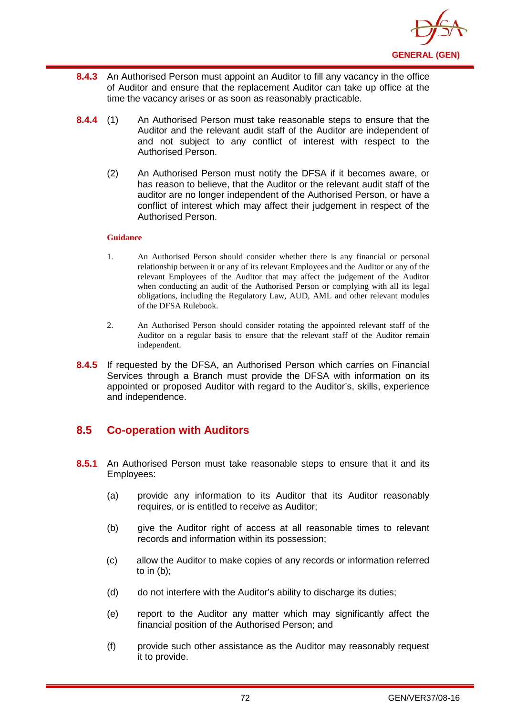

- **8.4.3** An Authorised Person must appoint an Auditor to fill any vacancy in the office of Auditor and ensure that the replacement Auditor can take up office at the time the vacancy arises or as soon as reasonably practicable.
- **8.4.4** (1) An Authorised Person must take reasonable steps to ensure that the Auditor and the relevant audit staff of the Auditor are independent of and not subject to any conflict of interest with respect to the Authorised Person.
	- (2) An Authorised Person must notify the DFSA if it becomes aware, or has reason to believe, that the Auditor or the relevant audit staff of the auditor are no longer independent of the Authorised Person, or have a conflict of interest which may affect their judgement in respect of the Authorised Person.

- 1. An Authorised Person should consider whether there is any financial or personal relationship between it or any of its relevant Employees and the Auditor or any of the relevant Employees of the Auditor that may affect the judgement of the Auditor when conducting an audit of the Authorised Person or complying with all its legal obligations, including the Regulatory Law, AUD, AML and other relevant modules of the DFSA Rulebook.
- 2. An Authorised Person should consider rotating the appointed relevant staff of the Auditor on a regular basis to ensure that the relevant staff of the Auditor remain independent.
- **8.4.5** If requested by the DFSA, an Authorised Person which carries on Financial Services through a Branch must provide the DFSA with information on its appointed or proposed Auditor with regard to the Auditor's, skills, experience and independence.

# **8.5 Co-operation with Auditors**

- **8.5.1** An Authorised Person must take reasonable steps to ensure that it and its Employees:
	- (a) provide any information to its Auditor that its Auditor reasonably requires, or is entitled to receive as Auditor;
	- (b) give the Auditor right of access at all reasonable times to relevant records and information within its possession;
	- (c) allow the Auditor to make copies of any records or information referred to in (b);
	- (d) do not interfere with the Auditor's ability to discharge its duties;
	- (e) report to the Auditor any matter which may significantly affect the financial position of the Authorised Person; and
	- (f) provide such other assistance as the Auditor may reasonably request it to provide.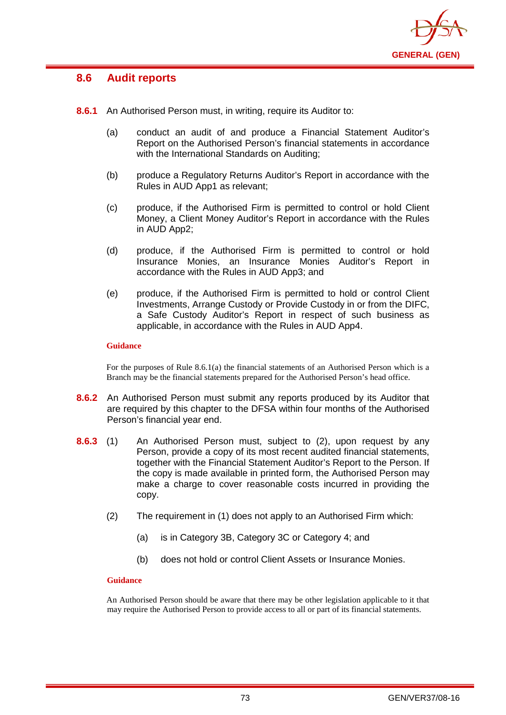

# **8.6 Audit reports**

- **8.6.1** An Authorised Person must, in writing, require its Auditor to:
	- (a) conduct an audit of and produce a Financial Statement Auditor's Report on the Authorised Person's financial statements in accordance with the International Standards on Auditing;
	- (b) produce a Regulatory Returns Auditor's Report in accordance with the Rules in AUD App1 as relevant;
	- (c) produce, if the Authorised Firm is permitted to control or hold Client Money, a Client Money Auditor's Report in accordance with the Rules in AUD App2;
	- (d) produce, if the Authorised Firm is permitted to control or hold Insurance Monies, an Insurance Monies Auditor's Report in accordance with the Rules in AUD App3; and
	- (e) produce, if the Authorised Firm is permitted to hold or control Client Investments, Arrange Custody or Provide Custody in or from the DIFC, a Safe Custody Auditor's Report in respect of such business as applicable, in accordance with the Rules in AUD App4.

### **Guidance**

For the purposes of Rule 8.6.1(a) the financial statements of an Authorised Person which is a Branch may be the financial statements prepared for the Authorised Person's head office.

- **8.6.2** An Authorised Person must submit any reports produced by its Auditor that are required by this chapter to the DFSA within four months of the Authorised Person's financial year end.
- **8.6.3** (1) An Authorised Person must, subject to (2), upon request by any Person, provide a copy of its most recent audited financial statements, together with the Financial Statement Auditor's Report to the Person. If the copy is made available in printed form, the Authorised Person may make a charge to cover reasonable costs incurred in providing the copy.
	- (2) The requirement in (1) does not apply to an Authorised Firm which:
		- (a) is in Category 3B, Category 3C or Category 4; and
		- (b) does not hold or control Client Assets or Insurance Monies.

### **Guidance**

An Authorised Person should be aware that there may be other legislation applicable to it that may require the Authorised Person to provide access to all or part of its financial statements.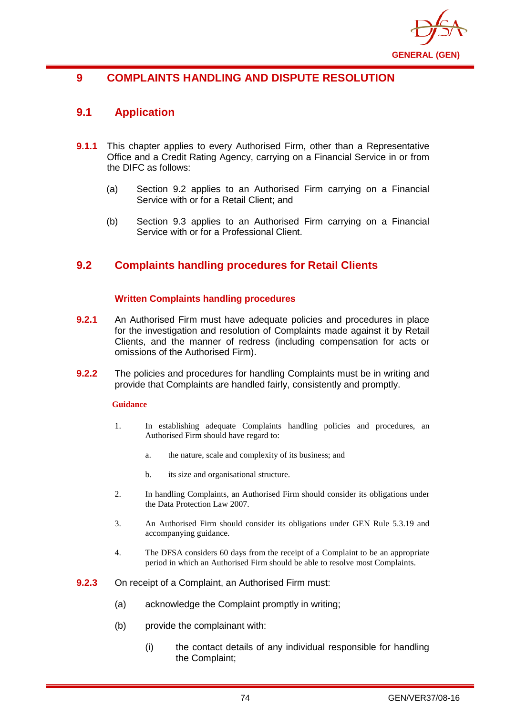

# **9 COMPLAINTS HANDLING AND DISPUTE RESOLUTION**

# **9.1 Application**

- **9.1.1** This chapter applies to every Authorised Firm, other than a Representative Office and a Credit Rating Agency, carrying on a Financial Service in or from the DIFC as follows:
	- (a) Section 9.2 applies to an Authorised Firm carrying on a Financial Service with or for a Retail Client; and
	- (b) Section 9.3 applies to an Authorised Firm carrying on a Financial Service with or for a Professional Client.

# **9.2 Complaints handling procedures for Retail Clients**

## **Written Complaints handling procedures**

- **9.2.1** An Authorised Firm must have adequate policies and procedures in place for the investigation and resolution of Complaints made against it by Retail Clients, and the manner of redress (including compensation for acts or omissions of the Authorised Firm).
- **9.2.2** The policies and procedures for handling Complaints must be in writing and provide that Complaints are handled fairly, consistently and promptly.

### **Guidance**

- 1. In establishing adequate Complaints handling policies and procedures, an Authorised Firm should have regard to:
	- a. the nature, scale and complexity of its business; and
	- b. its size and organisational structure.
- 2. In handling Complaints, an Authorised Firm should consider its obligations under the Data Protection Law 2007.
- 3. An Authorised Firm should consider its obligations under GEN Rule 5.3.19 and accompanying guidance.
- 4. The DFSA considers 60 days from the receipt of a Complaint to be an appropriate period in which an Authorised Firm should be able to resolve most Complaints.
- **9.2.3** On receipt of a Complaint, an Authorised Firm must:
	- (a) acknowledge the Complaint promptly in writing;
	- (b) provide the complainant with:
		- (i) the contact details of any individual responsible for handling the Complaint;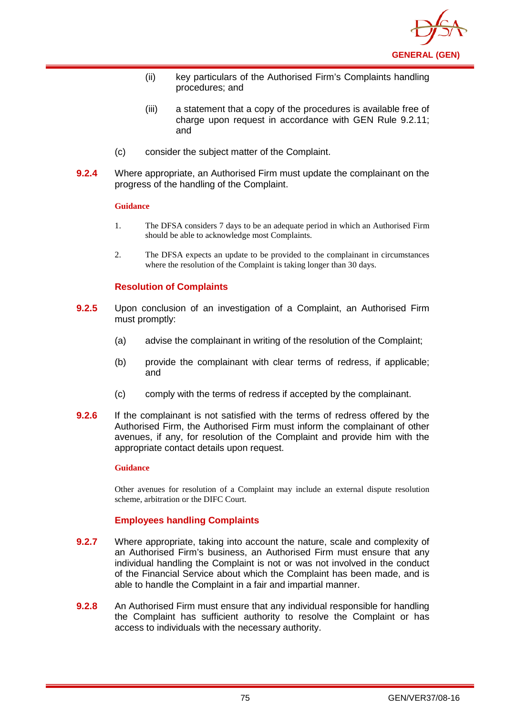

- (ii) key particulars of the Authorised Firm's Complaints handling procedures; and
- (iii) a statement that a copy of the procedures is available free of charge upon request in accordance with GEN Rule 9.2.11; and
- (c) consider the subject matter of the Complaint.
- **9.2.4** Where appropriate, an Authorised Firm must update the complainant on the progress of the handling of the Complaint.

- 1. The DFSA considers 7 days to be an adequate period in which an Authorised Firm should be able to acknowledge most Complaints.
- 2. The DFSA expects an update to be provided to the complainant in circumstances where the resolution of the Complaint is taking longer than 30 days.

## **Resolution of Complaints**

- **9.2.5** Upon conclusion of an investigation of a Complaint, an Authorised Firm must promptly:
	- (a) advise the complainant in writing of the resolution of the Complaint;
	- (b) provide the complainant with clear terms of redress, if applicable; and
	- (c) comply with the terms of redress if accepted by the complainant.
- **9.2.6** If the complainant is not satisfied with the terms of redress offered by the Authorised Firm, the Authorised Firm must inform the complainant of other avenues, if any, for resolution of the Complaint and provide him with the appropriate contact details upon request.

#### **Guidance**

Other avenues for resolution of a Complaint may include an external dispute resolution scheme, arbitration or the DIFC Court.

### **Employees handling Complaints**

- **9.2.7** Where appropriate, taking into account the nature, scale and complexity of an Authorised Firm's business, an Authorised Firm must ensure that any individual handling the Complaint is not or was not involved in the conduct of the Financial Service about which the Complaint has been made, and is able to handle the Complaint in a fair and impartial manner.
- **9.2.8** An Authorised Firm must ensure that any individual responsible for handling the Complaint has sufficient authority to resolve the Complaint or has access to individuals with the necessary authority.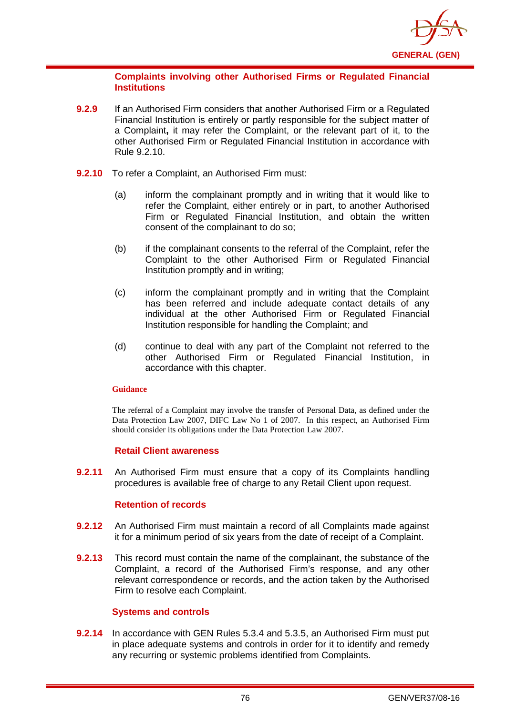

## **Complaints involving other Authorised Firms or Regulated Financial Institutions**

- **9.2.9** If an Authorised Firm considers that another Authorised Firm or a Regulated Financial Institution is entirely or partly responsible for the subject matter of a Complaint**,** it may refer the Complaint, or the relevant part of it, to the other Authorised Firm or Regulated Financial Institution in accordance with Rule 9.2.10.
- **9.2.10** To refer a Complaint, an Authorised Firm must:
	- (a) inform the complainant promptly and in writing that it would like to refer the Complaint, either entirely or in part, to another Authorised Firm or Regulated Financial Institution, and obtain the written consent of the complainant to do so;
	- (b) if the complainant consents to the referral of the Complaint, refer the Complaint to the other Authorised Firm or Regulated Financial Institution promptly and in writing;
	- (c) inform the complainant promptly and in writing that the Complaint has been referred and include adequate contact details of any individual at the other Authorised Firm or Regulated Financial Institution responsible for handling the Complaint; and
	- (d) continue to deal with any part of the Complaint not referred to the other Authorised Firm or Regulated Financial Institution, in accordance with this chapter.

### **Guidance**

The referral of a Complaint may involve the transfer of Personal Data, as defined under the Data Protection Law 2007, DIFC Law No 1 of 2007. In this respect, an Authorised Firm should consider its obligations under the Data Protection Law 2007.

## **Retail Client awareness**

**9.2.11** An Authorised Firm must ensure that a copy of its Complaints handling procedures is available free of charge to any Retail Client upon request.

## **Retention of records**

- **9.2.12** An Authorised Firm must maintain a record of all Complaints made against it for a minimum period of six years from the date of receipt of a Complaint.
- **9.2.13** This record must contain the name of the complainant, the substance of the Complaint, a record of the Authorised Firm's response, and any other relevant correspondence or records, and the action taken by the Authorised Firm to resolve each Complaint.

## **Systems and controls**

**9.2.14** In accordance with GEN Rules 5.3.4 and 5.3.5, an Authorised Firm must put in place adequate systems and controls in order for it to identify and remedy any recurring or systemic problems identified from Complaints.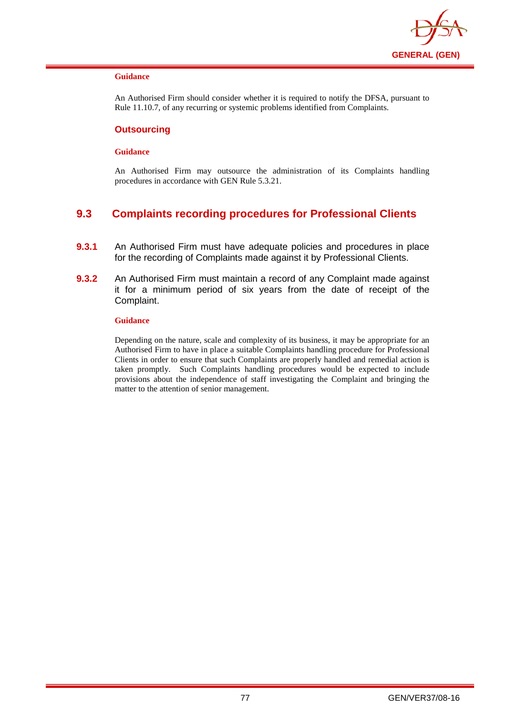

An Authorised Firm should consider whether it is required to notify the DFSA, pursuant to Rule 11.10.7, of any recurring or systemic problems identified from Complaints.

### **Outsourcing**

#### **Guidance**

An Authorised Firm may outsource the administration of its Complaints handling procedures in accordance with GEN Rule 5.3.21.

# **9.3 Complaints recording procedures for Professional Clients**

- **9.3.1** An Authorised Firm must have adequate policies and procedures in place for the recording of Complaints made against it by Professional Clients.
- **9.3.2** An Authorised Firm must maintain a record of any Complaint made against it for a minimum period of six years from the date of receipt of the Complaint.

#### **Guidance**

Depending on the nature, scale and complexity of its business, it may be appropriate for an Authorised Firm to have in place a suitable Complaints handling procedure for Professional Clients in order to ensure that such Complaints are properly handled and remedial action is taken promptly. Such Complaints handling procedures would be expected to include provisions about the independence of staff investigating the Complaint and bringing the matter to the attention of senior management.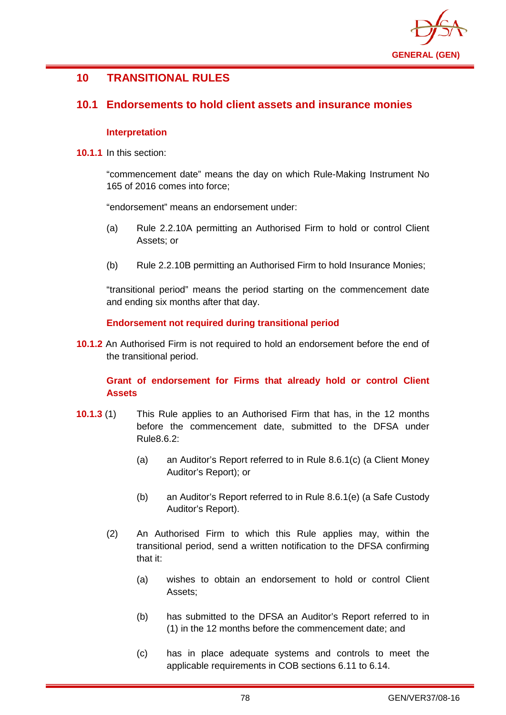

# **10 TRANSITIONAL RULES**

# **10.1 Endorsements to hold client assets and insurance monies**

## **Interpretation**

**10.1.1** In this section:

"commencement date" means the day on which Rule-Making Instrument No 165 of 2016 comes into force;

"endorsement" means an endorsement under:

- (a) Rule 2.2.10A permitting an Authorised Firm to hold or control Client Assets; or
- (b) Rule 2.2.10B permitting an Authorised Firm to hold Insurance Monies;

"transitional period" means the period starting on the commencement date and ending six months after that day.

## **Endorsement not required during transitional period**

**10.1.2** An Authorised Firm is not required to hold an endorsement before the end of the transitional period.

# **Grant of endorsement for Firms that already hold or control Client Assets**

- **10.1.3** (1) This Rule applies to an Authorised Firm that has, in the 12 months before the commencement date, submitted to the DFSA under Rule8.6.2:
	- (a) an Auditor's Report referred to in Rule 8.6.1(c) (a Client Money Auditor's Report); or
	- (b) an Auditor's Report referred to in Rule 8.6.1(e) (a Safe Custody Auditor's Report).
	- (2) An Authorised Firm to which this Rule applies may, within the transitional period, send a written notification to the DFSA confirming that it:
		- (a) wishes to obtain an endorsement to hold or control Client Assets;
		- (b) has submitted to the DFSA an Auditor's Report referred to in (1) in the 12 months before the commencement date; and
		- (c) has in place adequate systems and controls to meet the applicable requirements in COB sections 6.11 to 6.14.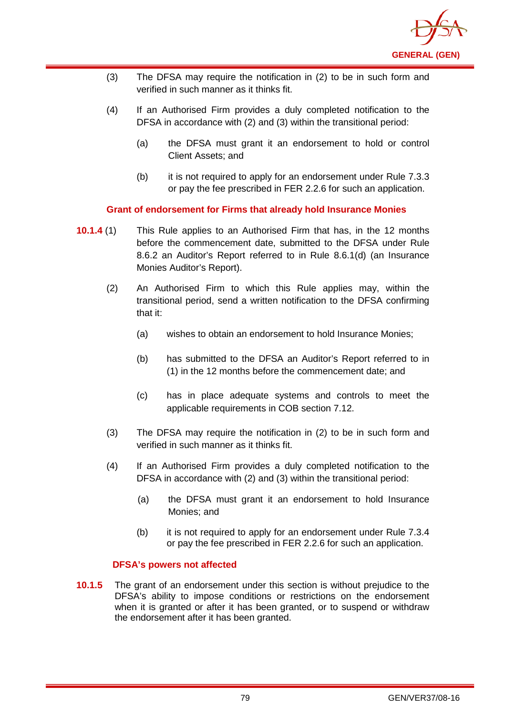

- (3) The DFSA may require the notification in (2) to be in such form and verified in such manner as it thinks fit.
- (4) If an Authorised Firm provides a duly completed notification to the DFSA in accordance with (2) and (3) within the transitional period:
	- (a) the DFSA must grant it an endorsement to hold or control Client Assets; and
	- (b) it is not required to apply for an endorsement under Rule 7.3.3 or pay the fee prescribed in FER 2.2.6 for such an application.

**Grant of endorsement for Firms that already hold Insurance Monies**

- **10.1.4** (1) This Rule applies to an Authorised Firm that has, in the 12 months before the commencement date, submitted to the DFSA under Rule 8.6.2 an Auditor's Report referred to in Rule 8.6.1(d) (an Insurance Monies Auditor's Report).
	- (2) An Authorised Firm to which this Rule applies may, within the transitional period, send a written notification to the DFSA confirming that it:
		- (a) wishes to obtain an endorsement to hold Insurance Monies;
		- (b) has submitted to the DFSA an Auditor's Report referred to in (1) in the 12 months before the commencement date; and
		- (c) has in place adequate systems and controls to meet the applicable requirements in COB section 7.12.
	- (3) The DFSA may require the notification in (2) to be in such form and verified in such manner as it thinks fit.
	- (4) If an Authorised Firm provides a duly completed notification to the DFSA in accordance with (2) and (3) within the transitional period:
		- (a) the DFSA must grant it an endorsement to hold Insurance Monies; and
		- (b) it is not required to apply for an endorsement under Rule 7.3.4 or pay the fee prescribed in FER 2.2.6 for such an application.

## **DFSA's powers not affected**

**10.1.5** The grant of an endorsement under this section is without prejudice to the DFSA's ability to impose conditions or restrictions on the endorsement when it is granted or after it has been granted, or to suspend or withdraw the endorsement after it has been granted.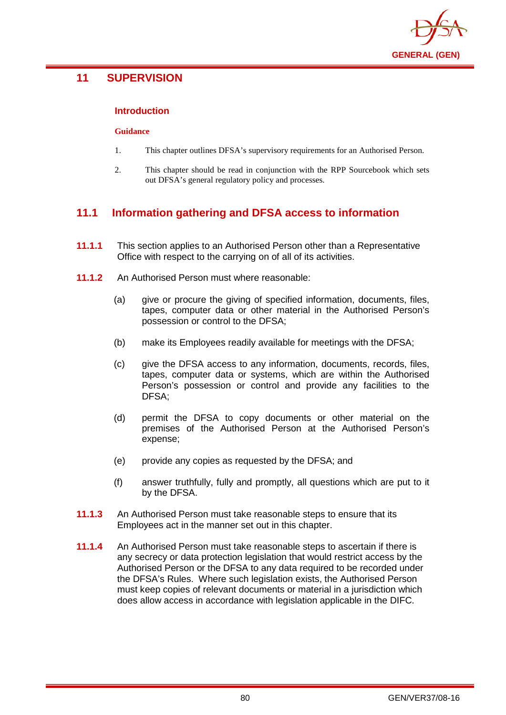

# **11 SUPERVISION**

## **Introduction**

#### **Guidance**

- 1. This chapter outlines DFSA's supervisory requirements for an Authorised Person.
- 2. This chapter should be read in conjunction with the RPP Sourcebook which sets out DFSA's general regulatory policy and processes.

# **11.1 Information gathering and DFSA access to information**

- **11.1.1** This section applies to an Authorised Person other than a Representative Office with respect to the carrying on of all of its activities.
- **11.1.2** An Authorised Person must where reasonable:
	- (a) give or procure the giving of specified information, documents, files, tapes, computer data or other material in the Authorised Person's possession or control to the DFSA;
	- (b) make its Employees readily available for meetings with the DFSA;
	- (c) give the DFSA access to any information, documents, records, files, tapes, computer data or systems, which are within the Authorised Person's possession or control and provide any facilities to the DFSA;
	- (d) permit the DFSA to copy documents or other material on the premises of the Authorised Person at the Authorised Person's expense;
	- (e) provide any copies as requested by the DFSA; and
	- (f) answer truthfully, fully and promptly, all questions which are put to it by the DFSA.
- **11.1.3** An Authorised Person must take reasonable steps to ensure that its Employees act in the manner set out in this chapter.
- **11.1.4** An Authorised Person must take reasonable steps to ascertain if there is any secrecy or data protection legislation that would restrict access by the Authorised Person or the DFSA to any data required to be recorded under the DFSA's Rules. Where such legislation exists, the Authorised Person must keep copies of relevant documents or material in a jurisdiction which does allow access in accordance with legislation applicable in the DIFC.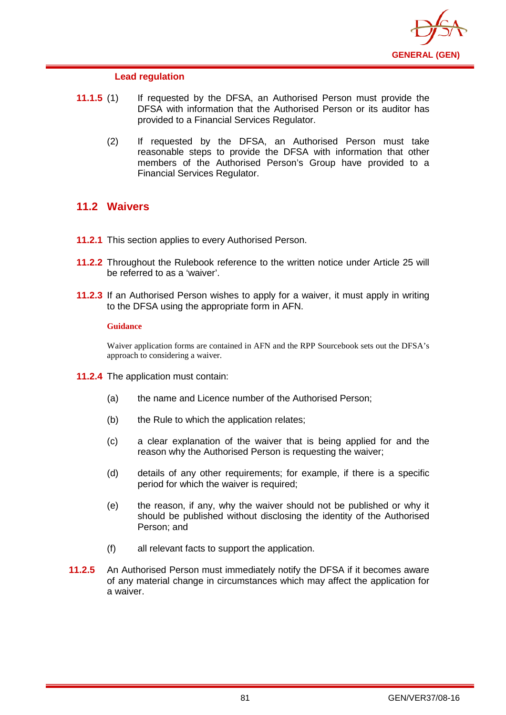

## **Lead regulation**

- **11.1.5** (1) If requested by the DFSA, an Authorised Person must provide the DFSA with information that the Authorised Person or its auditor has provided to a Financial Services Regulator.
	- (2) If requested by the DFSA, an Authorised Person must take reasonable steps to provide the DFSA with information that other members of the Authorised Person's Group have provided to a Financial Services Regulator.

# **11.2 Waivers**

- **11.2.1** This section applies to every Authorised Person.
- **11.2.2** Throughout the Rulebook reference to the written notice under Article 25 will be referred to as a 'waiver'.
- **11.2.3** If an Authorised Person wishes to apply for a waiver, it must apply in writing to the DFSA using the appropriate form in AFN.

### **Guidance**

Waiver application forms are contained in AFN and the RPP Sourcebook sets out the DFSA's approach to considering a waiver.

- **11.2.4** The application must contain:
	- (a) the name and Licence number of the Authorised Person;
	- (b) the Rule to which the application relates;
	- (c) a clear explanation of the waiver that is being applied for and the reason why the Authorised Person is requesting the waiver;
	- (d) details of any other requirements; for example, if there is a specific period for which the waiver is required;
	- (e) the reason, if any, why the waiver should not be published or why it should be published without disclosing the identity of the Authorised Person; and
	- (f) all relevant facts to support the application.
- **11.2.5** An Authorised Person must immediately notify the DFSA if it becomes aware of any material change in circumstances which may affect the application for a waiver.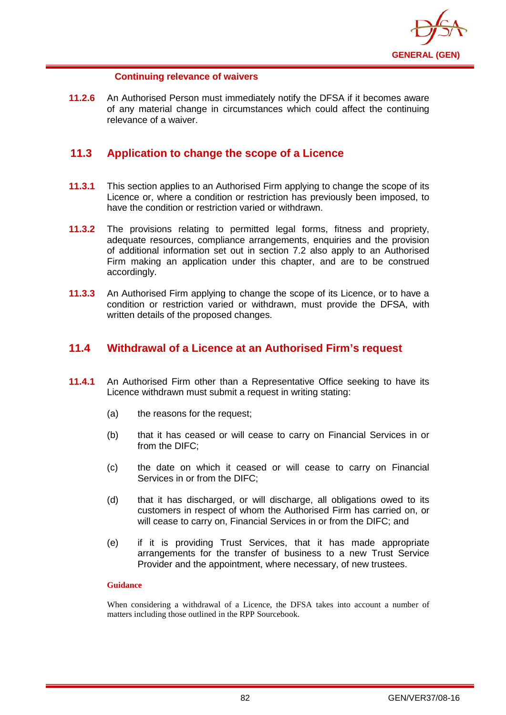

## **Continuing relevance of waivers**

**11.2.6** An Authorised Person must immediately notify the DFSA if it becomes aware of any material change in circumstances which could affect the continuing relevance of a waiver.

# **11.3 Application to change the scope of a Licence**

- **11.3.1** This section applies to an Authorised Firm applying to change the scope of its Licence or, where a condition or restriction has previously been imposed, to have the condition or restriction varied or withdrawn.
- **11.3.2** The provisions relating to permitted legal forms, fitness and propriety, adequate resources, compliance arrangements, enquiries and the provision of additional information set out in section 7.2 also apply to an Authorised Firm making an application under this chapter, and are to be construed accordingly.
- **11.3.3** An Authorised Firm applying to change the scope of its Licence, or to have a condition or restriction varied or withdrawn, must provide the DFSA, with written details of the proposed changes.

# **11.4 Withdrawal of a Licence at an Authorised Firm's request**

- **11.4.1** An Authorised Firm other than a Representative Office seeking to have its Licence withdrawn must submit a request in writing stating:
	- (a) the reasons for the request;
	- (b) that it has ceased or will cease to carry on Financial Services in or from the DIFC;
	- (c) the date on which it ceased or will cease to carry on Financial Services in or from the DIFC;
	- (d) that it has discharged, or will discharge, all obligations owed to its customers in respect of whom the Authorised Firm has carried on, or will cease to carry on, Financial Services in or from the DIFC; and
	- (e) if it is providing Trust Services, that it has made appropriate arrangements for the transfer of business to a new Trust Service Provider and the appointment, where necessary, of new trustees.

### **Guidance**

When considering a withdrawal of a Licence, the DFSA takes into account a number of matters including those outlined in the RPP Sourcebook.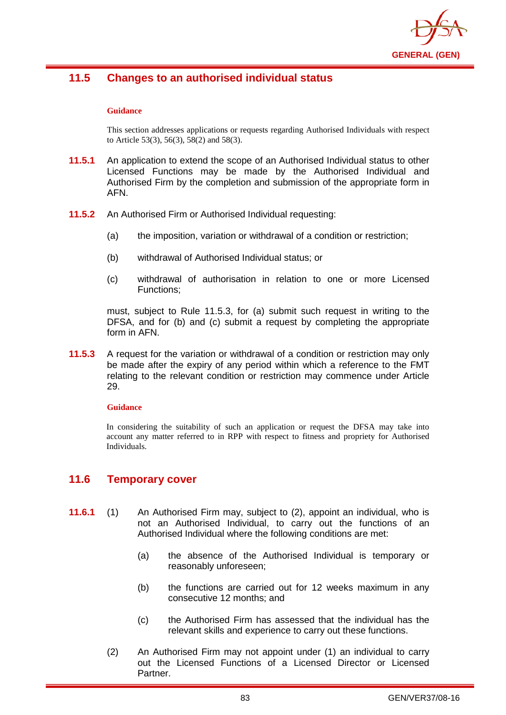

# **11.5 Changes to an authorised individual status**

#### **Guidance**

This section addresses applications or requests regarding Authorised Individuals with respect to Article 53(3), 56(3), 58(2) and 58(3).

- **11.5.1** An application to extend the scope of an Authorised Individual status to other Licensed Functions may be made by the Authorised Individual and Authorised Firm by the completion and submission of the appropriate form in AFN.
- **11.5.2** An Authorised Firm or Authorised Individual requesting:
	- (a) the imposition, variation or withdrawal of a condition or restriction;
	- (b) withdrawal of Authorised Individual status; or
	- (c) withdrawal of authorisation in relation to one or more Licensed Functions;

must, subject to Rule 11.5.3, for (a) submit such request in writing to the DFSA, and for (b) and (c) submit a request by completing the appropriate form in AFN.

**11.5.3** A request for the variation or withdrawal of a condition or restriction may only be made after the expiry of any period within which a reference to the FMT relating to the relevant condition or restriction may commence under Article 29.

#### **Guidance**

In considering the suitability of such an application or request the DFSA may take into account any matter referred to in RPP with respect to fitness and propriety for Authorised Individuals.

# **11.6 Temporary cover**

- **11.6.1** (1) An Authorised Firm may, subject to (2), appoint an individual, who is not an Authorised Individual, to carry out the functions of an Authorised Individual where the following conditions are met:
	- (a) the absence of the Authorised Individual is temporary or reasonably unforeseen;
	- (b) the functions are carried out for 12 weeks maximum in any consecutive 12 months; and
	- (c) the Authorised Firm has assessed that the individual has the relevant skills and experience to carry out these functions.
	- (2) An Authorised Firm may not appoint under (1) an individual to carry out the Licensed Functions of a Licensed Director or Licensed Partner.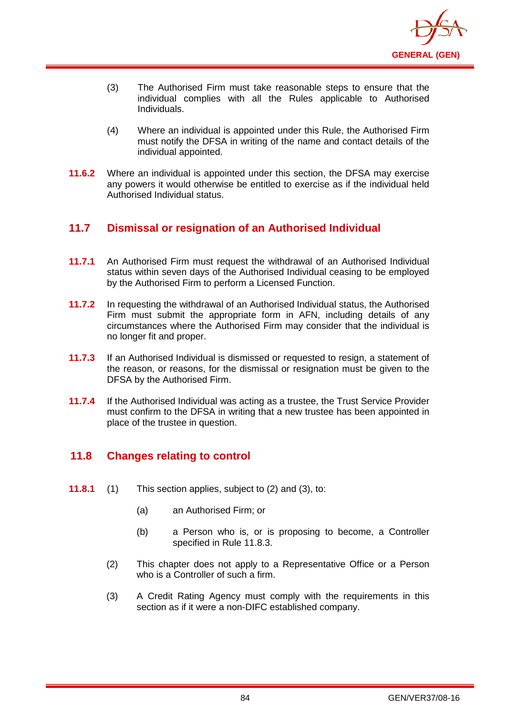

- (3) The Authorised Firm must take reasonable steps to ensure that the individual complies with all the Rules applicable to Authorised Individuals.
- (4) Where an individual is appointed under this Rule, the Authorised Firm must notify the DFSA in writing of the name and contact details of the individual appointed.
- **11.6.2** Where an individual is appointed under this section, the DFSA may exercise any powers it would otherwise be entitled to exercise as if the individual held Authorised Individual status.

# **11.7 Dismissal or resignation of an Authorised Individual**

- **11.7.1** An Authorised Firm must request the withdrawal of an Authorised Individual status within seven days of the Authorised Individual ceasing to be employed by the Authorised Firm to perform a Licensed Function.
- **11.7.2** In requesting the withdrawal of an Authorised Individual status, the Authorised Firm must submit the appropriate form in AFN, including details of any circumstances where the Authorised Firm may consider that the individual is no longer fit and proper.
- **11.7.3** If an Authorised Individual is dismissed or requested to resign, a statement of the reason, or reasons, for the dismissal or resignation must be given to the DFSA by the Authorised Firm.
- **11.7.4** If the Authorised Individual was acting as a trustee, the Trust Service Provider must confirm to the DFSA in writing that a new trustee has been appointed in place of the trustee in question.

# **11.8 Changes relating to control**

- **11.8.1** (1) This section applies, subject to (2) and (3), to:
	- (a) an Authorised Firm; or
	- (b) a Person who is, or is proposing to become, a Controller specified in Rule 11.8.3.
	- (2) This chapter does not apply to a Representative Office or a Person who is a Controller of such a firm.
	- (3) A Credit Rating Agency must comply with the requirements in this section as if it were a non-DIFC established company.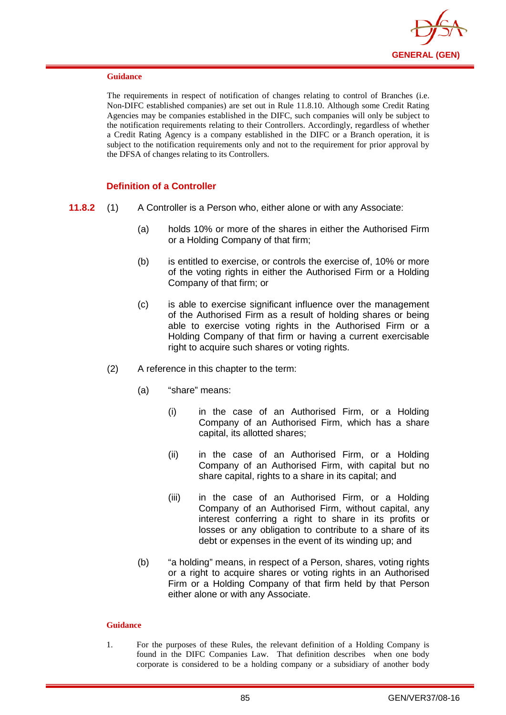

The requirements in respect of notification of changes relating to control of Branches (i.e. Non-DIFC established companies) are set out in Rule 11.8.10. Although some Credit Rating Agencies may be companies established in the DIFC, such companies will only be subject to the notification requirements relating to their Controllers. Accordingly, regardless of whether a Credit Rating Agency is a company established in the DIFC or a Branch operation, it is subject to the notification requirements only and not to the requirement for prior approval by the DFSA of changes relating to its Controllers.

## **Definition of a Controller**

- **11.8.2** (1) A Controller is a Person who, either alone or with any Associate:
	- (a) holds 10% or more of the shares in either the Authorised Firm or a Holding Company of that firm;
	- (b) is entitled to exercise, or controls the exercise of, 10% or more of the voting rights in either the Authorised Firm or a Holding Company of that firm; or
	- (c) is able to exercise significant influence over the management of the Authorised Firm as a result of holding shares or being able to exercise voting rights in the Authorised Firm or a Holding Company of that firm or having a current exercisable right to acquire such shares or voting rights.
	- (2) A reference in this chapter to the term:
		- (a) "share" means:
			- (i) in the case of an Authorised Firm, or a Holding Company of an Authorised Firm, which has a share capital, its allotted shares;
			- (ii) in the case of an Authorised Firm, or a Holding Company of an Authorised Firm, with capital but no share capital, rights to a share in its capital; and
			- (iii) in the case of an Authorised Firm, or a Holding Company of an Authorised Firm, without capital, any interest conferring a right to share in its profits or losses or any obligation to contribute to a share of its debt or expenses in the event of its winding up; and
		- (b) "a holding" means, in respect of a Person, shares, voting rights or a right to acquire shares or voting rights in an Authorised Firm or a Holding Company of that firm held by that Person either alone or with any Associate.

### **Guidance**

1. For the purposes of these Rules, the relevant definition of a Holding Company is found in the DIFC Companies Law. That definition describes when one body corporate is considered to be a holding company or a subsidiary of another body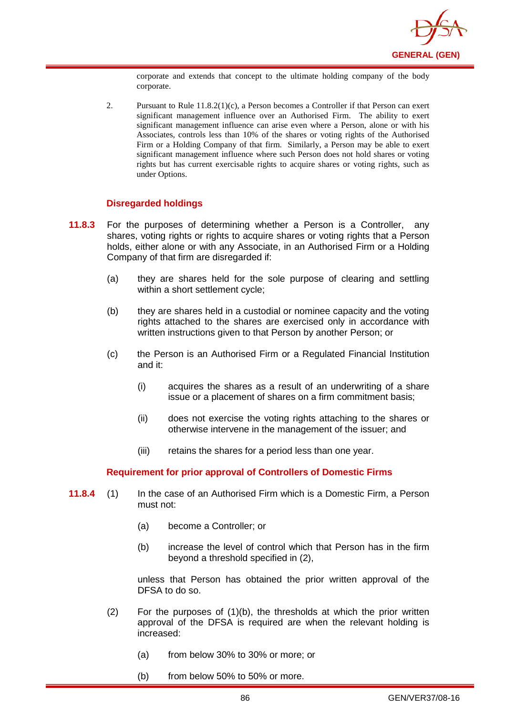

corporate and extends that concept to the ultimate holding company of the body corporate.

2. Pursuant to Rule 11.8.2(1)(c), a Person becomes a Controller if that Person can exert significant management influence over an Authorised Firm. The ability to exert significant management influence can arise even where a Person, alone or with his Associates, controls less than 10% of the shares or voting rights of the Authorised Firm or a Holding Company of that firm. Similarly, a Person may be able to exert significant management influence where such Person does not hold shares or voting rights but has current exercisable rights to acquire shares or voting rights, such as under Options.

## **Disregarded holdings**

- **11.8.3** For the purposes of determining whether a Person is a Controller, any shares, voting rights or rights to acquire shares or voting rights that a Person holds, either alone or with any Associate, in an Authorised Firm or a Holding Company of that firm are disregarded if:
	- (a) they are shares held for the sole purpose of clearing and settling within a short settlement cycle;
	- (b) they are shares held in a custodial or nominee capacity and the voting rights attached to the shares are exercised only in accordance with written instructions given to that Person by another Person; or
	- (c) the Person is an Authorised Firm or a Regulated Financial Institution and it:
		- (i) acquires the shares as a result of an underwriting of a share issue or a placement of shares on a firm commitment basis;
		- (ii) does not exercise the voting rights attaching to the shares or otherwise intervene in the management of the issuer; and
		- (iii) retains the shares for a period less than one year.

### **Requirement for prior approval of Controllers of Domestic Firms**

- **11.8.4** (1) In the case of an Authorised Firm which is a Domestic Firm, a Person must not:
	- (a) become a Controller; or
	- (b) increase the level of control which that Person has in the firm beyond a threshold specified in (2),

unless that Person has obtained the prior written approval of the DFSA to do so.

- $(2)$  For the purposes of  $(1)(b)$ , the thresholds at which the prior written approval of the DFSA is required are when the relevant holding is increased:
	- (a) from below 30% to 30% or more; or
	- (b) from below 50% to 50% or more.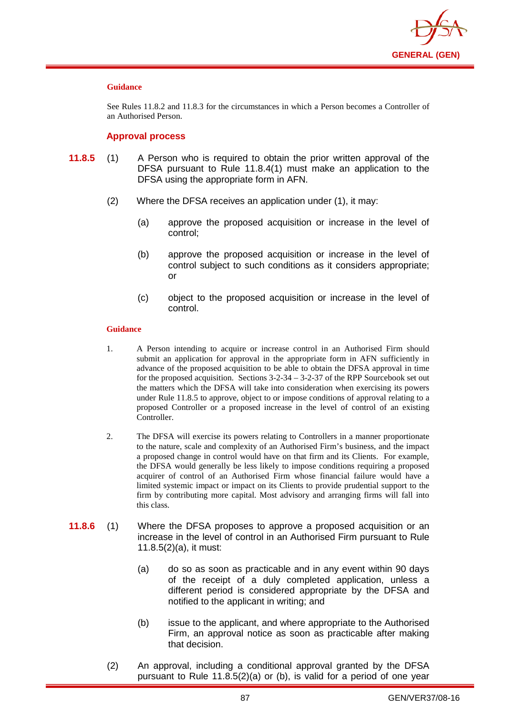

See Rules 11.8.2 and 11.8.3 for the circumstances in which a Person becomes a Controller of an Authorised Person.

### **Approval process**

- **11.8.5** (1) A Person who is required to obtain the prior written approval of the DFSA pursuant to Rule 11.8.4(1) must make an application to the DFSA using the appropriate form in AFN.
	- (2) Where the DFSA receives an application under (1), it may:
		- (a) approve the proposed acquisition or increase in the level of control;
		- (b) approve the proposed acquisition or increase in the level of control subject to such conditions as it considers appropriate; or
		- (c) object to the proposed acquisition or increase in the level of control.

#### **Guidance**

- 1. A Person intending to acquire or increase control in an Authorised Firm should submit an application for approval in the appropriate form in AFN sufficiently in advance of the proposed acquisition to be able to obtain the DFSA approval in time for the proposed acquisition. Sections 3-2-34 – 3-2-37 of the RPP Sourcebook set out the matters which the DFSA will take into consideration when exercising its powers under Rule 11.8.5 to approve, object to or impose conditions of approval relating to a proposed Controller or a proposed increase in the level of control of an existing Controller.
- 2. The DFSA will exercise its powers relating to Controllers in a manner proportionate to the nature, scale and complexity of an Authorised Firm's business, and the impact a proposed change in control would have on that firm and its Clients. For example, the DFSA would generally be less likely to impose conditions requiring a proposed acquirer of control of an Authorised Firm whose financial failure would have a limited systemic impact or impact on its Clients to provide prudential support to the firm by contributing more capital. Most advisory and arranging firms will fall into this class.
- **11.8.6** (1) Where the DFSA proposes to approve a proposed acquisition or an increase in the level of control in an Authorised Firm pursuant to Rule 11.8.5(2)(a), it must:
	- (a) do so as soon as practicable and in any event within 90 days of the receipt of a duly completed application, unless a different period is considered appropriate by the DFSA and notified to the applicant in writing; and
	- (b) issue to the applicant, and where appropriate to the Authorised Firm, an approval notice as soon as practicable after making that decision.
	- (2) An approval, including a conditional approval granted by the DFSA pursuant to Rule 11.8.5(2)(a) or (b), is valid for a period of one year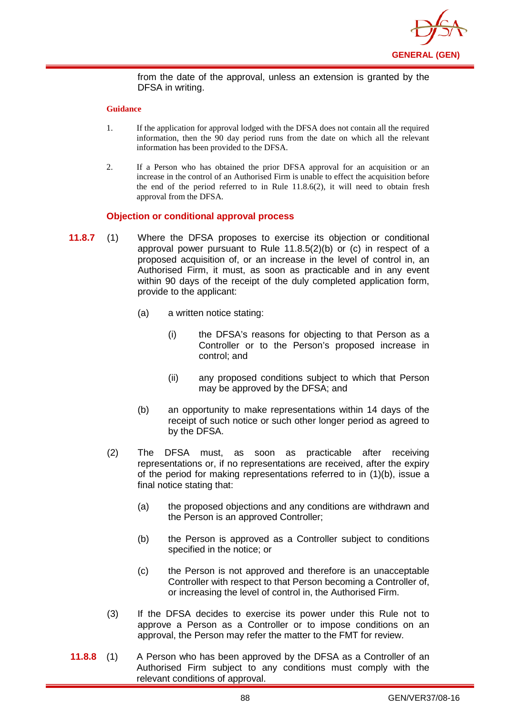

from the date of the approval, unless an extension is granted by the DFSA in writing.

#### **Guidance**

- 1. If the application for approval lodged with the DFSA does not contain all the required information, then the 90 day period runs from the date on which all the relevant information has been provided to the DFSA.
- 2. If a Person who has obtained the prior DFSA approval for an acquisition or an increase in the control of an Authorised Firm is unable to effect the acquisition before the end of the period referred to in Rule 11.8.6(2), it will need to obtain fresh approval from the DFSA.

## **Objection or conditional approval process**

- **11.8.7** (1) Where the DFSA proposes to exercise its objection or conditional approval power pursuant to Rule 11.8.5(2)(b) or (c) in respect of a proposed acquisition of, or an increase in the level of control in, an Authorised Firm, it must, as soon as practicable and in any event within 90 days of the receipt of the duly completed application form, provide to the applicant:
	- (a) a written notice stating:
		- (i) the DFSA's reasons for objecting to that Person as a Controller or to the Person's proposed increase in control; and
		- (ii) any proposed conditions subject to which that Person may be approved by the DFSA; and
	- (b) an opportunity to make representations within 14 days of the receipt of such notice or such other longer period as agreed to by the DFSA.
	- (2) The DFSA must, as soon as practicable after receiving representations or, if no representations are received, after the expiry of the period for making representations referred to in (1)(b), issue a final notice stating that:
		- (a) the proposed objections and any conditions are withdrawn and the Person is an approved Controller;
		- (b) the Person is approved as a Controller subject to conditions specified in the notice; or
		- (c) the Person is not approved and therefore is an unacceptable Controller with respect to that Person becoming a Controller of, or increasing the level of control in, the Authorised Firm.
	- (3) If the DFSA decides to exercise its power under this Rule not to approve a Person as a Controller or to impose conditions on an approval, the Person may refer the matter to the FMT for review.
- **11.8.8** (1) A Person who has been approved by the DFSA as a Controller of an Authorised Firm subject to any conditions must comply with the relevant conditions of approval.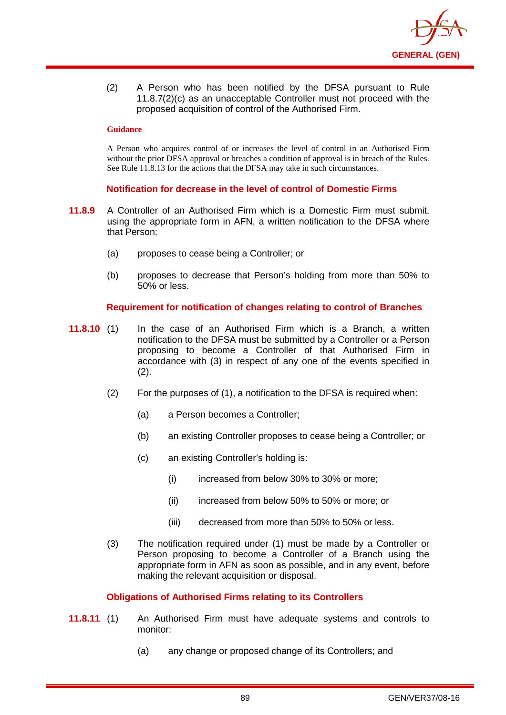

(2) A Person who has been notified by the DFSA pursuant to Rule 11.8.7(2)(c) as an unacceptable Controller must not proceed with the proposed acquisition of control of the Authorised Firm.

#### **Guidance**

A Person who acquires control of or increases the level of control in an Authorised Firm without the prior DFSA approval or breaches a condition of approval is in breach of the Rules. See Rule 11.8.13 for the actions that the DFSA may take in such circumstances.

## **Notification for decrease in the level of control of Domestic Firms**

- **11.8.9** A Controller of an Authorised Firm which is a Domestic Firm must submit, using the appropriate form in AFN, a written notification to the DFSA where that Person:
	- (a) proposes to cease being a Controller; or
	- (b) proposes to decrease that Person's holding from more than 50% to 50% or less.

## **Requirement for notification of changes relating to control of Branches**

- **11.8.10** (1) In the case of an Authorised Firm which is a Branch, a written notification to the DFSA must be submitted by a Controller or a Person proposing to become a Controller of that Authorised Firm in accordance with (3) in respect of any one of the events specified in (2).
	- (2) For the purposes of (1), a notification to the DFSA is required when:
		- (a) a Person becomes a Controller;
		- (b) an existing Controller proposes to cease being a Controller; or
		- (c) an existing Controller's holding is:
			- (i) increased from below 30% to 30% or more;
			- (ii) increased from below 50% to 50% or more; or
			- (iii) decreased from more than 50% to 50% or less.
	- (3) The notification required under (1) must be made by a Controller or Person proposing to become a Controller of a Branch using the appropriate form in AFN as soon as possible, and in any event, before making the relevant acquisition or disposal.

### **Obligations of Authorised Firms relating to its Controllers**

- **11.8.11** (1) An Authorised Firm must have adequate systems and controls to monitor:
	- (a) any change or proposed change of its Controllers; and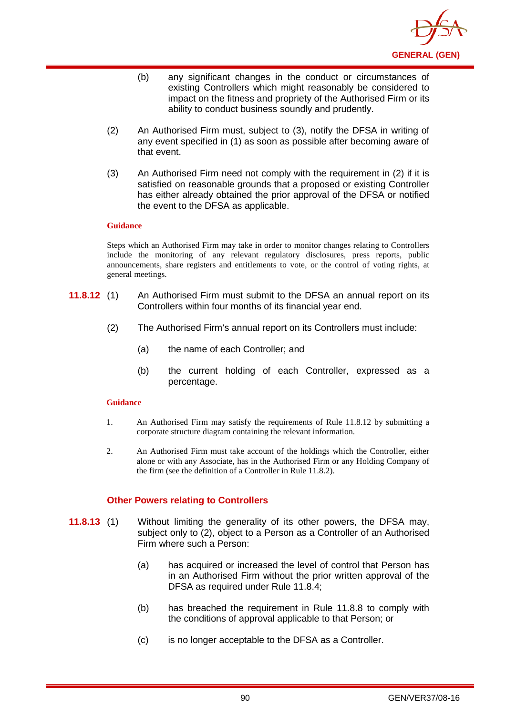

- (b) any significant changes in the conduct or circumstances of existing Controllers which might reasonably be considered to impact on the fitness and propriety of the Authorised Firm or its ability to conduct business soundly and prudently.
- (2) An Authorised Firm must, subject to (3), notify the DFSA in writing of any event specified in (1) as soon as possible after becoming aware of that event.
- (3) An Authorised Firm need not comply with the requirement in (2) if it is satisfied on reasonable grounds that a proposed or existing Controller has either already obtained the prior approval of the DFSA or notified the event to the DFSA as applicable.

Steps which an Authorised Firm may take in order to monitor changes relating to Controllers include the monitoring of any relevant regulatory disclosures, press reports, public announcements, share registers and entitlements to vote, or the control of voting rights, at general meetings.

- **11.8.12** (1) An Authorised Firm must submit to the DFSA an annual report on its Controllers within four months of its financial year end.
	- (2) The Authorised Firm's annual report on its Controllers must include:
		- (a) the name of each Controller; and
		- (b) the current holding of each Controller, expressed as a percentage.

### **Guidance**

- 1. An Authorised Firm may satisfy the requirements of Rule 11.8.12 by submitting a corporate structure diagram containing the relevant information.
- 2. An Authorised Firm must take account of the holdings which the Controller, either alone or with any Associate, has in the Authorised Firm or any Holding Company of the firm (see the definition of a Controller in Rule 11.8.2).

## **Other Powers relating to Controllers**

- **11.8.13** (1) Without limiting the generality of its other powers, the DFSA may, subject only to (2), object to a Person as a Controller of an Authorised Firm where such a Person:
	- (a) has acquired or increased the level of control that Person has in an Authorised Firm without the prior written approval of the DFSA as required under Rule 11.8.4;
	- (b) has breached the requirement in Rule 11.8.8 to comply with the conditions of approval applicable to that Person; or
	- (c) is no longer acceptable to the DFSA as a Controller.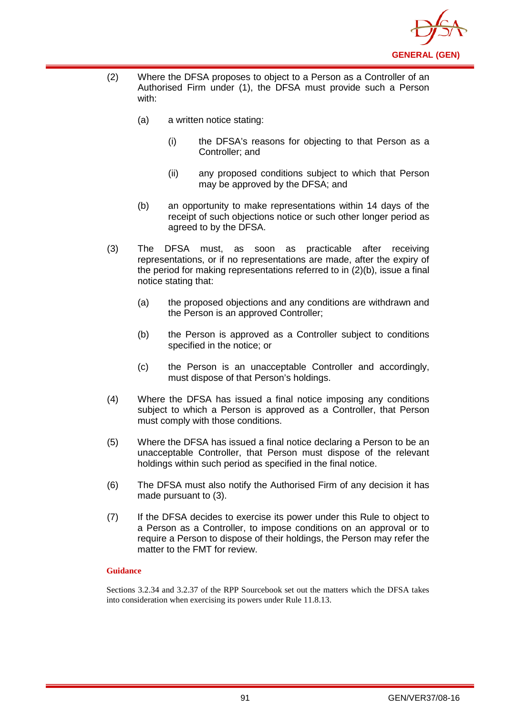

- (2) Where the DFSA proposes to object to a Person as a Controller of an Authorised Firm under (1), the DFSA must provide such a Person with:
	- (a) a written notice stating:
		- (i) the DFSA's reasons for objecting to that Person as a Controller; and
		- (ii) any proposed conditions subject to which that Person may be approved by the DFSA; and
	- (b) an opportunity to make representations within 14 days of the receipt of such objections notice or such other longer period as agreed to by the DFSA.
- (3) The DFSA must, as soon as practicable after receiving representations, or if no representations are made, after the expiry of the period for making representations referred to in (2)(b), issue a final notice stating that:
	- (a) the proposed objections and any conditions are withdrawn and the Person is an approved Controller;
	- (b) the Person is approved as a Controller subject to conditions specified in the notice; or
	- (c) the Person is an unacceptable Controller and accordingly, must dispose of that Person's holdings.
- (4) Where the DFSA has issued a final notice imposing any conditions subject to which a Person is approved as a Controller, that Person must comply with those conditions.
- (5) Where the DFSA has issued a final notice declaring a Person to be an unacceptable Controller, that Person must dispose of the relevant holdings within such period as specified in the final notice.
- (6) The DFSA must also notify the Authorised Firm of any decision it has made pursuant to (3).
- (7) If the DFSA decides to exercise its power under this Rule to object to a Person as a Controller, to impose conditions on an approval or to require a Person to dispose of their holdings, the Person may refer the matter to the FMT for review.

Sections 3.2.34 and 3.2.37 of the RPP Sourcebook set out the matters which the DFSA takes into consideration when exercising its powers under Rule 11.8.13.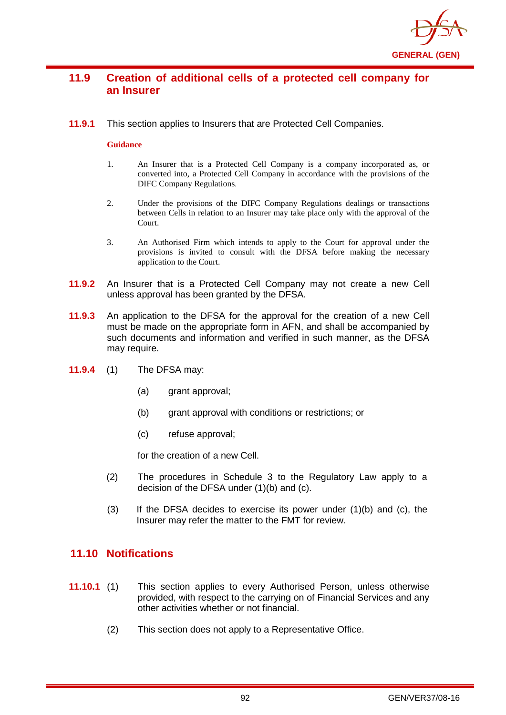

# **11.9 Creation of additional cells of a protected cell company for an Insurer**

**11.9.1** This section applies to Insurers that are Protected Cell Companies.

### **Guidance**

- 1. An Insurer that is a Protected Cell Company is a company incorporated as, or converted into, a Protected Cell Company in accordance with the provisions of the DIFC Company Regulations.
- 2. Under the provisions of the DIFC Company Regulations dealings or transactions between Cells in relation to an Insurer may take place only with the approval of the Court.
- 3. An Authorised Firm which intends to apply to the Court for approval under the provisions is invited to consult with the DFSA before making the necessary application to the Court.
- **11.9.2** An Insurer that is a Protected Cell Company may not create a new Cell unless approval has been granted by the DFSA.
- **11.9.3** An application to the DFSA for the approval for the creation of a new Cell must be made on the appropriate form in AFN, and shall be accompanied by such documents and information and verified in such manner, as the DFSA may require.
- **11.9.4** (1) The DFSA may:
	- (a) grant approval;
	- (b) grant approval with conditions or restrictions; or
	- (c) refuse approval;

for the creation of a new Cell.

- (2) The procedures in Schedule 3 to the Regulatory Law apply to a decision of the DFSA under (1)(b) and (c).
- $(3)$  If the DFSA decides to exercise its power under  $(1)(b)$  and  $(c)$ , the Insurer may refer the matter to the FMT for review.

# **11.10 Notifications**

- **11.10.1** (1) This section applies to every Authorised Person, unless otherwise provided, with respect to the carrying on of Financial Services and any other activities whether or not financial.
	- (2) This section does not apply to a Representative Office.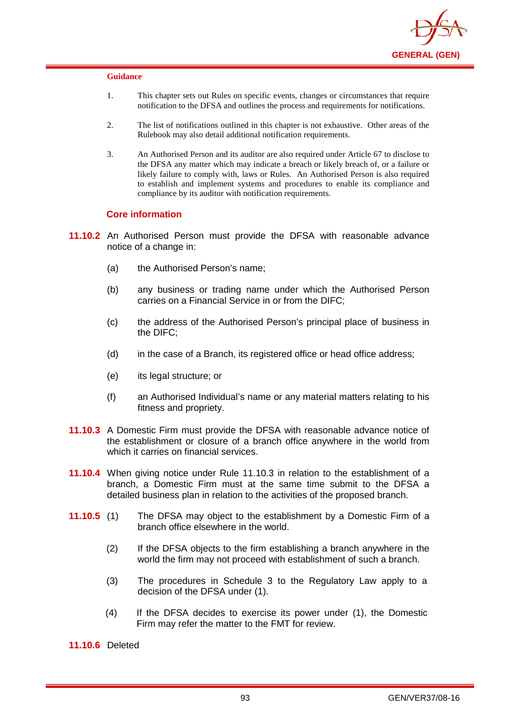

- 1. This chapter sets out Rules on specific events, changes or circumstances that require notification to the DFSA and outlines the process and requirements for notifications.
- 2. The list of notifications outlined in this chapter is not exhaustive. Other areas of the Rulebook may also detail additional notification requirements.
- 3. An Authorised Person and its auditor are also required under Article 67 to disclose to the DFSA any matter which may indicate a breach or likely breach of, or a failure or likely failure to comply with, laws or Rules. An Authorised Person is also required to establish and implement systems and procedures to enable its compliance and compliance by its auditor with notification requirements.

#### **Core information**

- **11.10.2** An Authorised Person must provide the DFSA with reasonable advance notice of a change in:
	- (a) the Authorised Person's name;
	- (b) any business or trading name under which the Authorised Person carries on a Financial Service in or from the DIFC;
	- (c) the address of the Authorised Person's principal place of business in the DIFC;
	- (d) in the case of a Branch, its registered office or head office address;
	- (e) its legal structure; or
	- (f) an Authorised Individual's name or any material matters relating to his fitness and propriety.
- **11.10.3** A Domestic Firm must provide the DFSA with reasonable advance notice of the establishment or closure of a branch office anywhere in the world from which it carries on financial services.
- **11.10.4** When giving notice under Rule 11.10.3 in relation to the establishment of a branch, a Domestic Firm must at the same time submit to the DFSA a detailed business plan in relation to the activities of the proposed branch.
- **11.10.5** (1) The DFSA may object to the establishment by a Domestic Firm of a branch office elsewhere in the world.
	- (2) If the DFSA objects to the firm establishing a branch anywhere in the world the firm may not proceed with establishment of such a branch.
	- (3) The procedures in Schedule 3 to the Regulatory Law apply to a decision of the DFSA under (1).
	- (4) If the DFSA decides to exercise its power under (1), the Domestic Firm may refer the matter to the FMT for review.

**11.10.6** Deleted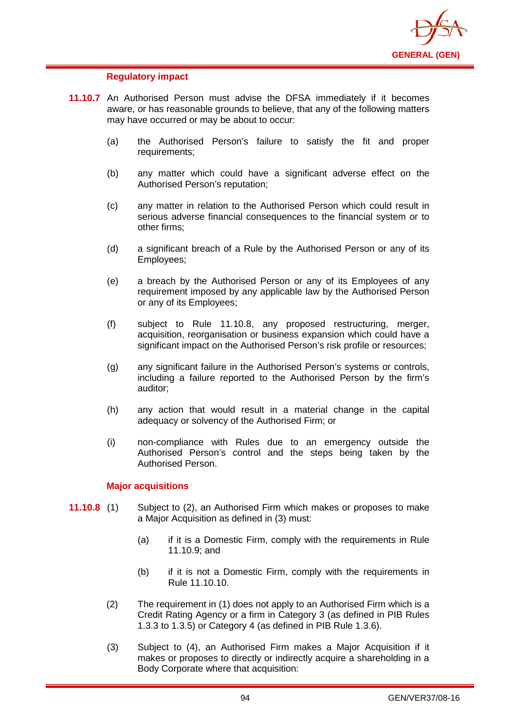

### **Regulatory impact**

- **11.10.7** An Authorised Person must advise the DFSA immediately if it becomes aware, or has reasonable grounds to believe, that any of the following matters may have occurred or may be about to occur:
	- (a) the Authorised Person's failure to satisfy the fit and proper requirements;
	- (b) any matter which could have a significant adverse effect on the Authorised Person's reputation;
	- (c) any matter in relation to the Authorised Person which could result in serious adverse financial consequences to the financial system or to other firms;
	- (d) a significant breach of a Rule by the Authorised Person or any of its Employees;
	- (e) a breach by the Authorised Person or any of its Employees of any requirement imposed by any applicable law by the Authorised Person or any of its Employees;
	- (f) subject to Rule 11.10.8, any proposed restructuring, merger, acquisition, reorganisation or business expansion which could have a significant impact on the Authorised Person's risk profile or resources;
	- (g) any significant failure in the Authorised Person's systems or controls, including a failure reported to the Authorised Person by the firm's auditor;
	- (h) any action that would result in a material change in the capital adequacy or solvency of the Authorised Firm; or
	- (i) non-compliance with Rules due to an emergency outside the Authorised Person's control and the steps being taken by the Authorised Person.

#### **Major acquisitions**

- **11.10.8** (1) Subject to (2), an Authorised Firm which makes or proposes to make a Major Acquisition as defined in (3) must:
	- (a) if it is a Domestic Firm, comply with the requirements in Rule 11.10.9; and
	- (b) if it is not a Domestic Firm, comply with the requirements in Rule 11.10.10.
	- (2) The requirement in (1) does not apply to an Authorised Firm which is a Credit Rating Agency or a firm in Category 3 (as defined in PIB Rules 1.3.3 to 1.3.5) or Category 4 (as defined in PIB Rule 1.3.6).
	- (3) Subject to (4), an Authorised Firm makes a Major Acquisition if it makes or proposes to directly or indirectly acquire a shareholding in a Body Corporate where that acquisition: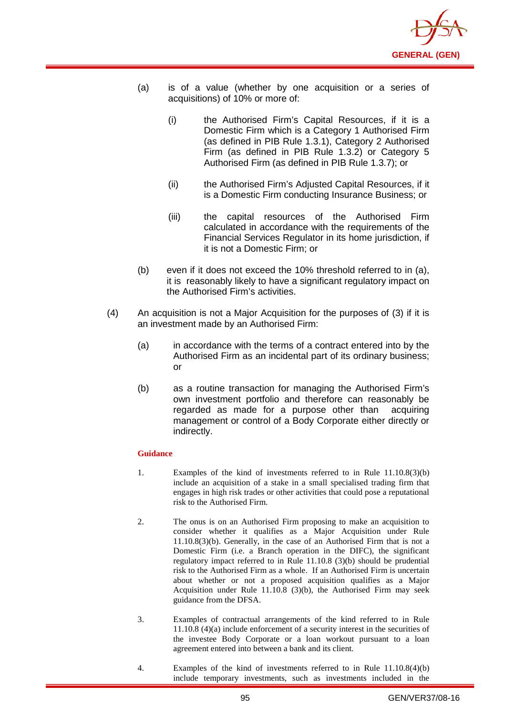

- (a) is of a value (whether by one acquisition or a series of acquisitions) of 10% or more of:
	- (i) the Authorised Firm's Capital Resources, if it is a Domestic Firm which is a Category 1 Authorised Firm (as defined in PIB Rule 1.3.1), Category 2 Authorised Firm (as defined in PIB Rule 1.3.2) or Category 5 Authorised Firm (as defined in PIB Rule 1.3.7); or
	- (ii) the Authorised Firm's Adjusted Capital Resources, if it is a Domestic Firm conducting Insurance Business; or
	- (iii) the capital resources of the Authorised Firm calculated in accordance with the requirements of the Financial Services Regulator in its home jurisdiction, if it is not a Domestic Firm; or
- (b) even if it does not exceed the 10% threshold referred to in (a), it is reasonably likely to have a significant regulatory impact on the Authorised Firm's activities.
- (4) An acquisition is not a Major Acquisition for the purposes of (3) if it is an investment made by an Authorised Firm:
	- (a) in accordance with the terms of a contract entered into by the Authorised Firm as an incidental part of its ordinary business; or
	- (b) as a routine transaction for managing the Authorised Firm's own investment portfolio and therefore can reasonably be regarded as made for a purpose other than acquiring management or control of a Body Corporate either directly or indirectly.

- 1. Examples of the kind of investments referred to in Rule 11.10.8(3)(b) include an acquisition of a stake in a small specialised trading firm that engages in high risk trades or other activities that could pose a reputational risk to the Authorised Firm.
- 2. The onus is on an Authorised Firm proposing to make an acquisition to consider whether it qualifies as a Major Acquisition under Rule 11.10.8(3)(b). Generally, in the case of an Authorised Firm that is not a Domestic Firm (i.e. a Branch operation in the DIFC), the significant regulatory impact referred to in Rule 11.10.8 (3)(b) should be prudential risk to the Authorised Firm as a whole. If an Authorised Firm is uncertain about whether or not a proposed acquisition qualifies as a Major Acquisition under Rule 11.10.8 (3)(b), the Authorised Firm may seek guidance from the DFSA.
- 3. Examples of contractual arrangements of the kind referred to in Rule 11.10.8 (4)(a) include enforcement of a security interest in the securities of the investee Body Corporate or a loan workout pursuant to a loan agreement entered into between a bank and its client.
- 4. Examples of the kind of investments referred to in Rule 11.10.8(4)(b) include temporary investments, such as investments included in the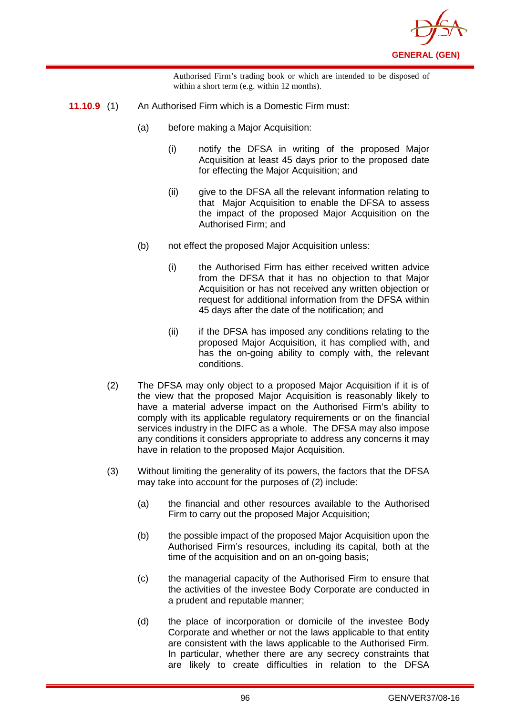

Authorised Firm's trading book or which are intended to be disposed of within a short term (e.g. within 12 months).

- **11.10.9** (1) An Authorised Firm which is a Domestic Firm must:
	- (a) before making a Major Acquisition:
		- (i) notify the DFSA in writing of the proposed Major Acquisition at least 45 days prior to the proposed date for effecting the Major Acquisition; and
		- (ii) give to the DFSA all the relevant information relating to that Major Acquisition to enable the DFSA to assess the impact of the proposed Major Acquisition on the Authorised Firm; and
	- (b) not effect the proposed Major Acquisition unless:
		- (i) the Authorised Firm has either received written advice from the DFSA that it has no objection to that Major Acquisition or has not received any written objection or request for additional information from the DFSA within 45 days after the date of the notification; and
		- (ii) if the DFSA has imposed any conditions relating to the proposed Major Acquisition, it has complied with, and has the on-going ability to comply with, the relevant conditions.
	- (2) The DFSA may only object to a proposed Major Acquisition if it is of the view that the proposed Major Acquisition is reasonably likely to have a material adverse impact on the Authorised Firm's ability to comply with its applicable regulatory requirements or on the financial services industry in the DIFC as a whole. The DFSA may also impose any conditions it considers appropriate to address any concerns it may have in relation to the proposed Major Acquisition.
	- (3) Without limiting the generality of its powers, the factors that the DFSA may take into account for the purposes of (2) include:
		- (a) the financial and other resources available to the Authorised Firm to carry out the proposed Major Acquisition;
		- (b) the possible impact of the proposed Major Acquisition upon the Authorised Firm's resources, including its capital, both at the time of the acquisition and on an on-going basis;
		- (c) the managerial capacity of the Authorised Firm to ensure that the activities of the investee Body Corporate are conducted in a prudent and reputable manner;
		- (d) the place of incorporation or domicile of the investee Body Corporate and whether or not the laws applicable to that entity are consistent with the laws applicable to the Authorised Firm. In particular, whether there are any secrecy constraints that are likely to create difficulties in relation to the DFSA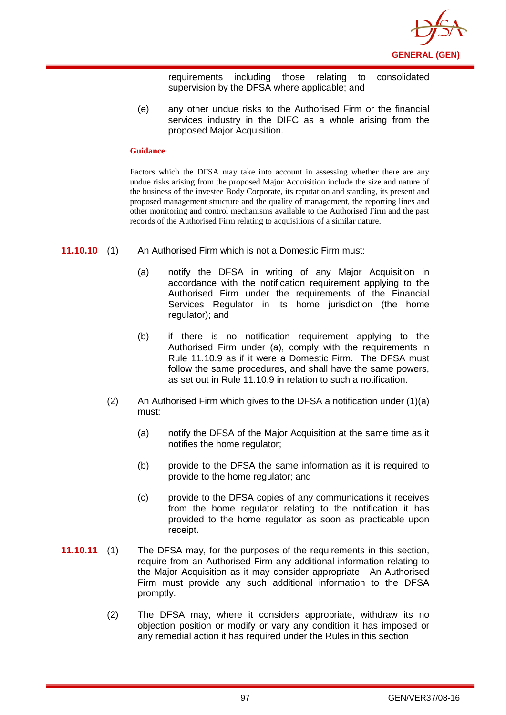

requirements including those relating to consolidated supervision by the DFSA where applicable; and

(e) any other undue risks to the Authorised Firm or the financial services industry in the DIFC as a whole arising from the proposed Major Acquisition.

#### **Guidance**

Factors which the DFSA may take into account in assessing whether there are any undue risks arising from the proposed Major Acquisition include the size and nature of the business of the investee Body Corporate, its reputation and standing, its present and proposed management structure and the quality of management, the reporting lines and other monitoring and control mechanisms available to the Authorised Firm and the past records of the Authorised Firm relating to acquisitions of a similar nature.

- **11.10.10** (1) An Authorised Firm which is not a Domestic Firm must:
	- (a) notify the DFSA in writing of any Major Acquisition in accordance with the notification requirement applying to the Authorised Firm under the requirements of the Financial Services Regulator in its home jurisdiction (the home regulator); and
	- (b) if there is no notification requirement applying to the Authorised Firm under (a), comply with the requirements in Rule 11.10.9 as if it were a Domestic Firm. The DFSA must follow the same procedures, and shall have the same powers, as set out in Rule 11.10.9 in relation to such a notification.
	- (2) An Authorised Firm which gives to the DFSA a notification under (1)(a) must:
		- (a) notify the DFSA of the Major Acquisition at the same time as it notifies the home regulator;
		- (b) provide to the DFSA the same information as it is required to provide to the home regulator; and
		- (c) provide to the DFSA copies of any communications it receives from the home regulator relating to the notification it has provided to the home regulator as soon as practicable upon receipt.
- **11.10.11** (1) The DFSA may, for the purposes of the requirements in this section, require from an Authorised Firm any additional information relating to the Major Acquisition as it may consider appropriate. An Authorised Firm must provide any such additional information to the DFSA promptly.
	- (2) The DFSA may, where it considers appropriate, withdraw its no objection position or modify or vary any condition it has imposed or any remedial action it has required under the Rules in this section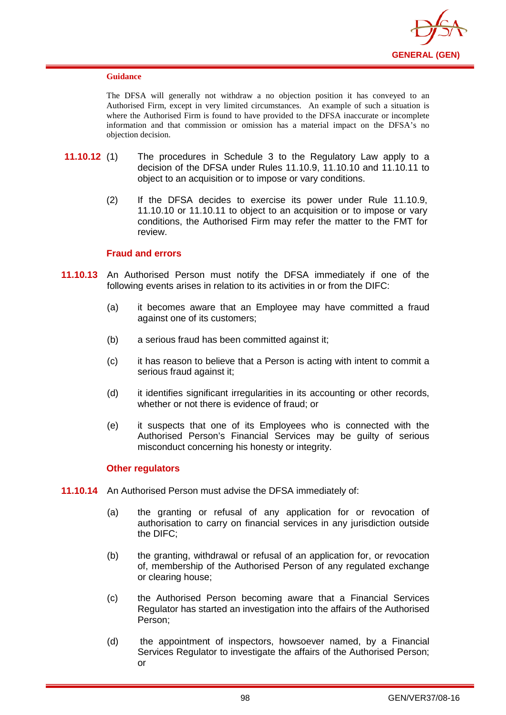

The DFSA will generally not withdraw a no objection position it has conveyed to an Authorised Firm, except in very limited circumstances. An example of such a situation is where the Authorised Firm is found to have provided to the DFSA inaccurate or incomplete information and that commission or omission has a material impact on the DFSA's no objection decision.

- **11.10.12** (1) The procedures in Schedule 3 to the Regulatory Law apply to a decision of the DFSA under Rules 11.10.9, 11.10.10 and 11.10.11 to object to an acquisition or to impose or vary conditions.
	- (2) If the DFSA decides to exercise its power under Rule 11.10.9, 11.10.10 or 11.10.11 to object to an acquisition or to impose or vary conditions, the Authorised Firm may refer the matter to the FMT for review.

### **Fraud and errors**

- **11.10.13** An Authorised Person must notify the DFSA immediately if one of the following events arises in relation to its activities in or from the DIFC:
	- (a) it becomes aware that an Employee may have committed a fraud against one of its customers;
	- (b) a serious fraud has been committed against it;
	- (c) it has reason to believe that a Person is acting with intent to commit a serious fraud against it;
	- (d) it identifies significant irregularities in its accounting or other records, whether or not there is evidence of fraud; or
	- (e) it suspects that one of its Employees who is connected with the Authorised Person's Financial Services may be guilty of serious misconduct concerning his honesty or integrity.

### **Other regulators**

- **11.10.14** An Authorised Person must advise the DFSA immediately of:
	- (a) the granting or refusal of any application for or revocation of authorisation to carry on financial services in any jurisdiction outside the DIFC;
	- (b) the granting, withdrawal or refusal of an application for, or revocation of, membership of the Authorised Person of any regulated exchange or clearing house;
	- (c) the Authorised Person becoming aware that a Financial Services Regulator has started an investigation into the affairs of the Authorised Person;
	- (d) the appointment of inspectors, howsoever named, by a Financial Services Regulator to investigate the affairs of the Authorised Person; or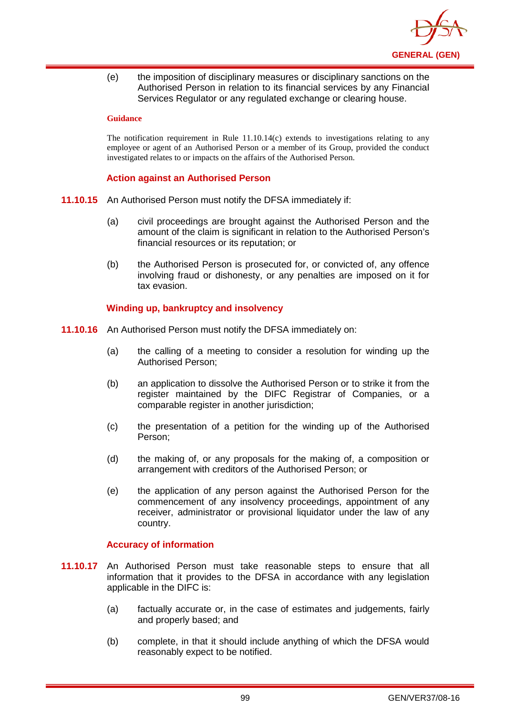

(e) the imposition of disciplinary measures or disciplinary sanctions on the Authorised Person in relation to its financial services by any Financial Services Regulator or any regulated exchange or clearing house.

#### **Guidance**

The notification requirement in Rule  $11.10.14(c)$  extends to investigations relating to any employee or agent of an Authorised Person or a member of its Group, provided the conduct investigated relates to or impacts on the affairs of the Authorised Person.

## **Action against an Authorised Person**

- **11.10.15** An Authorised Person must notify the DFSA immediately if:
	- (a) civil proceedings are brought against the Authorised Person and the amount of the claim is significant in relation to the Authorised Person's financial resources or its reputation; or
	- (b) the Authorised Person is prosecuted for, or convicted of, any offence involving fraud or dishonesty, or any penalties are imposed on it for tax evasion.

## **Winding up, bankruptcy and insolvency**

- **11.10.16** An Authorised Person must notify the DFSA immediately on:
	- (a) the calling of a meeting to consider a resolution for winding up the Authorised Person;
	- (b) an application to dissolve the Authorised Person or to strike it from the register maintained by the DIFC Registrar of Companies, or a comparable register in another jurisdiction;
	- (c) the presentation of a petition for the winding up of the Authorised Person;
	- (d) the making of, or any proposals for the making of, a composition or arrangement with creditors of the Authorised Person; or
	- (e) the application of any person against the Authorised Person for the commencement of any insolvency proceedings, appointment of any receiver, administrator or provisional liquidator under the law of any country.

## **Accuracy of information**

- **11.10.17** An Authorised Person must take reasonable steps to ensure that all information that it provides to the DFSA in accordance with any legislation applicable in the DIFC is:
	- (a) factually accurate or, in the case of estimates and judgements, fairly and properly based; and
	- (b) complete, in that it should include anything of which the DFSA would reasonably expect to be notified.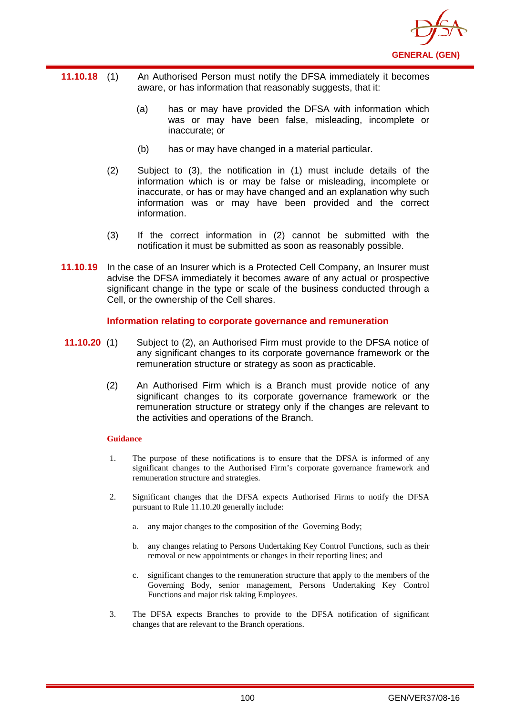

- **11.10.18** (1) An Authorised Person must notify the DFSA immediately it becomes aware, or has information that reasonably suggests, that it:
	- (a) has or may have provided the DFSA with information which was or may have been false, misleading, incomplete or inaccurate; or
	- (b) has or may have changed in a material particular.
	- (2) Subject to (3), the notification in (1) must include details of the information which is or may be false or misleading, incomplete or inaccurate, or has or may have changed and an explanation why such information was or may have been provided and the correct information.
	- (3) If the correct information in (2) cannot be submitted with the notification it must be submitted as soon as reasonably possible.
- **11.10.19** In the case of an Insurer which is a Protected Cell Company, an Insurer must advise the DFSA immediately it becomes aware of any actual or prospective significant change in the type or scale of the business conducted through a Cell, or the ownership of the Cell shares.

## **Information relating to corporate governance and remuneration**

- **11.10.20** (1) Subject to (2), an Authorised Firm must provide to the DFSA notice of any significant changes to its corporate governance framework or the remuneration structure or strategy as soon as practicable.
	- (2) An Authorised Firm which is a Branch must provide notice of any significant changes to its corporate governance framework or the remuneration structure or strategy only if the changes are relevant to the activities and operations of the Branch.

### **Guidance**

- 1. The purpose of these notifications is to ensure that the DFSA is informed of any significant changes to the Authorised Firm's corporate governance framework and remuneration structure and strategies.
- 2. Significant changes that the DFSA expects Authorised Firms to notify the DFSA pursuant to Rule 11.10.20 generally include:
	- a. any major changes to the composition of the Governing Body;
	- b. any changes relating to Persons Undertaking Key Control Functions, such as their removal or new appointments or changes in their reporting lines; and
	- c. significant changes to the remuneration structure that apply to the members of the Governing Body, senior management, Persons Undertaking Key Control Functions and major risk taking Employees.
- 3. The DFSA expects Branches to provide to the DFSA notification of significant changes that are relevant to the Branch operations.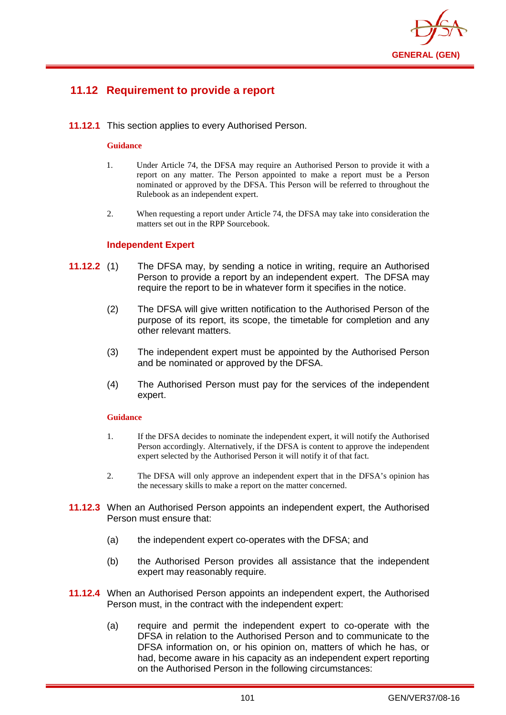

# **11.12 Requirement to provide a report**

**11.12.1** This section applies to every Authorised Person.

#### **Guidance**

- 1. Under Article 74, the DFSA may require an Authorised Person to provide it with a report on any matter. The Person appointed to make a report must be a Person nominated or approved by the DFSA. This Person will be referred to throughout the Rulebook as an independent expert.
- 2. When requesting a report under Article 74, the DFSA may take into consideration the matters set out in the RPP Sourcebook.

#### **Independent Expert**

- **11.12.2** (1) The DFSA may, by sending a notice in writing, require an Authorised Person to provide a report by an independent expert. The DFSA may require the report to be in whatever form it specifies in the notice.
	- (2) The DFSA will give written notification to the Authorised Person of the purpose of its report, its scope, the timetable for completion and any other relevant matters.
	- (3) The independent expert must be appointed by the Authorised Person and be nominated or approved by the DFSA.
	- (4) The Authorised Person must pay for the services of the independent expert.

#### **Guidance**

- 1. If the DFSA decides to nominate the independent expert, it will notify the Authorised Person accordingly. Alternatively, if the DFSA is content to approve the independent expert selected by the Authorised Person it will notify it of that fact.
- 2. The DFSA will only approve an independent expert that in the DFSA's opinion has the necessary skills to make a report on the matter concerned.
- **11.12.3** When an Authorised Person appoints an independent expert, the Authorised Person must ensure that:
	- (a) the independent expert co-operates with the DFSA; and
	- (b) the Authorised Person provides all assistance that the independent expert may reasonably require.
- **11.12.4** When an Authorised Person appoints an independent expert, the Authorised Person must, in the contract with the independent expert:
	- (a) require and permit the independent expert to co-operate with the DFSA in relation to the Authorised Person and to communicate to the DFSA information on, or his opinion on, matters of which he has, or had, become aware in his capacity as an independent expert reporting on the Authorised Person in the following circumstances: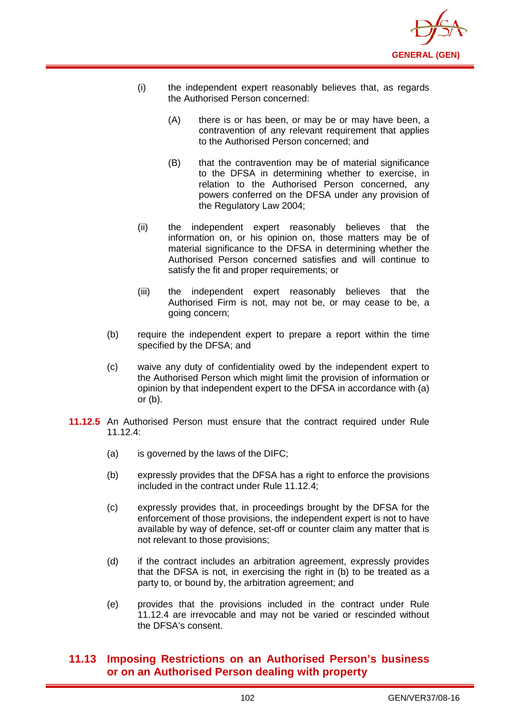

- (i) the independent expert reasonably believes that, as regards the Authorised Person concerned:
	- (A) there is or has been, or may be or may have been, a contravention of any relevant requirement that applies to the Authorised Person concerned; and
	- (B) that the contravention may be of material significance to the DFSA in determining whether to exercise, in relation to the Authorised Person concerned, any powers conferred on the DFSA under any provision of the Regulatory Law 2004;
- (ii) the independent expert reasonably believes that the information on, or his opinion on, those matters may be of material significance to the DFSA in determining whether the Authorised Person concerned satisfies and will continue to satisfy the fit and proper requirements; or
- (iii) the independent expert reasonably believes that the Authorised Firm is not, may not be, or may cease to be, a going concern;
- (b) require the independent expert to prepare a report within the time specified by the DFSA; and
- (c) waive any duty of confidentiality owed by the independent expert to the Authorised Person which might limit the provision of information or opinion by that independent expert to the DFSA in accordance with (a) or (b).
- **11.12.5** An Authorised Person must ensure that the contract required under Rule  $11.12.4$ 
	- (a) is governed by the laws of the DIFC;
	- (b) expressly provides that the DFSA has a right to enforce the provisions included in the contract under Rule 11.12.4;
	- (c) expressly provides that, in proceedings brought by the DFSA for the enforcement of those provisions, the independent expert is not to have available by way of defence, set-off or counter claim any matter that is not relevant to those provisions;
	- (d) if the contract includes an arbitration agreement, expressly provides that the DFSA is not, in exercising the right in (b) to be treated as a party to, or bound by, the arbitration agreement; and
	- (e) provides that the provisions included in the contract under Rule 11.12.4 are irrevocable and may not be varied or rescinded without the DFSA's consent.

# **11.13 Imposing Restrictions on an Authorised Person's business or on an Authorised Person dealing with property**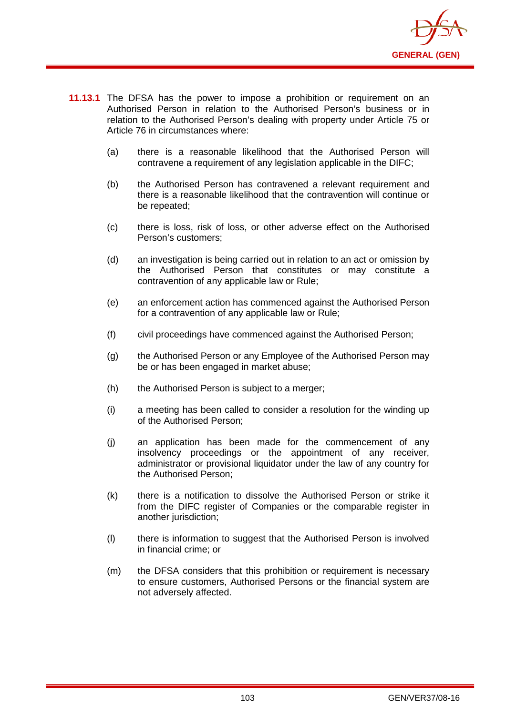

- **11.13.1** The DFSA has the power to impose a prohibition or requirement on an Authorised Person in relation to the Authorised Person's business or in relation to the Authorised Person's dealing with property under Article 75 or Article 76 in circumstances where:
	- (a) there is a reasonable likelihood that the Authorised Person will contravene a requirement of any legislation applicable in the DIFC;
	- (b) the Authorised Person has contravened a relevant requirement and there is a reasonable likelihood that the contravention will continue or be repeated;
	- (c) there is loss, risk of loss, or other adverse effect on the Authorised Person's customers;
	- (d) an investigation is being carried out in relation to an act or omission by the Authorised Person that constitutes or may constitute a contravention of any applicable law or Rule;
	- (e) an enforcement action has commenced against the Authorised Person for a contravention of any applicable law or Rule;
	- (f) civil proceedings have commenced against the Authorised Person;
	- (g) the Authorised Person or any Employee of the Authorised Person may be or has been engaged in market abuse;
	- (h) the Authorised Person is subject to a merger;
	- (i) a meeting has been called to consider a resolution for the winding up of the Authorised Person;
	- (j) an application has been made for the commencement of any insolvency proceedings or the appointment of any receiver, administrator or provisional liquidator under the law of any country for the Authorised Person;
	- (k) there is a notification to dissolve the Authorised Person or strike it from the DIFC register of Companies or the comparable register in another jurisdiction:
	- (l) there is information to suggest that the Authorised Person is involved in financial crime; or
	- (m) the DFSA considers that this prohibition or requirement is necessary to ensure customers, Authorised Persons or the financial system are not adversely affected.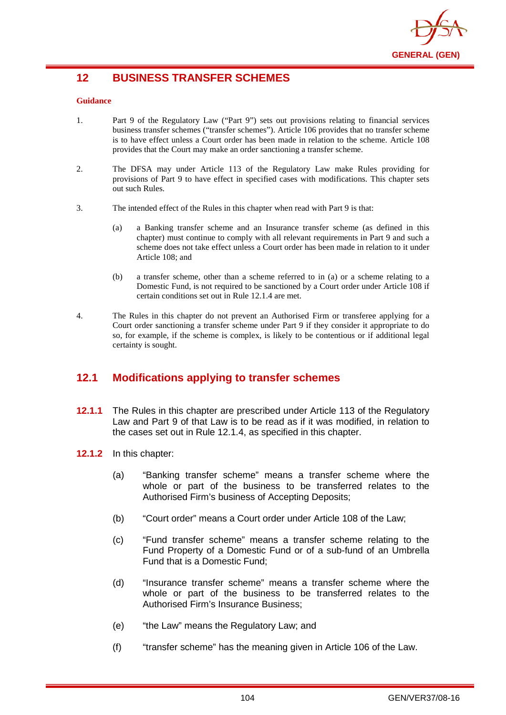

# **12 BUSINESS TRANSFER SCHEMES**

#### **Guidance**

- 1. Part 9 of the Regulatory Law ("Part 9") sets out provisions relating to financial services business transfer schemes ("transfer schemes"). Article 106 provides that no transfer scheme is to have effect unless a Court order has been made in relation to the scheme. Article 108 provides that the Court may make an order sanctioning a transfer scheme.
- 2. The DFSA may under Article 113 of the Regulatory Law make Rules providing for provisions of Part 9 to have effect in specified cases with modifications. This chapter sets out such Rules.
- 3. The intended effect of the Rules in this chapter when read with Part 9 is that:
	- (a) a Banking transfer scheme and an Insurance transfer scheme (as defined in this chapter) must continue to comply with all relevant requirements in Part 9 and such a scheme does not take effect unless a Court order has been made in relation to it under Article 108; and
	- (b) a transfer scheme, other than a scheme referred to in (a) or a scheme relating to a Domestic Fund, is not required to be sanctioned by a Court order under Article 108 if certain conditions set out in Rule 12.1.4 are met.
- 4. The Rules in this chapter do not prevent an Authorised Firm or transferee applying for a Court order sanctioning a transfer scheme under Part 9 if they consider it appropriate to do so, for example, if the scheme is complex, is likely to be contentious or if additional legal certainty is sought.

# **12.1 Modifications applying to transfer schemes**

- **12.1.1** The Rules in this chapter are prescribed under Article 113 of the Regulatory Law and Part 9 of that Law is to be read as if it was modified, in relation to the cases set out in Rule 12.1.4, as specified in this chapter.
- **12.1.2** In this chapter:
	- (a) "Banking transfer scheme" means a transfer scheme where the whole or part of the business to be transferred relates to the Authorised Firm's business of Accepting Deposits;
	- (b) "Court order" means a Court order under Article 108 of the Law;
	- (c) "Fund transfer scheme" means a transfer scheme relating to the Fund Property of a Domestic Fund or of a sub-fund of an Umbrella Fund that is a Domestic Fund;
	- (d) "Insurance transfer scheme" means a transfer scheme where the whole or part of the business to be transferred relates to the Authorised Firm's Insurance Business;
	- (e) "the Law" means the Regulatory Law; and
	- (f) "transfer scheme" has the meaning given in Article 106 of the Law.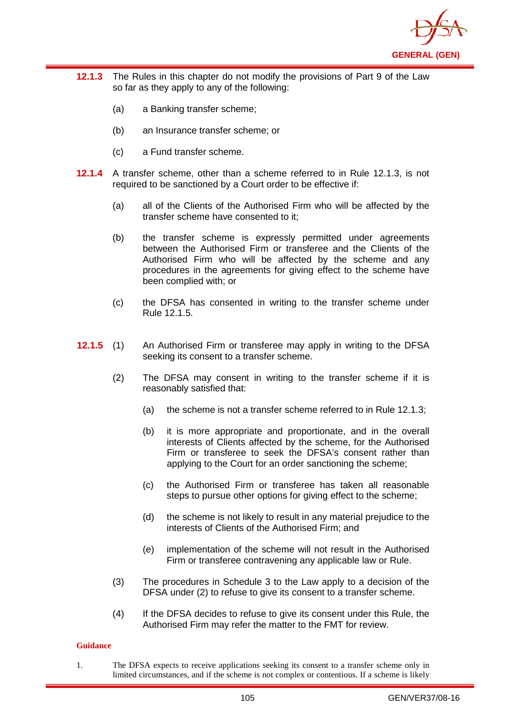

- **12.1.3** The Rules in this chapter do not modify the provisions of Part 9 of the Law so far as they apply to any of the following:
	- (a) a Banking transfer scheme;
	- (b) an Insurance transfer scheme; or
	- (c) a Fund transfer scheme.
- **12.1.4** A transfer scheme, other than a scheme referred to in Rule 12.1.3, is not required to be sanctioned by a Court order to be effective if:
	- (a) all of the Clients of the Authorised Firm who will be affected by the transfer scheme have consented to it;
	- (b) the transfer scheme is expressly permitted under agreements between the Authorised Firm or transferee and the Clients of the Authorised Firm who will be affected by the scheme and any procedures in the agreements for giving effect to the scheme have been complied with; or
	- (c) the DFSA has consented in writing to the transfer scheme under Rule 12.1.5.
- **12.1.5** (1) An Authorised Firm or transferee may apply in writing to the DFSA seeking its consent to a transfer scheme.
	- (2) The DFSA may consent in writing to the transfer scheme if it is reasonably satisfied that:
		- (a) the scheme is not a transfer scheme referred to in Rule 12.1.3;
		- (b) it is more appropriate and proportionate, and in the overall interests of Clients affected by the scheme, for the Authorised Firm or transferee to seek the DFSA's consent rather than applying to the Court for an order sanctioning the scheme;
		- (c) the Authorised Firm or transferee has taken all reasonable steps to pursue other options for giving effect to the scheme;
		- (d) the scheme is not likely to result in any material prejudice to the interests of Clients of the Authorised Firm; and
		- (e) implementation of the scheme will not result in the Authorised Firm or transferee contravening any applicable law or Rule.
	- (3) The procedures in Schedule 3 to the Law apply to a decision of the DFSA under (2) to refuse to give its consent to a transfer scheme.
	- (4) If the DFSA decides to refuse to give its consent under this Rule, the Authorised Firm may refer the matter to the FMT for review.

#### **Guidance**

1. The DFSA expects to receive applications seeking its consent to a transfer scheme only in limited circumstances, and if the scheme is not complex or contentious. If a scheme is likely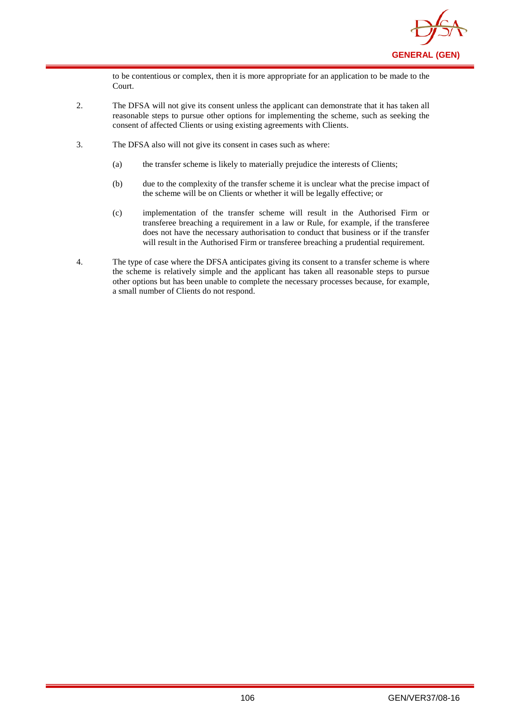

to be contentious or complex, then it is more appropriate for an application to be made to the Court.

- 2. The DFSA will not give its consent unless the applicant can demonstrate that it has taken all reasonable steps to pursue other options for implementing the scheme, such as seeking the consent of affected Clients or using existing agreements with Clients.
- 3. The DFSA also will not give its consent in cases such as where:
	- (a) the transfer scheme is likely to materially prejudice the interests of Clients;
	- (b) due to the complexity of the transfer scheme it is unclear what the precise impact of the scheme will be on Clients or whether it will be legally effective; or
	- (c) implementation of the transfer scheme will result in the Authorised Firm or transferee breaching a requirement in a law or Rule, for example, if the transferee does not have the necessary authorisation to conduct that business or if the transfer will result in the Authorised Firm or transferee breaching a prudential requirement.
- 4. The type of case where the DFSA anticipates giving its consent to a transfer scheme is where the scheme is relatively simple and the applicant has taken all reasonable steps to pursue other options but has been unable to complete the necessary processes because, for example, a small number of Clients do not respond.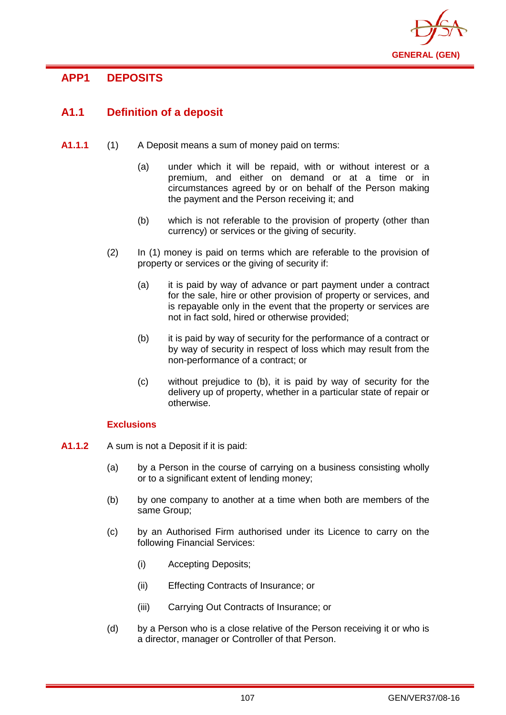

# **APP1 DEPOSITS**

# **A1.1 Definition of a deposit**

- **A1.1.1** (1) A Deposit means a sum of money paid on terms:
	- (a) under which it will be repaid, with or without interest or a premium, and either on demand or at a time or in circumstances agreed by or on behalf of the Person making the payment and the Person receiving it; and
	- (b) which is not referable to the provision of property (other than currency) or services or the giving of security.
	- (2) In (1) money is paid on terms which are referable to the provision of property or services or the giving of security if:
		- (a) it is paid by way of advance or part payment under a contract for the sale, hire or other provision of property or services, and is repayable only in the event that the property or services are not in fact sold, hired or otherwise provided;
		- (b) it is paid by way of security for the performance of a contract or by way of security in respect of loss which may result from the non-performance of a contract; or
		- (c) without prejudice to (b), it is paid by way of security for the delivery up of property, whether in a particular state of repair or otherwise.

## **Exclusions**

- **A1.1.2** A sum is not a Deposit if it is paid:
	- (a) by a Person in the course of carrying on a business consisting wholly or to a significant extent of lending money;
	- (b) by one company to another at a time when both are members of the same Group;
	- (c) by an Authorised Firm authorised under its Licence to carry on the following Financial Services:
		- (i) Accepting Deposits;
		- (ii) Effecting Contracts of Insurance; or
		- (iii) Carrying Out Contracts of Insurance; or
	- (d) by a Person who is a close relative of the Person receiving it or who is a director, manager or Controller of that Person.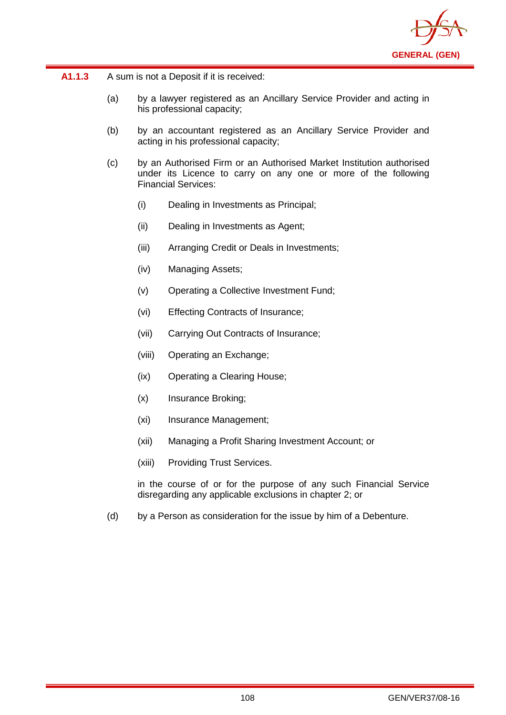

- (a) by a lawyer registered as an Ancillary Service Provider and acting in his professional capacity;
- (b) by an accountant registered as an Ancillary Service Provider and acting in his professional capacity;
- (c) by an Authorised Firm or an Authorised Market Institution authorised under its Licence to carry on any one or more of the following Financial Services:
	- (i) Dealing in Investments as Principal;
	- (ii) Dealing in Investments as Agent;
	- (iii) Arranging Credit or Deals in Investments;
	- (iv) Managing Assets;
	- (v) Operating a Collective Investment Fund;
	- (vi) Effecting Contracts of Insurance;
	- (vii) Carrying Out Contracts of Insurance;
	- (viii) Operating an Exchange;
	- (ix) Operating a Clearing House;
	- (x) Insurance Broking;
	- (xi) Insurance Management;
	- (xii) Managing a Profit Sharing Investment Account; or
	- (xiii) Providing Trust Services.

in the course of or for the purpose of any such Financial Service disregarding any applicable exclusions in chapter 2; or

(d) by a Person as consideration for the issue by him of a Debenture.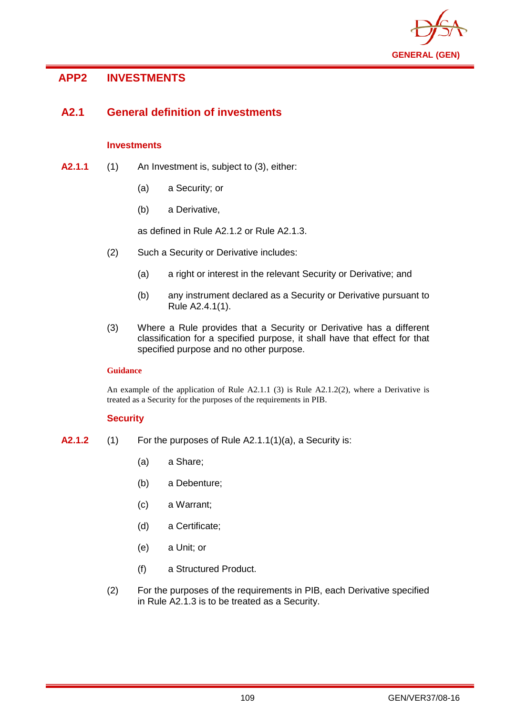

# **APP2 INVESTMENTS**

# **A2.1 General definition of investments**

## **Investments**

- **A2.1.1** (1) An Investment is, subject to (3), either:
	- (a) a Security; or
	- (b) a Derivative,

as defined in Rule A2.1.2 or Rule A2.1.3.

- (2) Such a Security or Derivative includes:
	- (a) a right or interest in the relevant Security or Derivative; and
	- (b) any instrument declared as a Security or Derivative pursuant to Rule A2.4.1(1).
- (3) Where a Rule provides that a Security or Derivative has a different classification for a specified purpose, it shall have that effect for that specified purpose and no other purpose.

## **Guidance**

An example of the application of Rule  $A2.1.1$  (3) is Rule  $A2.1.2(2)$ , where a Derivative is treated as a Security for the purposes of the requirements in PIB.

## **Security**

- **A2.1.2** (1) For the purposes of Rule A2.1.1(1)(a), a Security is:
	- (a) a Share;
	- (b) a Debenture;
	- (c) a Warrant;
	- (d) a Certificate;
	- (e) a Unit; or
	- (f) a Structured Product.
	- (2) For the purposes of the requirements in PIB, each Derivative specified in Rule A2.1.3 is to be treated as a Security.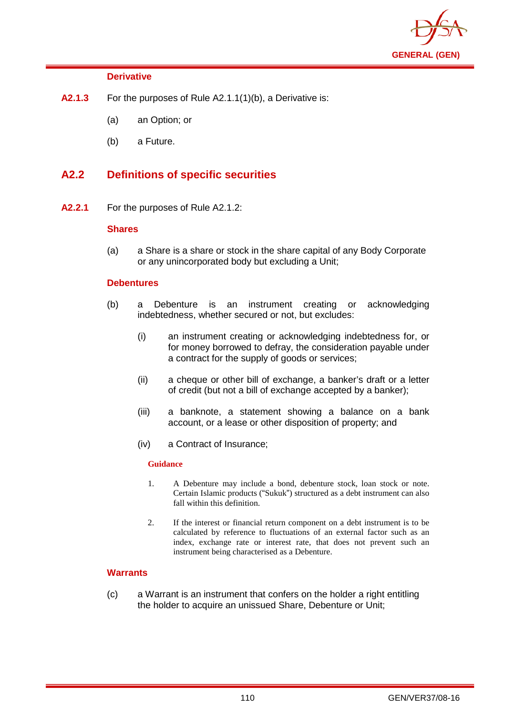

## **Derivative**

- **A2.1.3** For the purposes of Rule A2.1.1(1)(b), a Derivative is:
	- (a) an Option; or
	- (b) a Future.

## **A2.2 Definitions of specific securities**

**A2.2.1** For the purposes of Rule A2.1.2:

## **Shares**

(a) a Share is a share or stock in the share capital of any Body Corporate or any unincorporated body but excluding a Unit;

## **Debentures**

- (b) a Debenture is an instrument creating or acknowledging indebtedness, whether secured or not, but excludes:
	- (i) an instrument creating or acknowledging indebtedness for, or for money borrowed to defray, the consideration payable under a contract for the supply of goods or services;
	- (ii) a cheque or other bill of exchange, a banker's draft or a letter of credit (but not a bill of exchange accepted by a banker);
	- (iii) a banknote, a statement showing a balance on a bank account, or a lease or other disposition of property; and
	- (iv) a Contract of Insurance;

## **Guidance**

- 1. A Debenture may include a bond, debenture stock, loan stock or note. Certain Islamic products ("Sukuk") structured as a debt instrument can also fall within this definition.
- 2. If the interest or financial return component on a debt instrument is to be calculated by reference to fluctuations of an external factor such as an index, exchange rate or interest rate, that does not prevent such an instrument being characterised as a Debenture.

## **Warrants**

(c) a Warrant is an instrument that confers on the holder a right entitling the holder to acquire an unissued Share, Debenture or Unit;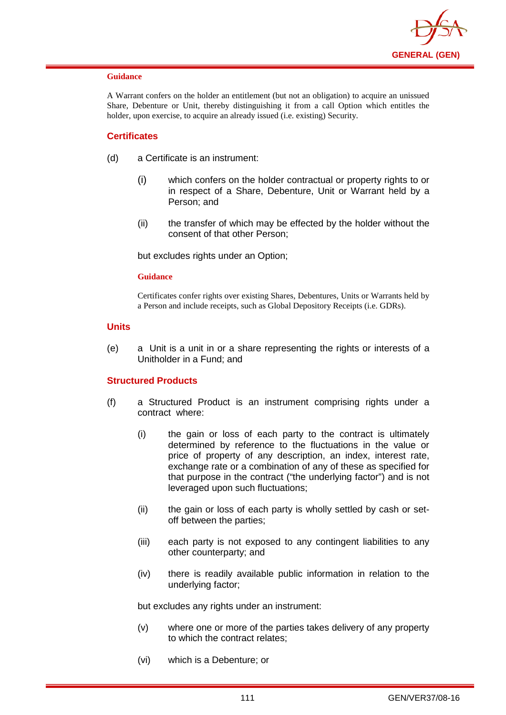

#### **Guidance**

A Warrant confers on the holder an entitlement (but not an obligation) to acquire an unissued Share, Debenture or Unit, thereby distinguishing it from a call Option which entitles the holder, upon exercise, to acquire an already issued (i.e. existing) Security.

## **Certificates**

- (d) a Certificate is an instrument:
	- (i) which confers on the holder contractual or property rights to or in respect of a Share, Debenture, Unit or Warrant held by a Person; and
	- (ii) the transfer of which may be effected by the holder without the consent of that other Person;

but excludes rights under an Option;

#### **Guidance**

Certificates confer rights over existing Shares, Debentures, Units or Warrants held by a Person and include receipts, such as Global Depository Receipts (i.e. GDRs).

### **Units**

(e) a Unit is a unit in or a share representing the rights or interests of a Unitholder in a Fund; and

## **Structured Products**

- (f) a Structured Product is an instrument comprising rights under a contract where:
	- (i) the gain or loss of each party to the contract is ultimately determined by reference to the fluctuations in the value or price of property of any description, an index, interest rate, exchange rate or a combination of any of these as specified for that purpose in the contract ("the underlying factor") and is not leveraged upon such fluctuations;
	- (ii) the gain or loss of each party is wholly settled by cash or setoff between the parties;
	- (iii) each party is not exposed to any contingent liabilities to any other counterparty; and
	- (iv) there is readily available public information in relation to the underlying factor;

but excludes any rights under an instrument:

- (v) where one or more of the parties takes delivery of any property to which the contract relates;
- (vi) which is a Debenture; or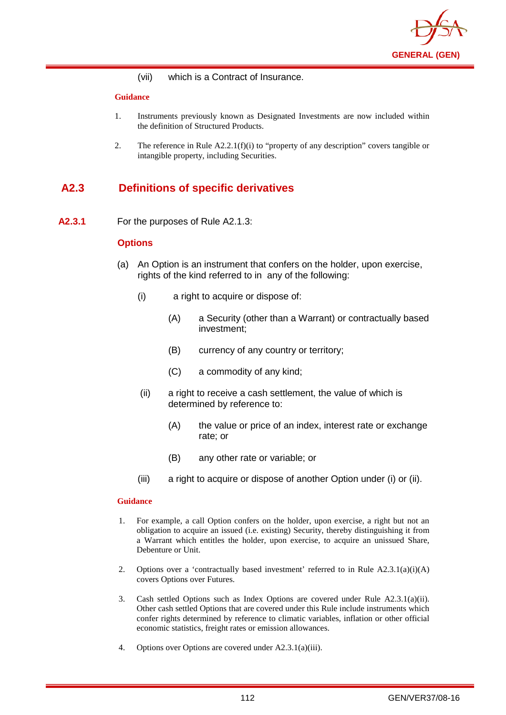

(vii) which is a Contract of Insurance.

#### **Guidance**

- 1. Instruments previously known as Designated Investments are now included within the definition of Structured Products.
- 2. The reference in Rule  $A2.2.1(f)(i)$  to "property of any description" covers tangible or intangible property, including Securities.

# **A2.3 Definitions of specific derivatives**

**A2.3.1** For the purposes of Rule A2.1.3:

## **Options**

- (a) An Option is an instrument that confers on the holder, upon exercise, rights of the kind referred to in any of the following:
	- (i) a right to acquire or dispose of:
		- (A) a Security (other than a Warrant) or contractually based investment;
		- (B) currency of any country or territory;
		- (C) a commodity of any kind;
	- (ii) a right to receive a cash settlement, the value of which is determined by reference to:
		- (A) the value or price of an index, interest rate or exchange rate; or
		- (B) any other rate or variable; or
	- (iii) a right to acquire or dispose of another Option under (i) or (ii).

## **Guidance**

- 1. For example, a call Option confers on the holder, upon exercise, a right but not an obligation to acquire an issued (i.e. existing) Security, thereby distinguishing it from a Warrant which entitles the holder, upon exercise, to acquire an unissued Share, Debenture or Unit.
- 2. Options over a 'contractually based investment' referred to in Rule  $A2.3.1(a)(i)(A)$ covers Options over Futures.
- 3. Cash settled Options such as Index Options are covered under Rule A2.3.1(a)(ii). Other cash settled Options that are covered under this Rule include instruments which confer rights determined by reference to climatic variables, inflation or other official economic statistics, freight rates or emission allowances.
- 4. Options over Options are covered under A2.3.1(a)(iii).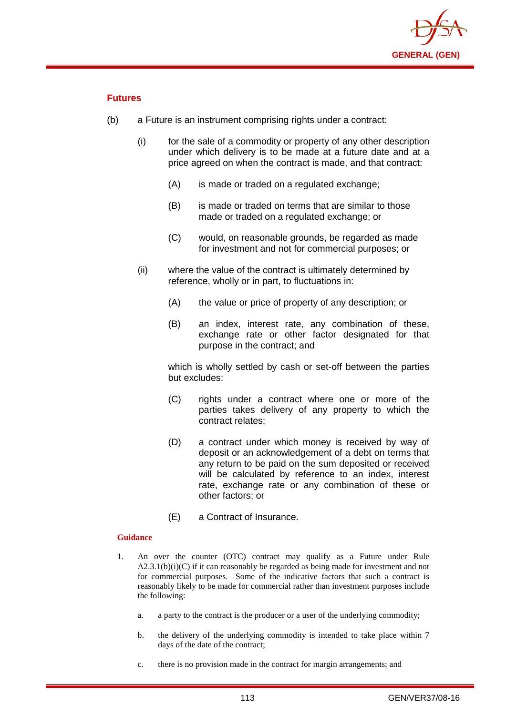

## **Futures**

- (b) a Future is an instrument comprising rights under a contract:
	- (i) for the sale of a commodity or property of any other description under which delivery is to be made at a future date and at a price agreed on when the contract is made, and that contract:
		- (A) is made or traded on a regulated exchange:
		- (B) is made or traded on terms that are similar to those made or traded on a regulated exchange; or
		- (C) would, on reasonable grounds, be regarded as made for investment and not for commercial purposes; or
	- (ii) where the value of the contract is ultimately determined by reference, wholly or in part, to fluctuations in:
		- (A) the value or price of property of any description; or
		- (B) an index, interest rate, any combination of these, exchange rate or other factor designated for that purpose in the contract; and

which is wholly settled by cash or set-off between the parties but excludes:

- (C) rights under a contract where one or more of the parties takes delivery of any property to which the contract relates;
- (D) a contract under which money is received by way of deposit or an acknowledgement of a debt on terms that any return to be paid on the sum deposited or received will be calculated by reference to an index, interest rate, exchange rate or any combination of these or other factors; or
- (E) a Contract of Insurance.

## **Guidance**

- 1. An over the counter (OTC) contract may qualify as a Future under Rule  $A2.3.1(b)(i)(C)$  if it can reasonably be regarded as being made for investment and not for commercial purposes. Some of the indicative factors that such a contract is reasonably likely to be made for commercial rather than investment purposes include the following:
	- a. a party to the contract is the producer or a user of the underlying commodity;
	- b. the delivery of the underlying commodity is intended to take place within 7 days of the date of the contract;
	- c. there is no provision made in the contract for margin arrangements; and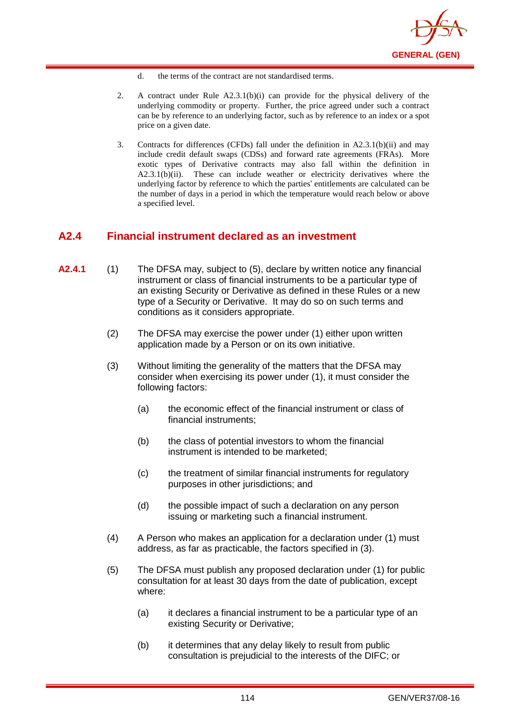

- d. the terms of the contract are not standardised terms.
- 2. A contract under Rule A2.3.1(b)(i) can provide for the physical delivery of the underlying commodity or property. Further, the price agreed under such a contract can be by reference to an underlying factor, such as by reference to an index or a spot price on a given date.
- 3. Contracts for differences (CFDs) fall under the definition in A2.3.1(b)(ii) and may include credit default swaps (CDSs) and forward rate agreements (FRAs). More exotic types of Derivative contracts may also fall within the definition in A2.3.1(b)(ii). These can include weather or electricity derivatives where the underlying factor by reference to which the parties' entitlements are calculated can be the number of days in a period in which the temperature would reach below or above a specified level.

## **A2.4 Financial instrument declared as an investment**

- **A2.4.1** (1) The DFSA may, subject to (5), declare by written notice any financial instrument or class of financial instruments to be a particular type of an existing Security or Derivative as defined in these Rules or a new type of a Security or Derivative. It may do so on such terms and conditions as it considers appropriate.
	- (2) The DFSA may exercise the power under (1) either upon written application made by a Person or on its own initiative.
	- (3) Without limiting the generality of the matters that the DFSA may consider when exercising its power under (1), it must consider the following factors:
		- (a) the economic effect of the financial instrument or class of financial instruments;
		- (b) the class of potential investors to whom the financial instrument is intended to be marketed;
		- (c) the treatment of similar financial instruments for regulatory purposes in other jurisdictions; and
		- (d) the possible impact of such a declaration on any person issuing or marketing such a financial instrument.
	- (4) A Person who makes an application for a declaration under (1) must address, as far as practicable, the factors specified in (3).
	- (5) The DFSA must publish any proposed declaration under (1) for public consultation for at least 30 days from the date of publication, except where:
		- (a) it declares a financial instrument to be a particular type of an existing Security or Derivative;
		- (b) it determines that any delay likely to result from public consultation is prejudicial to the interests of the DIFC; or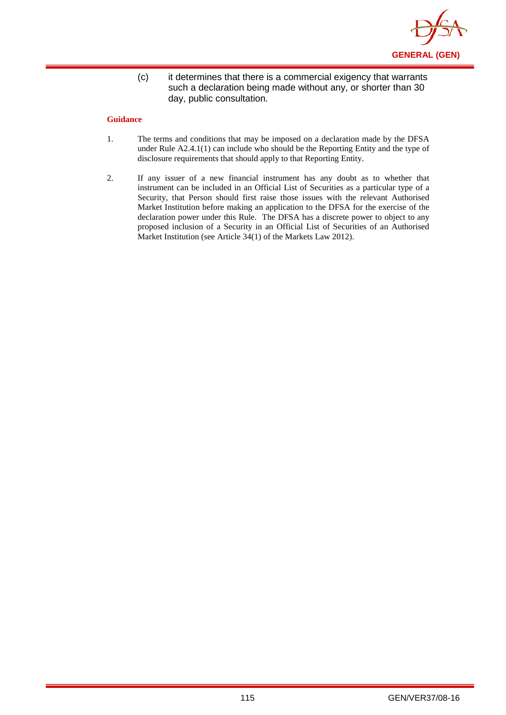

(c) it determines that there is a commercial exigency that warrants such a declaration being made without any, or shorter than 30 day, public consultation.

## **Guidance**

- 1. The terms and conditions that may be imposed on a declaration made by the DFSA under Rule A2.4.1(1) can include who should be the Reporting Entity and the type of disclosure requirements that should apply to that Reporting Entity.
- 2. If any issuer of a new financial instrument has any doubt as to whether that instrument can be included in an Official List of Securities as a particular type of a Security, that Person should first raise those issues with the relevant Authorised Market Institution before making an application to the DFSA for the exercise of the declaration power under this Rule. The DFSA has a discrete power to object to any proposed inclusion of a Security in an Official List of Securities of an Authorised Market Institution (see Article 34(1) of the Markets Law 2012).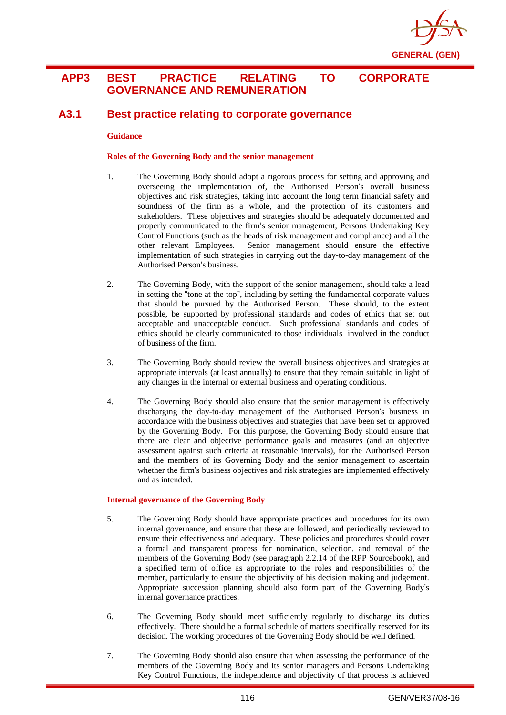

## **APP3 BEST PRACTICE RELATING TO CORPORATE GOVERNANCE AND REMUNERATION**

## **A3.1 Best practice relating to corporate governance**

#### **Guidance**

#### **Roles of the Governing Body and the senior management**

- 1. The Governing Body should adopt a rigorous process for setting and approving and overseeing the implementation of, the Authorised Person's overall business objectives and risk strategies, taking into account the long term financial safety and soundness of the firm as a whole, and the protection of its customers and stakeholders. These objectives and strategies should be adequately documented and properly communicated to the firm's senior management, Persons Undertaking Key Control Functions (such as the heads of risk management and compliance) and all the other relevant Employees. Senior management should ensure the effective implementation of such strategies in carrying out the day-to-day management of the Authorised Person's business.
- 2. The Governing Body, with the support of the senior management, should take a lead in setting the "tone at the top", including by setting the fundamental corporate values that should be pursued by the Authorised Person. These should, to the extent possible, be supported by professional standards and codes of ethics that set out acceptable and unacceptable conduct. Such professional standards and codes of ethics should be clearly communicated to those individuals involved in the conduct of business of the firm.
- 3. The Governing Body should review the overall business objectives and strategies at appropriate intervals (at least annually) to ensure that they remain suitable in light of any changes in the internal or external business and operating conditions.
- 4. The Governing Body should also ensure that the senior management is effectively discharging the day-to-day management of the Authorised Person's business in accordance with the business objectives and strategies that have been set or approved by the Governing Body. For this purpose, the Governing Body should ensure that there are clear and objective performance goals and measures (and an objective assessment against such criteria at reasonable intervals), for the Authorised Person and the members of its Governing Body and the senior management to ascertain whether the firm's business objectives and risk strategies are implemented effectively and as intended.

#### **Internal governance of the Governing Body**

- 5. The Governing Body should have appropriate practices and procedures for its own internal governance, and ensure that these are followed, and periodically reviewed to ensure their effectiveness and adequacy. These policies and procedures should cover a formal and transparent process for nomination, selection, and removal of the members of the Governing Body (see paragraph 2.2.14 of the RPP Sourcebook), and a specified term of office as appropriate to the roles and responsibilities of the member, particularly to ensure the objectivity of his decision making and judgement. Appropriate succession planning should also form part of the Governing Body's internal governance practices.
- 6. The Governing Body should meet sufficiently regularly to discharge its duties effectively. There should be a formal schedule of matters specifically reserved for its decision. The working procedures of the Governing Body should be well defined.
- 7. The Governing Body should also ensure that when assessing the performance of the members of the Governing Body and its senior managers and Persons Undertaking Key Control Functions, the independence and objectivity of that process is achieved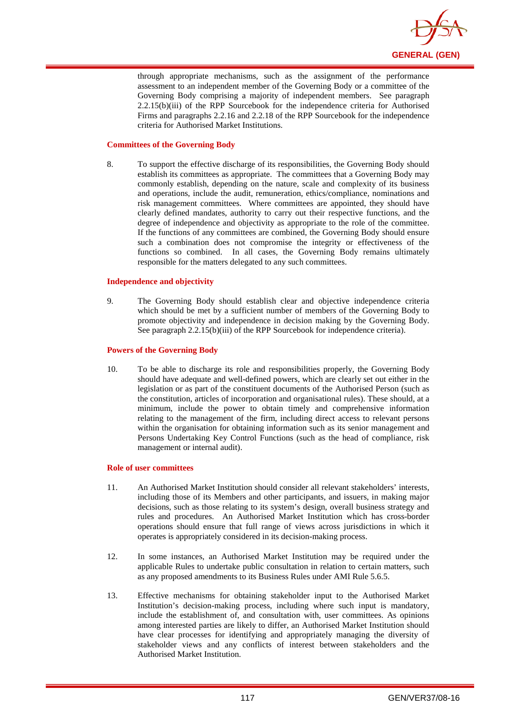

through appropriate mechanisms, such as the assignment of the performance assessment to an independent member of the Governing Body or a committee of the Governing Body comprising a majority of independent members. See paragraph 2.2.15(b)(iii) of the RPP Sourcebook for the independence criteria for Authorised Firms and paragraphs 2.2.16 and 2.2.18 of the RPP Sourcebook for the independence criteria for Authorised Market Institutions.

#### **Committees of the Governing Body**

8. To support the effective discharge of its responsibilities, the Governing Body should establish its committees as appropriate. The committees that a Governing Body may commonly establish, depending on the nature, scale and complexity of its business and operations, include the audit, remuneration, ethics/compliance, nominations and risk management committees. Where committees are appointed, they should have clearly defined mandates, authority to carry out their respective functions, and the degree of independence and objectivity as appropriate to the role of the committee. If the functions of any committees are combined, the Governing Body should ensure such a combination does not compromise the integrity or effectiveness of the functions so combined. In all cases, the Governing Body remains ultimately responsible for the matters delegated to any such committees.

#### **Independence and objectivity**

9. The Governing Body should establish clear and objective independence criteria which should be met by a sufficient number of members of the Governing Body to promote objectivity and independence in decision making by the Governing Body. See paragraph 2.2.15(b)(iii) of the RPP Sourcebook for independence criteria).

#### **Powers of the Governing Body**

10. To be able to discharge its role and responsibilities properly, the Governing Body should have adequate and well-defined powers, which are clearly set out either in the legislation or as part of the constituent documents of the Authorised Person (such as the constitution, articles of incorporation and organisational rules). These should, at a minimum, include the power to obtain timely and comprehensive information relating to the management of the firm, including direct access to relevant persons within the organisation for obtaining information such as its senior management and Persons Undertaking Key Control Functions (such as the head of compliance, risk management or internal audit).

#### **Role of user committees**

- 11. An Authorised Market Institution should consider all relevant stakeholders' interests, including those of its Members and other participants, and issuers, in making major decisions, such as those relating to its system's design, overall business strategy and rules and procedures. An Authorised Market Institution which has cross-border operations should ensure that full range of views across jurisdictions in which it operates is appropriately considered in its decision-making process.
- 12. In some instances, an Authorised Market Institution may be required under the applicable Rules to undertake public consultation in relation to certain matters, such as any proposed amendments to its Business Rules under AMI Rule 5.6.5.
- 13. Effective mechanisms for obtaining stakeholder input to the Authorised Market Institution's decision-making process, including where such input is mandatory, include the establishment of, and consultation with, user committees. As opinions among interested parties are likely to differ, an Authorised Market Institution should have clear processes for identifying and appropriately managing the diversity of stakeholder views and any conflicts of interest between stakeholders and the Authorised Market Institution.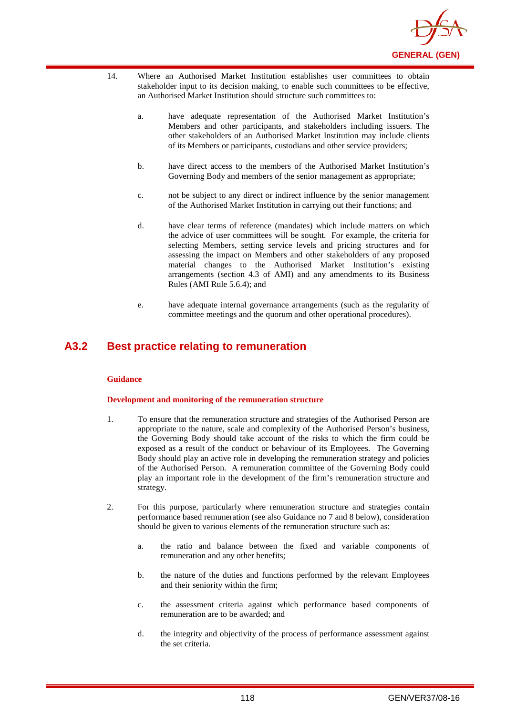

- 14. Where an Authorised Market Institution establishes user committees to obtain stakeholder input to its decision making, to enable such committees to be effective, an Authorised Market Institution should structure such committees to:
	- a. have adequate representation of the Authorised Market Institution's Members and other participants, and stakeholders including issuers. The other stakeholders of an Authorised Market Institution may include clients of its Members or participants, custodians and other service providers;
	- b. have direct access to the members of the Authorised Market Institution's Governing Body and members of the senior management as appropriate;
	- c. not be subject to any direct or indirect influence by the senior management of the Authorised Market Institution in carrying out their functions; and
	- d. have clear terms of reference (mandates) which include matters on which the advice of user committees will be sought. For example, the criteria for selecting Members, setting service levels and pricing structures and for assessing the impact on Members and other stakeholders of any proposed material changes to the Authorised Market Institution's existing arrangements (section 4.3 of AMI) and any amendments to its Business Rules (AMI Rule 5.6.4); and
	- e. have adequate internal governance arrangements (such as the regularity of committee meetings and the quorum and other operational procedures).

## **A3.2 Best practice relating to remuneration**

#### **Guidance**

#### **Development and monitoring of the remuneration structure**

- 1. To ensure that the remuneration structure and strategies of the Authorised Person are appropriate to the nature, scale and complexity of the Authorised Person's business, the Governing Body should take account of the risks to which the firm could be exposed as a result of the conduct or behaviour of its Employees. The Governing Body should play an active role in developing the remuneration strategy and policies of the Authorised Person. A remuneration committee of the Governing Body could play an important role in the development of the firm's remuneration structure and strategy.
- 2. For this purpose, particularly where remuneration structure and strategies contain performance based remuneration (see also Guidance no 7 and 8 below), consideration should be given to various elements of the remuneration structure such as:
	- a. the ratio and balance between the fixed and variable components of remuneration and any other benefits;
	- b. the nature of the duties and functions performed by the relevant Employees and their seniority within the firm;
	- c. the assessment criteria against which performance based components of remuneration are to be awarded; and
	- d. the integrity and objectivity of the process of performance assessment against the set criteria.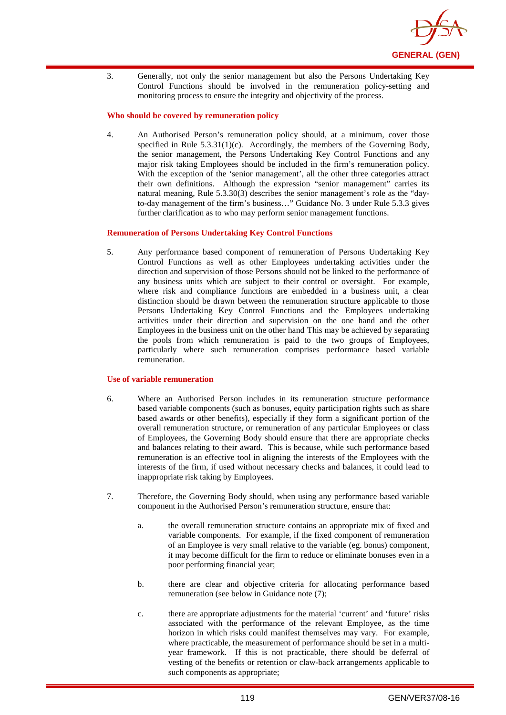

3. Generally, not only the senior management but also the Persons Undertaking Key Control Functions should be involved in the remuneration policy-setting and monitoring process to ensure the integrity and objectivity of the process.

#### **Who should be covered by remuneration policy**

4. An Authorised Person's remuneration policy should, at a minimum, cover those specified in Rule 5.3.31(1)(c). Accordingly, the members of the Governing Body, the senior management, the Persons Undertaking Key Control Functions and any major risk taking Employees should be included in the firm's remuneration policy. With the exception of the 'senior management', all the other three categories attract their own definitions. Although the expression "senior management" carries its natural meaning, Rule 5.3.30(3) describes the senior management's role as the "dayto-day management of the firm's business…" Guidance No. 3 under Rule 5.3.3 gives further clarification as to who may perform senior management functions.

#### **Remuneration of Persons Undertaking Key Control Functions**

5. Any performance based component of remuneration of Persons Undertaking Key Control Functions as well as other Employees undertaking activities under the direction and supervision of those Persons should not be linked to the performance of any business units which are subject to their control or oversight. For example, where risk and compliance functions are embedded in a business unit, a clear distinction should be drawn between the remuneration structure applicable to those Persons Undertaking Key Control Functions and the Employees undertaking activities under their direction and supervision on the one hand and the other Employees in the business unit on the other hand This may be achieved by separating the pools from which remuneration is paid to the two groups of Employees, particularly where such remuneration comprises performance based variable remuneration.

#### **Use of variable remuneration**

- 6. Where an Authorised Person includes in its remuneration structure performance based variable components (such as bonuses, equity participation rights such as share based awards or other benefits), especially if they form a significant portion of the overall remuneration structure, or remuneration of any particular Employees or class of Employees, the Governing Body should ensure that there are appropriate checks and balances relating to their award. This is because, while such performance based remuneration is an effective tool in aligning the interests of the Employees with the interests of the firm, if used without necessary checks and balances, it could lead to inappropriate risk taking by Employees.
- 7. Therefore, the Governing Body should, when using any performance based variable component in the Authorised Person's remuneration structure, ensure that:
	- a. the overall remuneration structure contains an appropriate mix of fixed and variable components. For example, if the fixed component of remuneration of an Employee is very small relative to the variable (eg. bonus) component, it may become difficult for the firm to reduce or eliminate bonuses even in a poor performing financial year;
	- b. there are clear and objective criteria for allocating performance based remuneration (see below in Guidance note (7);
	- c. there are appropriate adjustments for the material 'current' and 'future' risks associated with the performance of the relevant Employee, as the time horizon in which risks could manifest themselves may vary. For example, where practicable, the measurement of performance should be set in a multiyear framework. If this is not practicable, there should be deferral of vesting of the benefits or retention or claw-back arrangements applicable to such components as appropriate;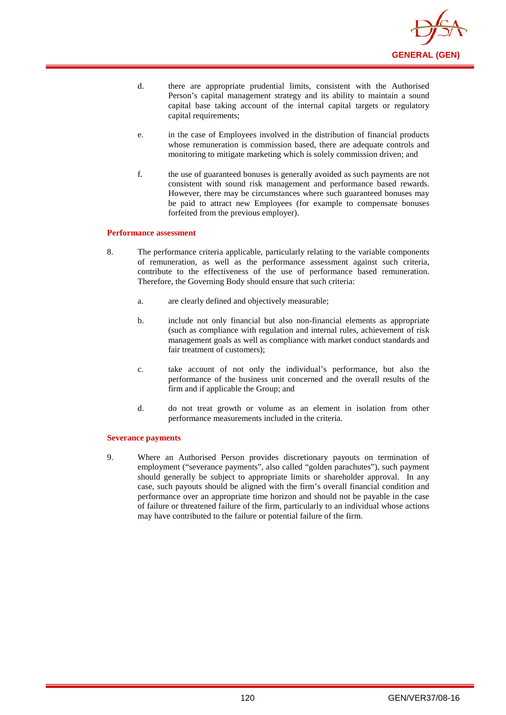

- d. there are appropriate prudential limits, consistent with the Authorised Person's capital management strategy and its ability to maintain a sound capital base taking account of the internal capital targets or regulatory capital requirements;
- e. in the case of Employees involved in the distribution of financial products whose remuneration is commission based, there are adequate controls and monitoring to mitigate marketing which is solely commission driven; and
- f. the use of guaranteed bonuses is generally avoided as such payments are not consistent with sound risk management and performance based rewards. However, there may be circumstances where such guaranteed bonuses may be paid to attract new Employees (for example to compensate bonuses forfeited from the previous employer).

#### **Performance assessment**

- 8. The performance criteria applicable, particularly relating to the variable components of remuneration, as well as the performance assessment against such criteria, contribute to the effectiveness of the use of performance based remuneration. Therefore, the Governing Body should ensure that such criteria:
	- a. are clearly defined and objectively measurable;
	- b. include not only financial but also non-financial elements as appropriate (such as compliance with regulation and internal rules, achievement of risk management goals as well as compliance with market conduct standards and fair treatment of customers):
	- c. take account of not only the individual's performance, but also the performance of the business unit concerned and the overall results of the firm and if applicable the Group; and
	- d. do not treat growth or volume as an element in isolation from other performance measurements included in the criteria.

#### **Severance payments**

9. Where an Authorised Person provides discretionary payouts on termination of employment ("severance payments", also called "golden parachutes"), such payment should generally be subject to appropriate limits or shareholder approval. In any case, such payouts should be aligned with the firm's overall financial condition and performance over an appropriate time horizon and should not be payable in the case of failure or threatened failure of the firm, particularly to an individual whose actions may have contributed to the failure or potential failure of the firm.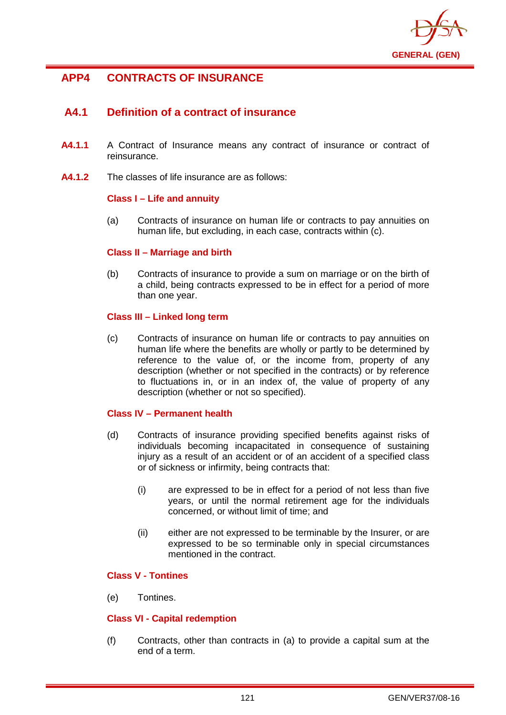

# **APP4 CONTRACTS OF INSURANCE**

# **A4.1 Definition of a contract of insurance**

- **A4.1.1** A Contract of Insurance means any contract of insurance or contract of reinsurance.
- **A4.1.2** The classes of life insurance are as follows:

## **Class I – Life and annuity**

(a) Contracts of insurance on human life or contracts to pay annuities on human life, but excluding, in each case, contracts within (c).

## **Class II – Marriage and birth**

(b) Contracts of insurance to provide a sum on marriage or on the birth of a child, being contracts expressed to be in effect for a period of more than one year.

## **Class III – Linked long term**

(c) Contracts of insurance on human life or contracts to pay annuities on human life where the benefits are wholly or partly to be determined by reference to the value of, or the income from, property of any description (whether or not specified in the contracts) or by reference to fluctuations in, or in an index of, the value of property of any description (whether or not so specified).

## **Class IV – Permanent health**

- (d) Contracts of insurance providing specified benefits against risks of individuals becoming incapacitated in consequence of sustaining injury as a result of an accident or of an accident of a specified class or of sickness or infirmity, being contracts that:
	- (i) are expressed to be in effect for a period of not less than five years, or until the normal retirement age for the individuals concerned, or without limit of time; and
	- (ii) either are not expressed to be terminable by the Insurer, or are expressed to be so terminable only in special circumstances mentioned in the contract.

## **Class V - Tontines**

(e) Tontines.

## **Class VI - Capital redemption**

(f) Contracts, other than contracts in (a) to provide a capital sum at the end of a term.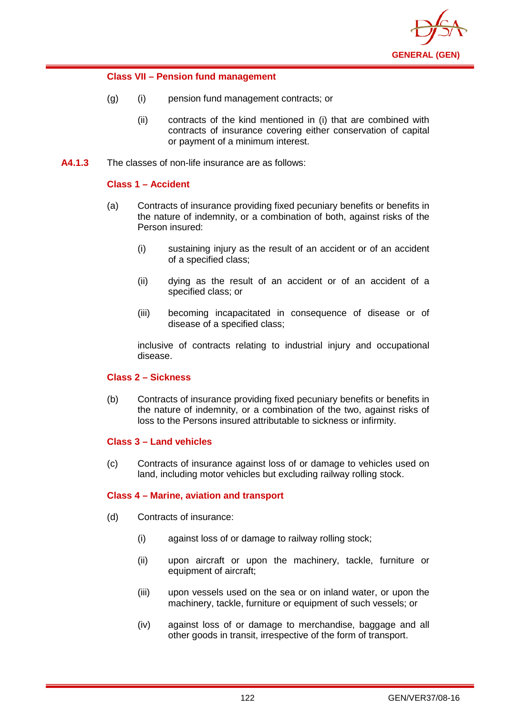

## **Class VII – Pension fund management**

- (g) (i) pension fund management contracts; or
	- (ii) contracts of the kind mentioned in (i) that are combined with contracts of insurance covering either conservation of capital or payment of a minimum interest.
- **A4.1.3** The classes of non-life insurance are as follows:

## **Class 1 – Accident**

- (a) Contracts of insurance providing fixed pecuniary benefits or benefits in the nature of indemnity, or a combination of both, against risks of the Person insured:
	- (i) sustaining injury as the result of an accident or of an accident of a specified class;
	- (ii) dying as the result of an accident or of an accident of a specified class; or
	- (iii) becoming incapacitated in consequence of disease or of disease of a specified class;

inclusive of contracts relating to industrial injury and occupational disease.

## **Class 2 – Sickness**

(b) Contracts of insurance providing fixed pecuniary benefits or benefits in the nature of indemnity, or a combination of the two, against risks of loss to the Persons insured attributable to sickness or infirmity.

## **Class 3 – Land vehicles**

(c) Contracts of insurance against loss of or damage to vehicles used on land, including motor vehicles but excluding railway rolling stock.

## **Class 4 – Marine, aviation and transport**

- (d) Contracts of insurance:
	- (i) against loss of or damage to railway rolling stock;
	- (ii) upon aircraft or upon the machinery, tackle, furniture or equipment of aircraft;
	- (iii) upon vessels used on the sea or on inland water, or upon the machinery, tackle, furniture or equipment of such vessels; or
	- (iv) against loss of or damage to merchandise, baggage and all other goods in transit, irrespective of the form of transport.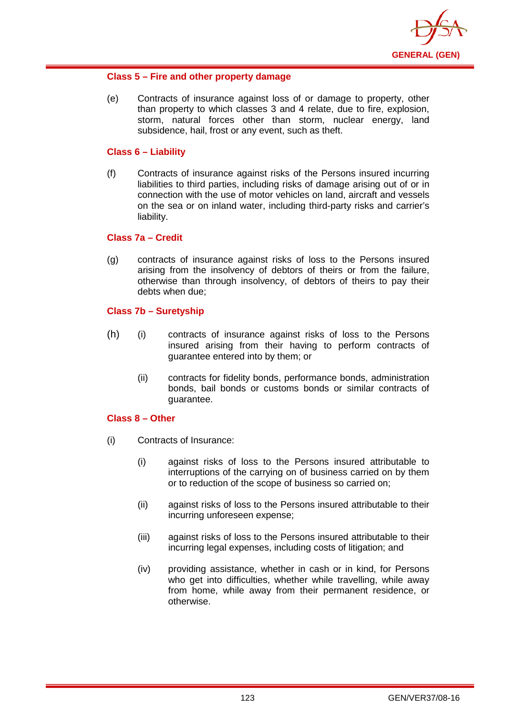

## **Class 5 – Fire and other property damage**

(e) Contracts of insurance against loss of or damage to property, other than property to which classes 3 and 4 relate, due to fire, explosion, storm, natural forces other than storm, nuclear energy, land subsidence, hail, frost or any event, such as theft.

## **Class 6 – Liability**

(f) Contracts of insurance against risks of the Persons insured incurring liabilities to third parties, including risks of damage arising out of or in connection with the use of motor vehicles on land, aircraft and vessels on the sea or on inland water, including third-party risks and carrier's liability.

## **Class 7a – Credit**

(g) contracts of insurance against risks of loss to the Persons insured arising from the insolvency of debtors of theirs or from the failure, otherwise than through insolvency, of debtors of theirs to pay their debts when due;

## **Class 7b – Suretyship**

- (h) (i) contracts of insurance against risks of loss to the Persons insured arising from their having to perform contracts of guarantee entered into by them; or
	- (ii) contracts for fidelity bonds, performance bonds, administration bonds, bail bonds or customs bonds or similar contracts of guarantee.

## **Class 8 – Other**

- (i) Contracts of Insurance:
	- (i) against risks of loss to the Persons insured attributable to interruptions of the carrying on of business carried on by them or to reduction of the scope of business so carried on;
	- (ii) against risks of loss to the Persons insured attributable to their incurring unforeseen expense;
	- (iii) against risks of loss to the Persons insured attributable to their incurring legal expenses, including costs of litigation; and
	- (iv) providing assistance, whether in cash or in kind, for Persons who get into difficulties, whether while travelling, while away from home, while away from their permanent residence, or otherwise.